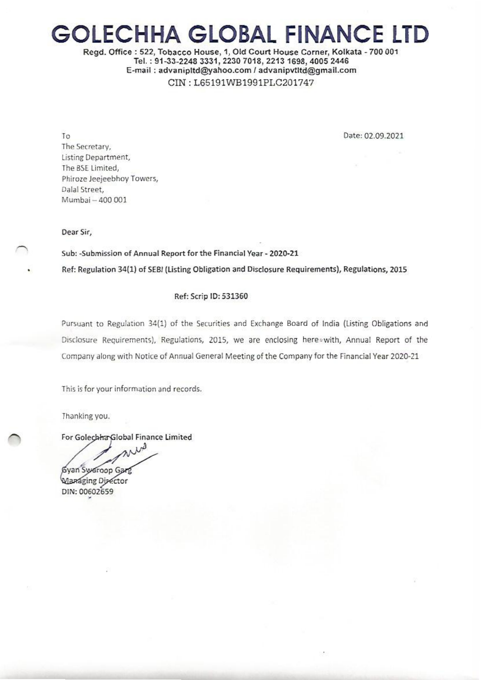Regd. Office: 522, Tobacco House, 1, Old Court House Corner, Kolkata - 700 001 Tel. : 91-33-2248 3331, 2230 7018, 2213 1698, 4005 2446 E-mail: advanipltd@yahoo.com/advanipV1ltd@gmall.com CIN: L65191WB1991PLC201747

Datc: 02.09.2021

10 The Secretary, Listing Department, The BSE Limited, Phiroze Jeejeebhoy Towers, Dalal street, Mumbai - 400 001

Dear Sir,

Sub: -Submission of Annual Report for the Financial Year - 2020-21 Ref: Regulation 34(1) of SEBI (listing Obligation and Disclosure Requirements), Regulations, 2015

#### Ref: Scrip 10: 531360

Pursuant to Regulation 34(1) of the Securities and Exchange Board of India (Listing Obligations and Disclosure Requirements), Regulations, 2015, we are enclosing here+with, Annual Report of the Company along with Notice of Annual General Meeting of the Company for the Financial Year 2020-21

This is for your information and records.

Thanking you.

For Golechha Global Finance Limited

mes **Gyan Swaroop Gard** 

Managing Director DIN: 00602659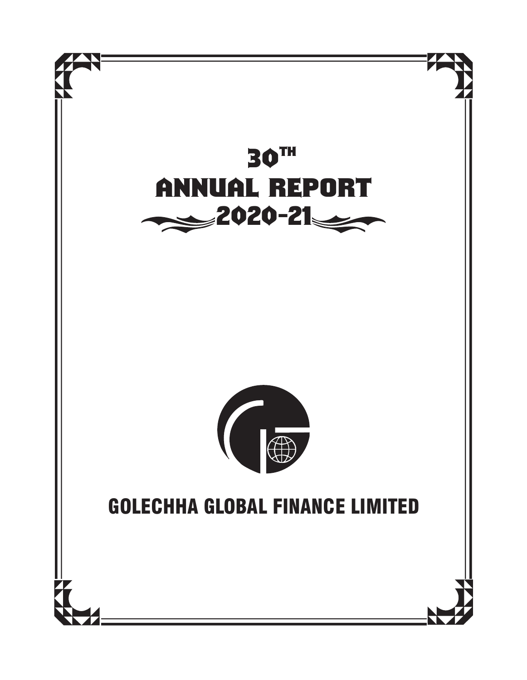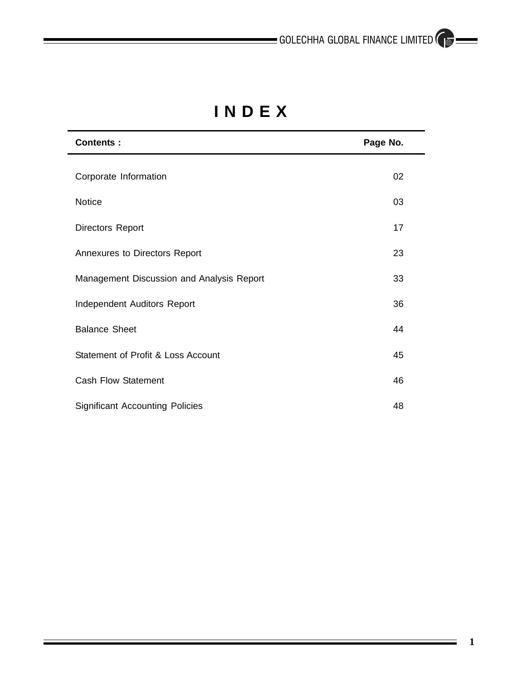| Contents:                                 | Page No. |
|-------------------------------------------|----------|
|                                           |          |
| Corporate Information                     | 02       |
| Notice                                    | 03       |
| Directors Report                          | 17       |
| Annexures to Directors Report             | 23       |
| Management Discussion and Analysis Report | 33       |
| Independent Auditors Report               | 36       |
| <b>Balance Sheet</b>                      | 44       |
| Statement of Profit & Loss Account        | 45       |
| <b>Cash Flow Statement</b>                | 46       |
| <b>Significant Accounting Policies</b>    | 48       |

**INDEX**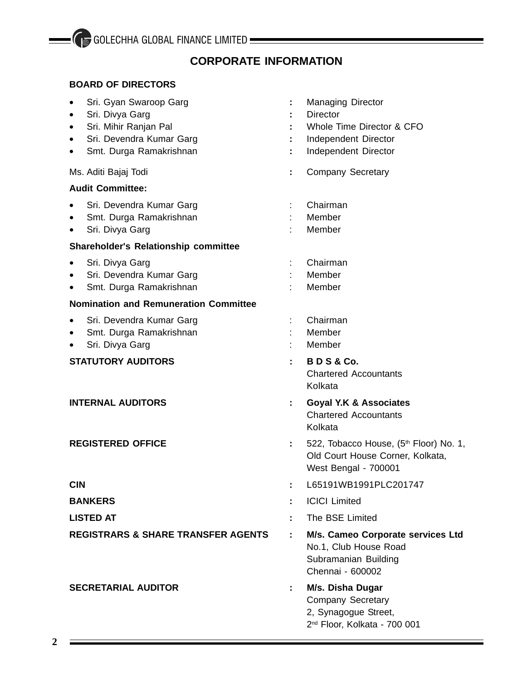#### **CORPORATE INFORMATION**

#### **BOARD OF DIRECTORS**

| Sri. Gyan Swaroop Garg<br>$\bullet$<br>Sri. Divya Garg<br>$\bullet$<br>Sri. Mihir Ranjan Pal<br>$\bullet$<br>Sri. Devendra Kumar Garg<br>$\bullet$<br>Smt. Durga Ramakrishnan<br>$\bullet$ |    | <b>Managing Director</b><br>Director<br>Whole Time Director & CFO<br>Independent Director<br>Independent Director |
|--------------------------------------------------------------------------------------------------------------------------------------------------------------------------------------------|----|-------------------------------------------------------------------------------------------------------------------|
| Ms. Aditi Bajaj Todi                                                                                                                                                                       |    | Company Secretary                                                                                                 |
| <b>Audit Committee:</b>                                                                                                                                                                    |    |                                                                                                                   |
| Sri. Devendra Kumar Garg<br>$\bullet$<br>Smt. Durga Ramakrishnan<br>$\bullet$<br>Sri. Divya Garg<br>$\bullet$                                                                              |    | Chairman<br>Member<br>Member                                                                                      |
| Shareholder's Relationship committee                                                                                                                                                       |    |                                                                                                                   |
| Sri. Divya Garg<br>$\bullet$<br>Sri. Devendra Kumar Garg<br>$\bullet$<br>Smt. Durga Ramakrishnan<br>$\bullet$                                                                              |    | Chairman<br>Member<br>Member                                                                                      |
| <b>Nomination and Remuneration Committee</b>                                                                                                                                               |    |                                                                                                                   |
| Sri. Devendra Kumar Garg<br>$\bullet$<br>Smt. Durga Ramakrishnan<br>$\bullet$<br>Sri. Divya Garg<br>$\bullet$                                                                              |    | Chairman<br>Member<br>Member                                                                                      |
| <b>STATUTORY AUDITORS</b>                                                                                                                                                                  | ÷. | <b>BDS&amp;Co.</b><br><b>Chartered Accountants</b><br>Kolkata                                                     |
| <b>INTERNAL AUDITORS</b>                                                                                                                                                                   | ÷. | <b>Goyal Y.K &amp; Associates</b><br><b>Chartered Accountants</b><br>Kolkata                                      |
| <b>REGISTERED OFFICE</b>                                                                                                                                                                   |    | 522, Tobacco House, (5th Floor) No. 1,<br>Old Court House Corner, Kolkata,<br>West Bengal - 700001                |
| <b>CIN</b>                                                                                                                                                                                 |    | L65191WB1991PLC201747                                                                                             |
| <b>BANKERS</b>                                                                                                                                                                             |    | <b>ICICI Limited</b>                                                                                              |
| <b>LISTED AT</b>                                                                                                                                                                           |    | The BSE Limited                                                                                                   |
| <b>REGISTRARS &amp; SHARE TRANSFER AGENTS</b>                                                                                                                                              |    | M/s. Cameo Corporate services Ltd<br>No.1, Club House Road<br>Subramanian Building<br>Chennai - 600002            |
| <b>SECRETARIAL AUDITOR</b>                                                                                                                                                                 | ÷. | M/s. Disha Dugar<br>Company Secretary<br>2, Synagogue Street,<br>2 <sup>nd</sup> Floor, Kolkata - 700 001         |

 $\equiv$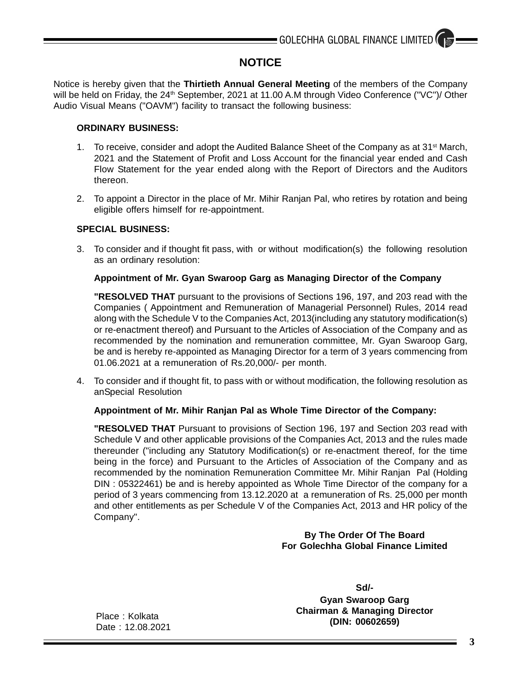#### **NOTICE**

Notice is hereby given that the **Thirtieth Annual General Meeting** of the members of the Company will be held on Friday, the 24<sup>th</sup> September, 2021 at 11.00 A.M through Video Conference ("VC")/ Other Audio Visual Means ("OAVM") facility to transact the following business:

#### **ORDINARY BUSINESS:**

- 1. To receive, consider and adopt the Audited Balance Sheet of the Company as at  $31<sup>st</sup>$  March, 2021 and the Statement of Profit and Loss Account for the financial year ended and Cash Flow Statement for the year ended along with the Report of Directors and the Auditors thereon.
- 2. To appoint a Director in the place of Mr. Mihir Ranjan Pal, who retires by rotation and being eligible offers himself for re-appointment.

#### **SPECIAL BUSINESS:**

3. To consider and if thought fit pass, with or without modification(s) the following resolution as an ordinary resolution:

#### **Appointment of Mr. Gyan Swaroop Garg as Managing Director of the Company**

**"RESOLVED THAT** pursuant to the provisions of Sections 196, 197, and 203 read with the Companies ( Appointment and Remuneration of Managerial Personnel) Rules, 2014 read along with the Schedule V to the Companies Act, 2013(including any statutory modification(s) or re-enactment thereof) and Pursuant to the Articles of Association of the Company and as recommended by the nomination and remuneration committee, Mr. Gyan Swaroop Garg, be and is hereby re-appointed as Managing Director for a term of 3 years commencing from 01.06.2021 at a remuneration of Rs.20,000/- per month.

4. To consider and if thought fit, to pass with or without modification, the following resolution as anSpecial Resolution

#### **Appointment of Mr. Mihir Ranjan Pal as Whole Time Director of the Company:**

**"RESOLVED THAT** Pursuant to provisions of Section 196, 197 and Section 203 read with Schedule V and other applicable provisions of the Companies Act, 2013 and the rules made thereunder ("including any Statutory Modification(s) or re-enactment thereof, for the time being in the force) and Pursuant to the Articles of Association of the Company and as recommended by the nomination Remuneration Committee Mr. Mihir Ranjan Pal (Holding DIN : 05322461) be and is hereby appointed as Whole Time Director of the company for a period of 3 years commencing from 13.12.2020 at a remuneration of Rs. 25,000 per month and other entitlements as per Schedule V of the Companies Act, 2013 and HR policy of the Company".

#### **By The Order Of The Board For Golechha Global Finance Limited**

**Sd/-**

**Gyan Swaroop Garg Chairman & Managing Director (DIN: 00602659)** Place : Kolkata

Date : 12.08.2021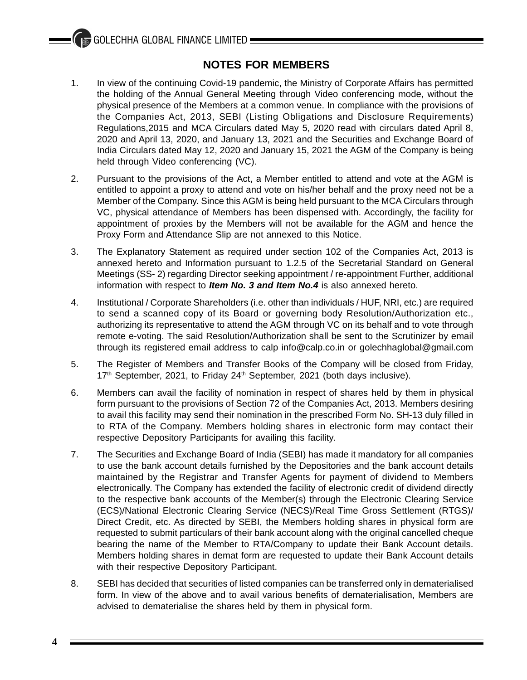#### **NOTES FOR MEMBERS**

- 1. In view of the continuing Covid-19 pandemic, the Ministry of Corporate Affairs has permitted the holding of the Annual General Meeting through Video conferencing mode, without the physical presence of the Members at a common venue. In compliance with the provisions of the Companies Act, 2013, SEBI (Listing Obligations and Disclosure Requirements) Regulations,2015 and MCA Circulars dated May 5, 2020 read with circulars dated April 8, 2020 and April 13, 2020, and January 13, 2021 and the Securities and Exchange Board of India Circulars dated May 12, 2020 and January 15, 2021 the AGM of the Company is being held through Video conferencing (VC).
- 2. Pursuant to the provisions of the Act, a Member entitled to attend and vote at the AGM is entitled to appoint a proxy to attend and vote on his/her behalf and the proxy need not be a Member of the Company. Since this AGM is being held pursuant to the MCA Circulars through VC, physical attendance of Members has been dispensed with. Accordingly, the facility for appointment of proxies by the Members will not be available for the AGM and hence the Proxy Form and Attendance Slip are not annexed to this Notice.
- 3. The Explanatory Statement as required under section 102 of the Companies Act, 2013 is annexed hereto and Information pursuant to 1.2.5 of the Secretarial Standard on General Meetings (SS- 2) regarding Director seeking appointment / re-appointment Further, additional information with respect to *Item No. 3 and Item No.4* is also annexed hereto.
- 4. Institutional / Corporate Shareholders (i.e. other than individuals / HUF, NRI, etc.) are required to send a scanned copy of its Board or governing body Resolution/Authorization etc., authorizing its representative to attend the AGM through VC on its behalf and to vote through remote e-voting. The said Resolution/Authorization shall be sent to the Scrutinizer by email through its registered email address to calp info@calp.co.in or golechhaglobal@gmail.com
- 5. The Register of Members and Transfer Books of the Company will be closed from Friday, 17<sup>th</sup> September, 2021, to Friday 24<sup>th</sup> September, 2021 (both days inclusive).
- 6. Members can avail the facility of nomination in respect of shares held by them in physical form pursuant to the provisions of Section 72 of the Companies Act, 2013. Members desiring to avail this facility may send their nomination in the prescribed Form No. SH-13 duly filled in to RTA of the Company. Members holding shares in electronic form may contact their respective Depository Participants for availing this facility.
- 7. The Securities and Exchange Board of India (SEBI) has made it mandatory for all companies to use the bank account details furnished by the Depositories and the bank account details maintained by the Registrar and Transfer Agents for payment of dividend to Members electronically. The Company has extended the facility of electronic credit of dividend directly to the respective bank accounts of the Member(s) through the Electronic Clearing Service (ECS)/National Electronic Clearing Service (NECS)/Real Time Gross Settlement (RTGS)/ Direct Credit, etc. As directed by SEBI, the Members holding shares in physical form are requested to submit particulars of their bank account along with the original cancelled cheque bearing the name of the Member to RTA/Company to update their Bank Account details. Members holding shares in demat form are requested to update their Bank Account details with their respective Depository Participant.
- 8. SEBI has decided that securities of listed companies can be transferred only in dematerialised form. In view of the above and to avail various benefits of dematerialisation, Members are advised to dematerialise the shares held by them in physical form.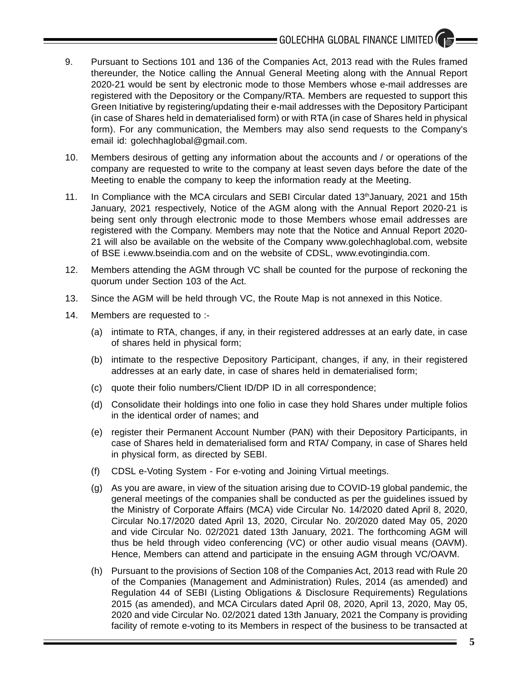- 9. Pursuant to Sections 101 and 136 of the Companies Act, 2013 read with the Rules framed thereunder, the Notice calling the Annual General Meeting along with the Annual Report 2020-21 would be sent by electronic mode to those Members whose e-mail addresses are registered with the Depository or the Company/RTA. Members are requested to support this Green Initiative by registering/updating their e-mail addresses with the Depository Participant (in case of Shares held in dematerialised form) or with RTA (in case of Shares held in physical form). For any communication, the Members may also send requests to the Company's email id: golechhaglobal@gmail.com.
- 10. Members desirous of getting any information about the accounts and / or operations of the company are requested to write to the company at least seven days before the date of the Meeting to enable the company to keep the information ready at the Meeting.
- 11. In Compliance with the MCA circulars and SEBI Circular dated 13th January, 2021 and 15th January, 2021 respectively, Notice of the AGM along with the Annual Report 2020-21 is being sent only through electronic mode to those Members whose email addresses are registered with the Company. Members may note that the Notice and Annual Report 2020- 21 will also be available on the website of the Company www.golechhaglobal.com, website of BSE i.ewww.bseindia.com and on the website of CDSL, www.evotingindia.com.
- 12. Members attending the AGM through VC shall be counted for the purpose of reckoning the quorum under Section 103 of the Act.
- 13. Since the AGM will be held through VC, the Route Map is not annexed in this Notice.
- 14. Members are requested to :-
	- (a) intimate to RTA, changes, if any, in their registered addresses at an early date, in case of shares held in physical form;
	- (b) intimate to the respective Depository Participant, changes, if any, in their registered addresses at an early date, in case of shares held in dematerialised form;
	- (c) quote their folio numbers/Client ID/DP ID in all correspondence;
	- (d) Consolidate their holdings into one folio in case they hold Shares under multiple folios in the identical order of names; and
	- (e) register their Permanent Account Number (PAN) with their Depository Participants, in case of Shares held in dematerialised form and RTA/ Company, in case of Shares held in physical form, as directed by SEBI.
	- (f) CDSL e-Voting System For e-voting and Joining Virtual meetings.
	- (g) As you are aware, in view of the situation arising due to COVID-19 global pandemic, the general meetings of the companies shall be conducted as per the guidelines issued by the Ministry of Corporate Affairs (MCA) vide Circular No. 14/2020 dated April 8, 2020, Circular No.17/2020 dated April 13, 2020, Circular No. 20/2020 dated May 05, 2020 and vide Circular No. 02/2021 dated 13th January, 2021. The forthcoming AGM will thus be held through video conferencing (VC) or other audio visual means (OAVM). Hence, Members can attend and participate in the ensuing AGM through VC/OAVM.
	- (h) Pursuant to the provisions of Section 108 of the Companies Act, 2013 read with Rule 20 of the Companies (Management and Administration) Rules, 2014 (as amended) and Regulation 44 of SEBI (Listing Obligations & Disclosure Requirements) Regulations 2015 (as amended), and MCA Circulars dated April 08, 2020, April 13, 2020, May 05, 2020 and vide Circular No. 02/2021 dated 13th January, 2021 the Company is providing facility of remote e-voting to its Members in respect of the business to be transacted at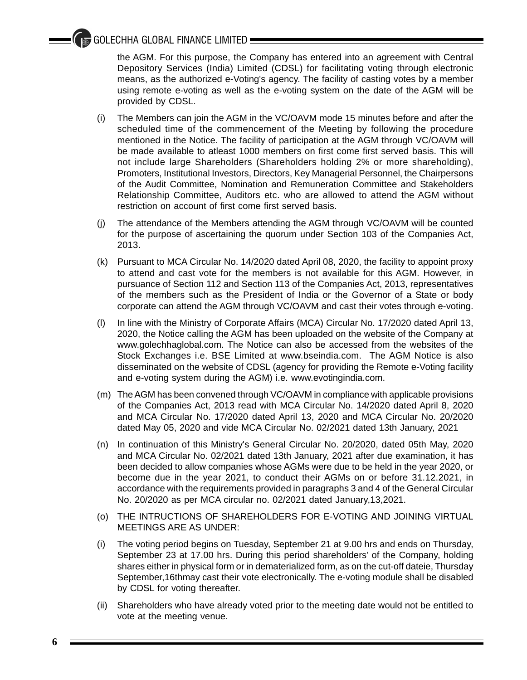the AGM. For this purpose, the Company has entered into an agreement with Central Depository Services (India) Limited (CDSL) for facilitating voting through electronic means, as the authorized e-Voting's agency. The facility of casting votes by a member using remote e-voting as well as the e-voting system on the date of the AGM will be provided by CDSL.

- (i) The Members can join the AGM in the VC/OAVM mode 15 minutes before and after the scheduled time of the commencement of the Meeting by following the procedure mentioned in the Notice. The facility of participation at the AGM through VC/OAVM will be made available to atleast 1000 members on first come first served basis. This will not include large Shareholders (Shareholders holding 2% or more shareholding), Promoters, Institutional Investors, Directors, Key Managerial Personnel, the Chairpersons of the Audit Committee, Nomination and Remuneration Committee and Stakeholders Relationship Committee, Auditors etc. who are allowed to attend the AGM without restriction on account of first come first served basis.
- (j) The attendance of the Members attending the AGM through VC/OAVM will be counted for the purpose of ascertaining the quorum under Section 103 of the Companies Act, 2013.
- (k) Pursuant to MCA Circular No. 14/2020 dated April 08, 2020, the facility to appoint proxy to attend and cast vote for the members is not available for this AGM. However, in pursuance of Section 112 and Section 113 of the Companies Act, 2013, representatives of the members such as the President of India or the Governor of a State or body corporate can attend the AGM through VC/OAVM and cast their votes through e-voting.
- (l) In line with the Ministry of Corporate Affairs (MCA) Circular No. 17/2020 dated April 13, 2020, the Notice calling the AGM has been uploaded on the website of the Company at www.golechhaglobal.com. The Notice can also be accessed from the websites of the Stock Exchanges i.e. BSE Limited at www.bseindia.com. The AGM Notice is also disseminated on the website of CDSL (agency for providing the Remote e-Voting facility and e-voting system during the AGM) i.e. www.evotingindia.com.
- (m) The AGM has been convened through VC/OAVM in compliance with applicable provisions of the Companies Act, 2013 read with MCA Circular No. 14/2020 dated April 8, 2020 and MCA Circular No. 17/2020 dated April 13, 2020 and MCA Circular No. 20/2020 dated May 05, 2020 and vide MCA Circular No. 02/2021 dated 13th January, 2021
- (n) In continuation of this Ministry's General Circular No. 20/2020, dated 05th May, 2020 and MCA Circular No. 02/2021 dated 13th January, 2021 after due examination, it has been decided to allow companies whose AGMs were due to be held in the year 2020, or become due in the year 2021, to conduct their AGMs on or before 31.12.2021, in accordance with the requirements provided in paragraphs 3 and 4 of the General Circular No. 20/2020 as per MCA circular no. 02/2021 dated January,13,2021.
- (o) THE INTRUCTIONS OF SHAREHOLDERS FOR E-VOTING AND JOINING VIRTUAL MEETINGS ARE AS UNDER:
- (i) The voting period begins on Tuesday, September 21 at 9.00 hrs and ends on Thursday, September 23 at 17.00 hrs. During this period shareholders' of the Company, holding shares either in physical form or in dematerialized form, as on the cut-off dateie, Thursday September,16thmay cast their vote electronically. The e-voting module shall be disabled by CDSL for voting thereafter.
- (ii) Shareholders who have already voted prior to the meeting date would not be entitled to vote at the meeting venue.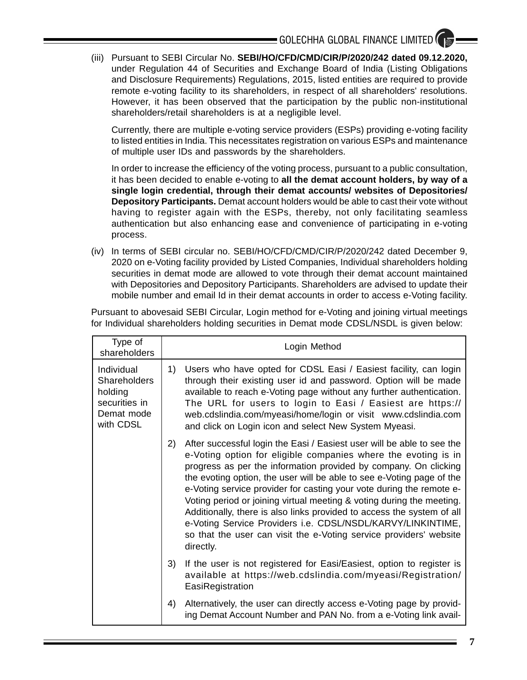(iii) Pursuant to SEBI Circular No. **SEBI/HO/CFD/CMD/CIR/P/2020/242 dated 09.12.2020,** under Regulation 44 of Securities and Exchange Board of India (Listing Obligations and Disclosure Requirements) Regulations, 2015, listed entities are required to provide remote e-voting facility to its shareholders, in respect of all shareholders' resolutions. However, it has been observed that the participation by the public non-institutional shareholders/retail shareholders is at a negligible level.

Currently, there are multiple e-voting service providers (ESPs) providing e-voting facility to listed entities in India. This necessitates registration on various ESPs and maintenance of multiple user IDs and passwords by the shareholders.

In order to increase the efficiency of the voting process, pursuant to a public consultation, it has been decided to enable e-voting to **all the demat account holders, by way of a single login credential, through their demat accounts/ websites of Depositories/ Depository Participants.** Demat account holders would be able to cast their vote without having to register again with the ESPs, thereby, not only facilitating seamless authentication but also enhancing ease and convenience of participating in e-voting process.

(iv) In terms of SEBI circular no. SEBI/HO/CFD/CMD/CIR/P/2020/242 dated December 9, 2020 on e-Voting facility provided by Listed Companies, Individual shareholders holding securities in demat mode are allowed to vote through their demat account maintained with Depositories and Depository Participants. Shareholders are advised to update their mobile number and email Id in their demat accounts in order to access e-Voting facility.

Pursuant to abovesaid SEBI Circular, Login method for e-Voting and joining virtual meetings for Individual shareholders holding securities in Demat mode CDSL/NSDL is given below:

| Type of<br>shareholders                                                           |    | Login Method                                                                                                                                                                                                                                                                                                                                                                                                                                                                                                                                                                                                                                                       |
|-----------------------------------------------------------------------------------|----|--------------------------------------------------------------------------------------------------------------------------------------------------------------------------------------------------------------------------------------------------------------------------------------------------------------------------------------------------------------------------------------------------------------------------------------------------------------------------------------------------------------------------------------------------------------------------------------------------------------------------------------------------------------------|
| Individual<br>Shareholders<br>holding<br>securities in<br>Demat mode<br>with CDSL | 1) | Users who have opted for CDSL Easi / Easiest facility, can login<br>through their existing user id and password. Option will be made<br>available to reach e-Voting page without any further authentication.<br>The URL for users to login to Easi / Easiest are https://<br>web.cdslindia.com/myeasi/home/login or visit www.cdslindia.com<br>and click on Login icon and select New System Myeasi.                                                                                                                                                                                                                                                               |
|                                                                                   | 2) | After successful login the Easi / Easiest user will be able to see the<br>e-Voting option for eligible companies where the evoting is in<br>progress as per the information provided by company. On clicking<br>the evoting option, the user will be able to see e-Voting page of the<br>e-Voting service provider for casting your vote during the remote e-<br>Voting period or joining virtual meeting & voting during the meeting.<br>Additionally, there is also links provided to access the system of all<br>e-Voting Service Providers i.e. CDSL/NSDL/KARVY/LINKINTIME,<br>so that the user can visit the e-Voting service providers' website<br>directly. |
|                                                                                   | 3) | If the user is not registered for Easi/Easiest, option to register is<br>available at https://web.cdslindia.com/myeasi/Registration/<br>EasiRegistration                                                                                                                                                                                                                                                                                                                                                                                                                                                                                                           |
|                                                                                   | 4) | Alternatively, the user can directly access e-Voting page by provid-<br>ing Demat Account Number and PAN No. from a e-Voting link avail-                                                                                                                                                                                                                                                                                                                                                                                                                                                                                                                           |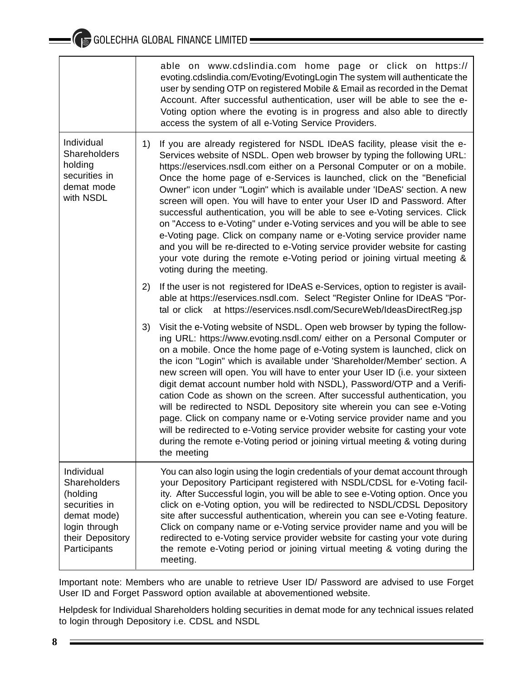|                                                                                                                             |    | able on www.cdslindia.com home page or click on https://<br>evoting.cdslindia.com/Evoting/EvotingLogin The system will authenticate the<br>user by sending OTP on registered Mobile & Email as recorded in the Demat<br>Account. After successful authentication, user will be able to see the e-<br>Voting option where the evoting is in progress and also able to directly<br>access the system of all e-Voting Service Providers.                                                                                                                                                                                                                                                                                                                                                                                                                                                                   |
|-----------------------------------------------------------------------------------------------------------------------------|----|---------------------------------------------------------------------------------------------------------------------------------------------------------------------------------------------------------------------------------------------------------------------------------------------------------------------------------------------------------------------------------------------------------------------------------------------------------------------------------------------------------------------------------------------------------------------------------------------------------------------------------------------------------------------------------------------------------------------------------------------------------------------------------------------------------------------------------------------------------------------------------------------------------|
| Individual<br>Shareholders<br>holding<br>securities in<br>demat mode<br>with NSDL                                           | 1) | If you are already registered for NSDL IDeAS facility, please visit the e-<br>Services website of NSDL. Open web browser by typing the following URL:<br>https://eservices.nsdl.com either on a Personal Computer or on a mobile.<br>Once the home page of e-Services is launched, click on the "Beneficial<br>Owner" icon under "Login" which is available under 'IDeAS' section. A new<br>screen will open. You will have to enter your User ID and Password. After<br>successful authentication, you will be able to see e-Voting services. Click<br>on "Access to e-Voting" under e-Voting services and you will be able to see<br>e-Voting page. Click on company name or e-Voting service provider name<br>and you will be re-directed to e-Voting service provider website for casting<br>your vote during the remote e-Voting period or joining virtual meeting &<br>voting during the meeting. |
|                                                                                                                             | 2) | If the user is not registered for IDeAS e-Services, option to register is avail-<br>able at https://eservices.nsdl.com. Select "Register Online for IDeAS "Por-<br>tal or click at https://eservices.nsdl.com/SecureWeb/IdeasDirectReg.jsp                                                                                                                                                                                                                                                                                                                                                                                                                                                                                                                                                                                                                                                              |
|                                                                                                                             | 3) | Visit the e-Voting website of NSDL. Open web browser by typing the follow-<br>ing URL: https://www.evoting.nsdl.com/ either on a Personal Computer or<br>on a mobile. Once the home page of e-Voting system is launched, click on<br>the icon "Login" which is available under 'Shareholder/Member' section. A<br>new screen will open. You will have to enter your User ID (i.e. your sixteen<br>digit demat account number hold with NSDL), Password/OTP and a Verifi-<br>cation Code as shown on the screen. After successful authentication, you<br>will be redirected to NSDL Depository site wherein you can see e-Voting<br>page. Click on company name or e-Voting service provider name and you<br>will be redirected to e-Voting service provider website for casting your vote<br>during the remote e-Voting period or joining virtual meeting & voting during<br>the meeting                |
| Individual<br>Shareholders<br>(holding<br>securities in<br>demat mode)<br>login through<br>their Depository<br>Participants |    | You can also login using the login credentials of your demat account through<br>your Depository Participant registered with NSDL/CDSL for e-Voting facil-<br>ity. After Successful login, you will be able to see e-Voting option. Once you<br>click on e-Voting option, you will be redirected to NSDL/CDSL Depository<br>site after successful authentication, wherein you can see e-Voting feature.<br>Click on company name or e-Voting service provider name and you will be<br>redirected to e-Voting service provider website for casting your vote during<br>the remote e-Voting period or joining virtual meeting & voting during the<br>meeting.                                                                                                                                                                                                                                              |

Important note: Members who are unable to retrieve User ID/ Password are advised to use Forget User ID and Forget Password option available at abovementioned website.

Helpdesk for Individual Shareholders holding securities in demat mode for any technical issues related to login through Depository i.e. CDSL and NSDL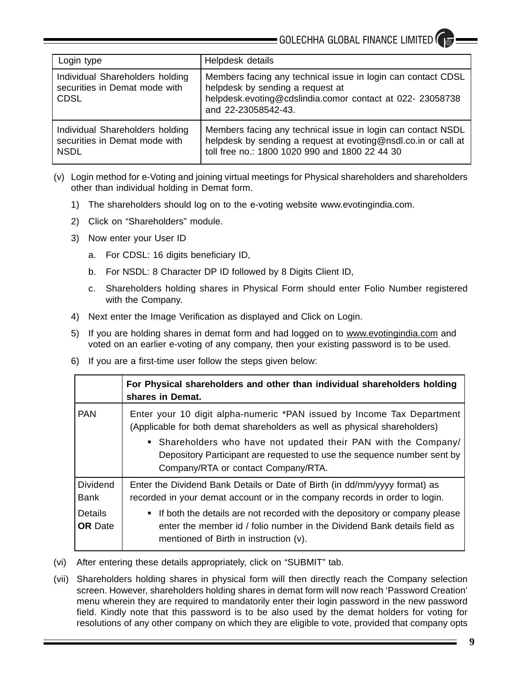| Login type                                                                      | Helpdesk details                                                                                                                                                                     |
|---------------------------------------------------------------------------------|--------------------------------------------------------------------------------------------------------------------------------------------------------------------------------------|
| Individual Shareholders holding<br>securities in Demat mode with<br>CDSL        | Members facing any technical issue in login can contact CDSL<br>helpdesk by sending a request at<br>helpdesk.evoting@cdslindia.comor contact at 022- 23058738<br>and 22-23058542-43. |
| Individual Shareholders holding<br>securities in Demat mode with<br><b>NSDL</b> | Members facing any technical issue in login can contact NSDL<br>helpdesk by sending a request at evoting@nsdl.co.in or call at<br>toll free no.: 1800 1020 990 and 1800 22 44 30     |

(v) Login method for e-Voting and joining virtual meetings for Physical shareholders and shareholders other than individual holding in Demat form.

- 1) The shareholders should log on to the e-voting website www.evotingindia.com.
- 2) Click on "Shareholders" module.
- 3) Now enter your User ID
	- a. For CDSL: 16 digits beneficiary ID,
	- b. For NSDL: 8 Character DP ID followed by 8 Digits Client ID,
	- c. Shareholders holding shares in Physical Form should enter Folio Number registered with the Company.
- 4) Next enter the Image Verification as displayed and Click on Login.
- 5) If you are holding shares in demat form and had logged on to www.evotingindia.com and voted on an earlier e-voting of any company, then your existing password is to be used.
- 6) If you are a first-time user follow the steps given below:

|                           | For Physical shareholders and other than individual shareholders holding<br>shares in Demat.                                                                                                          |
|---------------------------|-------------------------------------------------------------------------------------------------------------------------------------------------------------------------------------------------------|
| <b>PAN</b>                | Enter your 10 digit alpha-numeric *PAN issued by Income Tax Department<br>(Applicable for both demat shareholders as well as physical shareholders)                                                   |
|                           | • Shareholders who have not updated their PAN with the Company/<br>Depository Participant are requested to use the sequence number sent by<br>Company/RTA or contact Company/RTA.                     |
| Dividend<br>Bank          | Enter the Dividend Bank Details or Date of Birth (in dd/mm/yyyy format) as<br>recorded in your demat account or in the company records in order to login.                                             |
| Details<br><b>OR</b> Date | • If both the details are not recorded with the depository or company please<br>enter the member id / folio number in the Dividend Bank details field as<br>mentioned of Birth in instruction $(v)$ . |

- (vi) After entering these details appropriately, click on "SUBMIT" tab.
- (vii) Shareholders holding shares in physical form will then directly reach the Company selection screen. However, shareholders holding shares in demat form will now reach 'Password Creation' menu wherein they are required to mandatorily enter their login password in the new password field. Kindly note that this password is to be also used by the demat holders for voting for resolutions of any other company on which they are eligible to vote, provided that company opts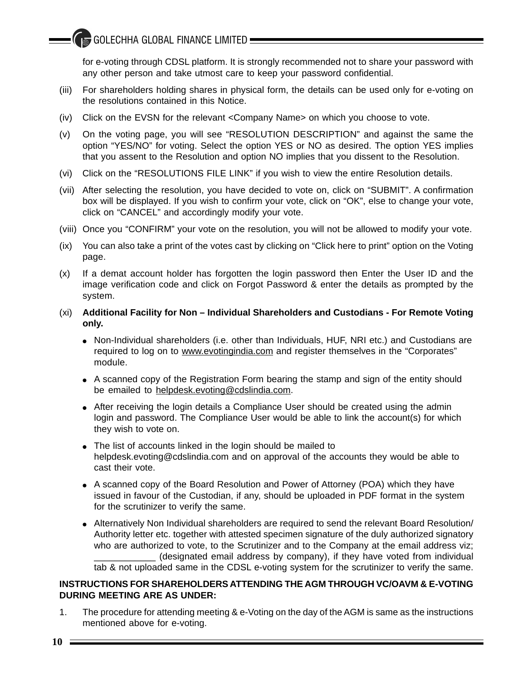for e-voting through CDSL platform. It is strongly recommended not to share your password with any other person and take utmost care to keep your password confidential.

- (iii) For shareholders holding shares in physical form, the details can be used only for e-voting on the resolutions contained in this Notice.
- (iv) Click on the EVSN for the relevant <Company Name> on which you choose to vote.
- (v) On the voting page, you will see "RESOLUTION DESCRIPTION" and against the same the option "YES/NO" for voting. Select the option YES or NO as desired. The option YES implies that you assent to the Resolution and option NO implies that you dissent to the Resolution.
- (vi) Click on the "RESOLUTIONS FILE LINK" if you wish to view the entire Resolution details.
- (vii) After selecting the resolution, you have decided to vote on, click on "SUBMIT". A confirmation box will be displayed. If you wish to confirm your vote, click on "OK", else to change your vote, click on "CANCEL" and accordingly modify your vote.
- (viii) Once you "CONFIRM" your vote on the resolution, you will not be allowed to modify your vote.
- (ix) You can also take a print of the votes cast by clicking on "Click here to print" option on the Voting page.
- (x) If a demat account holder has forgotten the login password then Enter the User ID and the image verification code and click on Forgot Password & enter the details as prompted by the system.
- (xi) **Additional Facility for Non Individual Shareholders and Custodians For Remote Voting only.**
	- Non-Individual shareholders (i.e. other than Individuals, HUF, NRI etc.) and Custodians are required to log on to www.evotingindia.com and register themselves in the "Corporates" module.
	- A scanned copy of the Registration Form bearing the stamp and sign of the entity should be emailed to helpdesk.evoting@cdslindia.com.
	- After receiving the login details a Compliance User should be created using the admin login and password. The Compliance User would be able to link the account(s) for which they wish to vote on.
	- The list of accounts linked in the login should be mailed to helpdesk.evoting@cdslindia.com and on approval of the accounts they would be able to cast their vote.
	- A scanned copy of the Board Resolution and Power of Attorney (POA) which they have issued in favour of the Custodian, if any, should be uploaded in PDF format in the system for the scrutinizer to verify the same.
	- Alternatively Non Individual shareholders are required to send the relevant Board Resolution/ Authority letter etc. together with attested specimen signature of the duly authorized signatory who are authorized to vote, to the Scrutinizer and to the Company at the email address viz; (designated email address by company), if they have voted from individual tab & not uploaded same in the CDSL e-voting system for the scrutinizer to verify the same.

#### **INSTRUCTIONS FOR SHAREHOLDERS ATTENDING THE AGM THROUGH VC/OAVM & E-VOTING DURING MEETING ARE AS UNDER:**

1. The procedure for attending meeting & e-Voting on the day of the AGM is same as the instructions mentioned above for e-voting.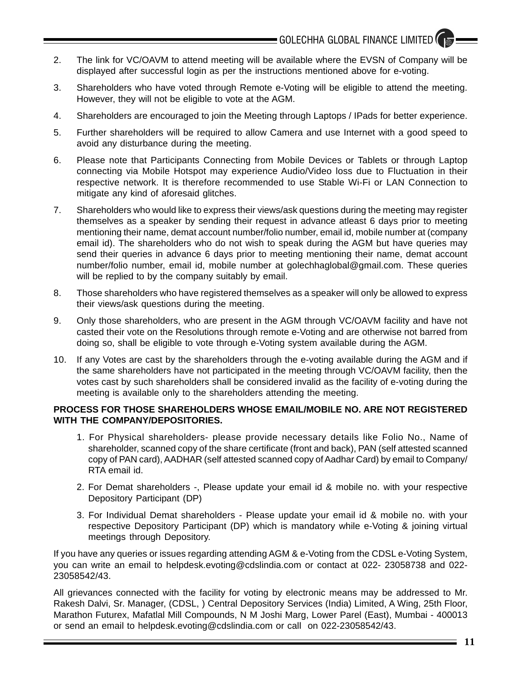- 2. The link for VC/OAVM to attend meeting will be available where the EVSN of Company will be displayed after successful login as per the instructions mentioned above for e-voting.
- 3. Shareholders who have voted through Remote e-Voting will be eligible to attend the meeting. However, they will not be eligible to vote at the AGM.
- 4. Shareholders are encouraged to join the Meeting through Laptops / IPads for better experience.
- 5. Further shareholders will be required to allow Camera and use Internet with a good speed to avoid any disturbance during the meeting.
- 6. Please note that Participants Connecting from Mobile Devices or Tablets or through Laptop connecting via Mobile Hotspot may experience Audio/Video loss due to Fluctuation in their respective network. It is therefore recommended to use Stable Wi-Fi or LAN Connection to mitigate any kind of aforesaid glitches.
- 7. Shareholders who would like to express their views/ask questions during the meeting may register themselves as a speaker by sending their request in advance atleast 6 days prior to meeting mentioning their name, demat account number/folio number, email id, mobile number at (company email id). The shareholders who do not wish to speak during the AGM but have queries may send their queries in advance 6 days prior to meeting mentioning their name, demat account number/folio number, email id, mobile number at golechhaglobal@gmail.com. These queries will be replied to by the company suitably by email.
- 8. Those shareholders who have registered themselves as a speaker will only be allowed to express their views/ask questions during the meeting.
- 9. Only those shareholders, who are present in the AGM through VC/OAVM facility and have not casted their vote on the Resolutions through remote e-Voting and are otherwise not barred from doing so, shall be eligible to vote through e-Voting system available during the AGM.
- 10. If any Votes are cast by the shareholders through the e-voting available during the AGM and if the same shareholders have not participated in the meeting through VC/OAVM facility, then the votes cast by such shareholders shall be considered invalid as the facility of e-voting during the meeting is available only to the shareholders attending the meeting.

#### **PROCESS FOR THOSE SHAREHOLDERS WHOSE EMAIL/MOBILE NO. ARE NOT REGISTERED WITH THE COMPANY/DEPOSITORIES.**

- 1. For Physical shareholders- please provide necessary details like Folio No., Name of shareholder, scanned copy of the share certificate (front and back), PAN (self attested scanned copy of PAN card), AADHAR (self attested scanned copy of Aadhar Card) by email to Company/ RTA email id.
- 2. For Demat shareholders -, Please update your email id & mobile no. with your respective Depository Participant (DP)
- 3. For Individual Demat shareholders Please update your email id & mobile no. with your respective Depository Participant (DP) which is mandatory while e-Voting & joining virtual meetings through Depository.

If you have any queries or issues regarding attending AGM & e-Voting from the CDSL e-Voting System, you can write an email to helpdesk.evoting@cdslindia.com or contact at 022- 23058738 and 022- 23058542/43.

All grievances connected with the facility for voting by electronic means may be addressed to Mr. Rakesh Dalvi, Sr. Manager, (CDSL, ) Central Depository Services (India) Limited, A Wing, 25th Floor, Marathon Futurex, Mafatlal Mill Compounds, N M Joshi Marg, Lower Parel (East), Mumbai - 400013 or send an email to helpdesk.evoting@cdslindia.com or call on 022-23058542/43.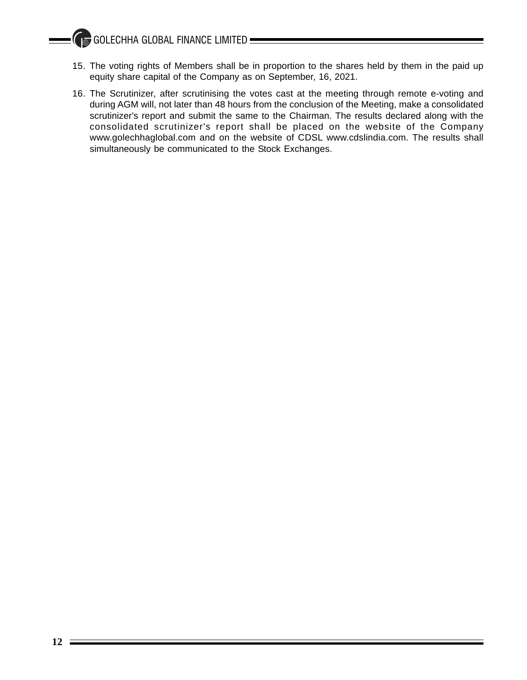- 15. The voting rights of Members shall be in proportion to the shares held by them in the paid up equity share capital of the Company as on September, 16, 2021.
- 16. The Scrutinizer, after scrutinising the votes cast at the meeting through remote e-voting and during AGM will, not later than 48 hours from the conclusion of the Meeting, make a consolidated scrutinizer's report and submit the same to the Chairman. The results declared along with the consolidated scrutinizer's report shall be placed on the website of the Company www.golechhaglobal.com and on the website of CDSL www.cdslindia.com. The results shall simultaneously be communicated to the Stock Exchanges.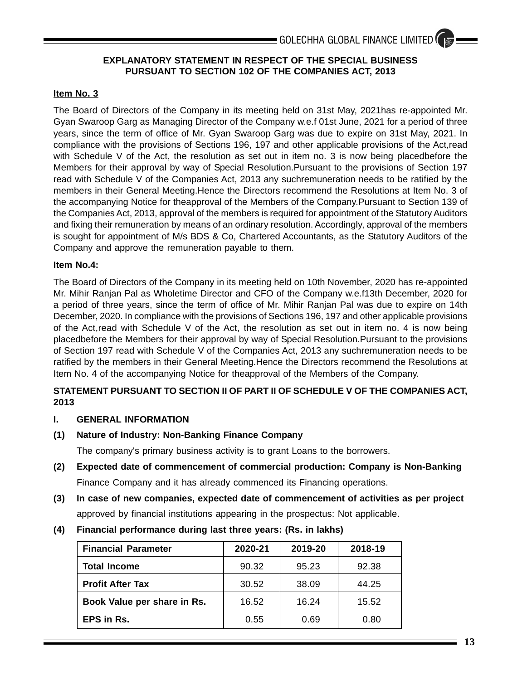#### **EXPLANATORY STATEMENT IN RESPECT OF THE SPECIAL BUSINESS PURSUANT TO SECTION 102 OF THE COMPANIES ACT, 2013**

#### **Item No. 3**

The Board of Directors of the Company in its meeting held on 31st May, 2021has re-appointed Mr. Gyan Swaroop Garg as Managing Director of the Company w.e.f 01st June, 2021 for a period of three years, since the term of office of Mr. Gyan Swaroop Garg was due to expire on 31st May, 2021. In compliance with the provisions of Sections 196, 197 and other applicable provisions of the Act,read with Schedule V of the Act, the resolution as set out in item no. 3 is now being placedbefore the Members for their approval by way of Special Resolution.Pursuant to the provisions of Section 197 read with Schedule V of the Companies Act, 2013 any suchremuneration needs to be ratified by the members in their General Meeting.Hence the Directors recommend the Resolutions at Item No. 3 of the accompanying Notice for theapproval of the Members of the Company.Pursuant to Section 139 of the Companies Act, 2013, approval of the members is required for appointment of the Statutory Auditors and fixing their remuneration by means of an ordinary resolution. Accordingly, approval of the members is sought for appointment of M/s BDS & Co, Chartered Accountants, as the Statutory Auditors of the Company and approve the remuneration payable to them.

#### **Item No.4:**

The Board of Directors of the Company in its meeting held on 10th November, 2020 has re-appointed Mr. Mihir Ranjan Pal as Wholetime Director and CFO of the Company w.e.f13th December, 2020 for a period of three years, since the term of office of Mr. Mihir Ranjan Pal was due to expire on 14th December, 2020. In compliance with the provisions of Sections 196, 197 and other applicable provisions of the Act,read with Schedule V of the Act, the resolution as set out in item no. 4 is now being placedbefore the Members for their approval by way of Special Resolution.Pursuant to the provisions of Section 197 read with Schedule V of the Companies Act, 2013 any suchremuneration needs to be ratified by the members in their General Meeting.Hence the Directors recommend the Resolutions at Item No. 4 of the accompanying Notice for theapproval of the Members of the Company.

#### **STATEMENT PURSUANT TO SECTION II OF PART II OF SCHEDULE V OF THE COMPANIES ACT, 2013**

#### **I. GENERAL INFORMATION**

**(1) Nature of Industry: Non-Banking Finance Company**

The company's primary business activity is to grant Loans to the borrowers.

- **(2) Expected date of commencement of commercial production: Company is Non-Banking** Finance Company and it has already commenced its Financing operations.
- **(3) In case of new companies, expected date of commencement of activities as per project** approved by financial institutions appearing in the prospectus: Not applicable.
- **(4) Financial performance during last three years: (Rs. in lakhs)**

| <b>Financial Parameter</b>  | 2020-21 | 2019-20 | 2018-19 |
|-----------------------------|---------|---------|---------|
| <b>Total Income</b>         | 90.32   | 95.23   | 92.38   |
| <b>Profit After Tax</b>     | 30.52   | 38.09   | 44.25   |
| Book Value per share in Rs. | 16.52   | 16.24   | 15.52   |
| EPS in Rs.                  | 0.55    | 0.69    | 0.80    |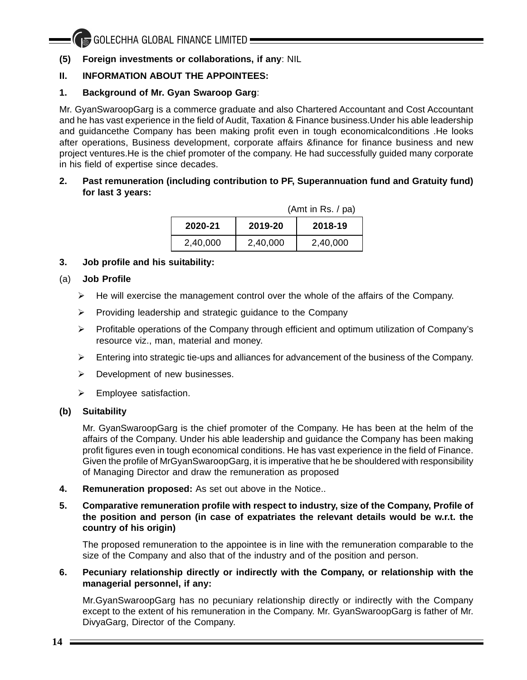**(5) Foreign investments or collaborations, if any**: NIL

#### **II. INFORMATION ABOUT THE APPOINTEES:**

#### **1. Background of Mr. Gyan Swaroop Garg**:

Mr. GyanSwaroopGarg is a commerce graduate and also Chartered Accountant and Cost Accountant and he has vast experience in the field of Audit, Taxation & Finance business.Under his able leadership and guidancethe Company has been making profit even in tough economicalconditions .He looks after operations, Business development, corporate affairs &finance for finance business and new project ventures.He is the chief promoter of the company. He had successfully guided many corporate in his field of expertise since decades.

#### **2. Past remuneration (including contribution to PF, Superannuation fund and Gratuity fund) for last 3 years:**

| (Amt in Rs. $/$ pa) |          |          |  |
|---------------------|----------|----------|--|
| 2020-21             | 2019-20  | 2018-19  |  |
| 2,40,000            | 2,40,000 | 2,40,000 |  |

#### **3. Job profile and his suitability:**

#### (a) **Job Profile**

- $\triangleright$  He will exercise the management control over the whole of the affairs of the Company.
- $\triangleright$  Providing leadership and strategic guidance to the Company
- $\triangleright$  Profitable operations of the Company through efficient and optimum utilization of Company's resource viz., man, material and money.
- $\triangleright$  Entering into strategic tie-ups and alliances for advancement of the business of the Company.
- $\triangleright$  Development of new businesses.
- $\triangleright$  Employee satisfaction.

#### **(b) Suitability**

Mr. GyanSwaroopGarg is the chief promoter of the Company. He has been at the helm of the affairs of the Company. Under his able leadership and guidance the Company has been making profit figures even in tough economical conditions. He has vast experience in the field of Finance. Given the profile of MrGyanSwaroopGarg, it is imperative that he be shouldered with responsibility of Managing Director and draw the remuneration as proposed

- **4. Remuneration proposed:** As set out above in the Notice..
- **5. Comparative remuneration profile with respect to industry, size of the Company, Profile of the position and person (in case of expatriates the relevant details would be w.r.t. the country of his origin)**

The proposed remuneration to the appointee is in line with the remuneration comparable to the size of the Company and also that of the industry and of the position and person.

#### **6. Pecuniary relationship directly or indirectly with the Company, or relationship with the managerial personnel, if any:**

Mr.GyanSwaroopGarg has no pecuniary relationship directly or indirectly with the Company except to the extent of his remuneration in the Company. Mr. GyanSwaroopGarg is father of Mr. DivyaGarg, Director of the Company.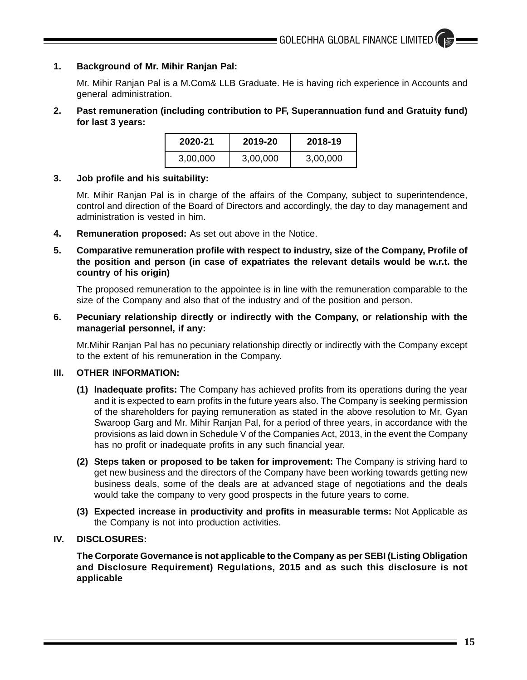#### **1. Background of Mr. Mihir Ranjan Pal:**

Mr. Mihir Ranjan Pal is a M.Com& LLB Graduate. He is having rich experience in Accounts and general administration.

**2. Past remuneration (including contribution to PF, Superannuation fund and Gratuity fund) for last 3 years:**

| 2020-21  | 2019-20  | 2018-19  |
|----------|----------|----------|
| 3,00,000 | 3,00,000 | 3,00,000 |

**3. Job profile and his suitability:**

Mr. Mihir Ranjan Pal is in charge of the affairs of the Company, subject to superintendence, control and direction of the Board of Directors and accordingly, the day to day management and administration is vested in him.

- **4. Remuneration proposed:** As set out above in the Notice.
- **5. Comparative remuneration profile with respect to industry, size of the Company, Profile of the position and person (in case of expatriates the relevant details would be w.r.t. the country of his origin)**

The proposed remuneration to the appointee is in line with the remuneration comparable to the size of the Company and also that of the industry and of the position and person.

#### **6. Pecuniary relationship directly or indirectly with the Company, or relationship with the managerial personnel, if any:**

Mr.Mihir Ranjan Pal has no pecuniary relationship directly or indirectly with the Company except to the extent of his remuneration in the Company.

#### **III. OTHER INFORMATION:**

- **(1) Inadequate profits:** The Company has achieved profits from its operations during the year and it is expected to earn profits in the future years also. The Company is seeking permission of the shareholders for paying remuneration as stated in the above resolution to Mr. Gyan Swaroop Garg and Mr. Mihir Ranjan Pal, for a period of three years, in accordance with the provisions as laid down in Schedule V of the Companies Act, 2013, in the event the Company has no profit or inadequate profits in any such financial year.
- **(2) Steps taken or proposed to be taken for improvement:** The Company is striving hard to get new business and the directors of the Company have been working towards getting new business deals, some of the deals are at advanced stage of negotiations and the deals would take the company to very good prospects in the future years to come.
- **(3) Expected increase in productivity and profits in measurable terms:** Not Applicable as the Company is not into production activities.

#### **IV.** DISCLOSURES:

**The Corporate Governance is not applicable to the Company as per SEBI (Listing Obligation and Disclosure Requirement) Regulations, 2015 and as such this disclosure is not applicable**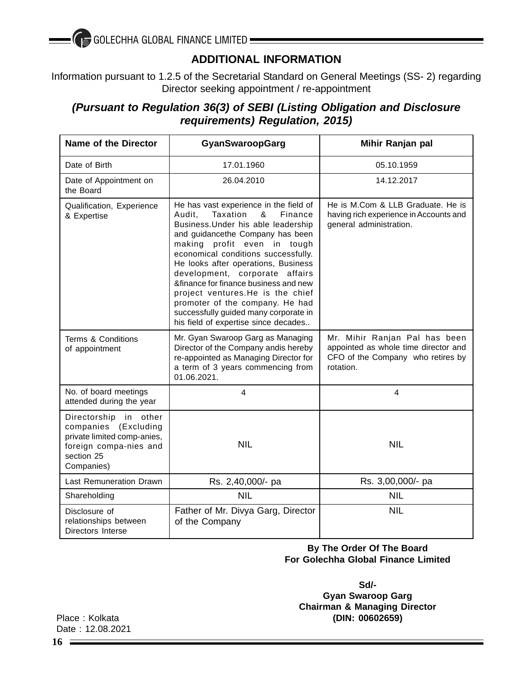#### **ADDITIONAL INFORMATION**

Information pursuant to 1.2.5 of the Secretarial Standard on General Meetings (SS- 2) regarding Director seeking appointment / re-appointment

#### *(Pursuant to Regulation 36(3) of SEBI (Listing Obligation and Disclosure requirements) Regulation, 2015)*

| Name of the Director                                                                                                                     | <b>GyanSwaroopGarg</b>                                                                                                                                                                                                                                                                                                                                                                                                                                                                                   | Mihir Ranjan pal                                                                                                        |
|------------------------------------------------------------------------------------------------------------------------------------------|----------------------------------------------------------------------------------------------------------------------------------------------------------------------------------------------------------------------------------------------------------------------------------------------------------------------------------------------------------------------------------------------------------------------------------------------------------------------------------------------------------|-------------------------------------------------------------------------------------------------------------------------|
| Date of Birth                                                                                                                            | 17.01.1960                                                                                                                                                                                                                                                                                                                                                                                                                                                                                               | 05.10.1959                                                                                                              |
| Date of Appointment on<br>the Board                                                                                                      | 26.04.2010                                                                                                                                                                                                                                                                                                                                                                                                                                                                                               | 14.12.2017                                                                                                              |
| Qualification, Experience<br>& Expertise                                                                                                 | He has vast experience in the field of<br>Taxation<br>&<br>Audit.<br>Finance<br>Business. Under his able leadership<br>and guidancethe Company has been<br>making profit even in tough<br>economical conditions successfully.<br>He looks after operations, Business<br>development, corporate affairs<br>&finance for finance business and new<br>project ventures. He is the chief<br>promoter of the company. He had<br>successfully guided many corporate in<br>his field of expertise since decades | He is M.Com & LLB Graduate. He is<br>having rich experience in Accounts and<br>general administration.                  |
| Terms & Conditions<br>of appointment                                                                                                     | Mr. Gyan Swaroop Garg as Managing<br>Director of the Company andis hereby<br>re-appointed as Managing Director for<br>a term of 3 years commencing from<br>01.06.2021.                                                                                                                                                                                                                                                                                                                                   | Mr. Mihir Ranjan Pal has been<br>appointed as whole time director and<br>CFO of the Company who retires by<br>rotation. |
| No. of board meetings<br>attended during the year                                                                                        | 4                                                                                                                                                                                                                                                                                                                                                                                                                                                                                                        | $\overline{4}$                                                                                                          |
| Directorship<br>in<br>other<br>companies (Excluding<br>private limited comp-anies,<br>foreign compa-nies and<br>section 25<br>Companies) | <b>NIL</b>                                                                                                                                                                                                                                                                                                                                                                                                                                                                                               | <b>NIL</b>                                                                                                              |
| Last Remuneration Drawn                                                                                                                  | Rs. 2,40,000/- pa                                                                                                                                                                                                                                                                                                                                                                                                                                                                                        | Rs. 3,00,000/- pa                                                                                                       |
| Shareholding                                                                                                                             | <b>NIL</b>                                                                                                                                                                                                                                                                                                                                                                                                                                                                                               | <b>NIL</b>                                                                                                              |
| Disclosure of<br>relationships between<br>Directors Interse                                                                              | Father of Mr. Divya Garg, Director<br>of the Company                                                                                                                                                                                                                                                                                                                                                                                                                                                     | <b>NIL</b>                                                                                                              |

#### **By The Order Of The Board For Golechha Global Finance Limited**

**Sd/- Gyan Swaroop Garg Chairman & Managing Director** Place : Kolkata **(DIN: 00602659)**

Date : 12.08.2021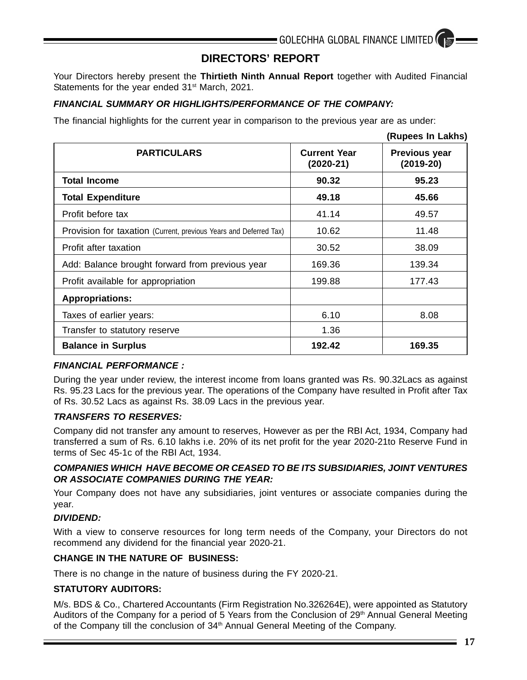#### **DIRECTORS' REPORT**

Your Directors hereby present the **Thirtieth Ninth Annual Report** together with Audited Financial Statements for the year ended 31<sup>st</sup> March, 2021.

#### *FINANCIAL SUMMARY OR HIGHLIGHTS/PERFORMANCE OF THE COMPANY:*

The financial highlights for the current year in comparison to the previous year are as under:

|                                                                          |                                    | (Rupees In Lakhs)                   |
|--------------------------------------------------------------------------|------------------------------------|-------------------------------------|
| <b>PARTICULARS</b>                                                       | <b>Current Year</b><br>$(2020-21)$ | <b>Previous year</b><br>$(2019-20)$ |
| <b>Total Income</b>                                                      | 90.32                              | 95.23                               |
| <b>Total Expenditure</b>                                                 | 49.18                              | 45.66                               |
| Profit before tax                                                        | 41.14                              | 49.57                               |
| <b>Provision for taxation (Current, previous Years and Deferred Tax)</b> | 10.62                              | 11.48                               |
| Profit after taxation                                                    | 30.52                              | 38.09                               |
| Add: Balance brought forward from previous year                          | 169.36                             | 139.34                              |
| Profit available for appropriation                                       | 199.88                             | 177.43                              |
| <b>Appropriations:</b>                                                   |                                    |                                     |
| Taxes of earlier years:                                                  | 6.10                               | 8.08                                |
| Transfer to statutory reserve                                            | 1.36                               |                                     |
| <b>Balance in Surplus</b>                                                | 192.42                             | 169.35                              |

#### *FINANCIAL PERFORMANCE :*

During the year under review, the interest income from loans granted was Rs. 90.32Lacs as against Rs. 95.23 Lacs for the previous year. The operations of the Company have resulted in Profit after Tax of Rs. 30.52 Lacs as against Rs. 38.09 Lacs in the previous year.

#### *TRANSFERS TO RESERVES:*

Company did not transfer any amount to reserves, However as per the RBI Act, 1934, Company had transferred a sum of Rs. 6.10 lakhs i.e. 20% of its net profit for the year 2020-21to Reserve Fund in terms of Sec 45-1c of the RBI Act, 1934.

#### *COMPANIES WHICH HAVE BECOME OR CEASED TO BE ITS SUBSIDIARIES, JOINT VENTURES OR ASSOCIATE COMPANIES DURING THE YEAR:*

Your Company does not have any subsidiaries, joint ventures or associate companies during the year.

#### *DIVIDEND:*

With a view to conserve resources for long term needs of the Company, your Directors do not recommend any dividend for the financial year 2020-21.

#### **CHANGE IN THE NATURE OF BUSINESS:**

There is no change in the nature of business during the FY 2020-21.

#### **STATUTORY AUDITORS:**

M/s. BDS & Co., Chartered Accountants (Firm Registration No.326264E), were appointed as Statutory Auditors of the Company for a period of 5 Years from the Conclusion of 29<sup>th</sup> Annual General Meeting of the Company till the conclusion of 34th Annual General Meeting of the Company.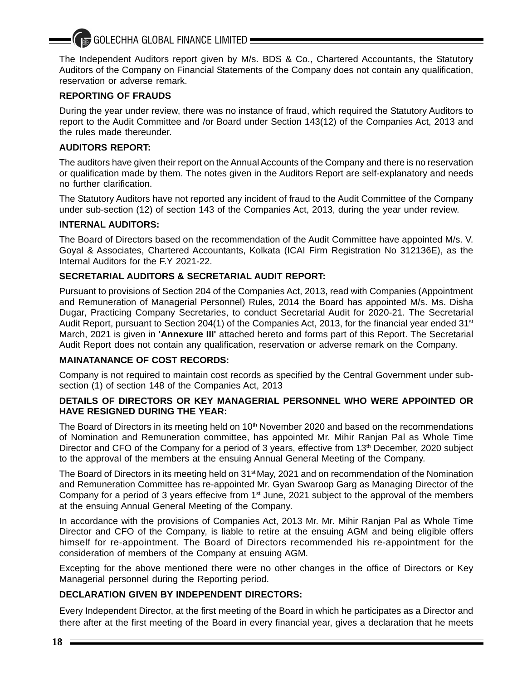The Independent Auditors report given by M/s. BDS & Co., Chartered Accountants, the Statutory Auditors of the Company on Financial Statements of the Company does not contain any qualification, reservation or adverse remark.

#### **REPORTING OF FRAUDS**

During the year under review, there was no instance of fraud, which required the Statutory Auditors to report to the Audit Committee and /or Board under Section 143(12) of the Companies Act, 2013 and the rules made thereunder.

#### **AUDITORS REPORT:**

The auditors have given their report on the Annual Accounts of the Company and there is no reservation or qualification made by them. The notes given in the Auditors Report are self-explanatory and needs no further clarification.

The Statutory Auditors have not reported any incident of fraud to the Audit Committee of the Company under sub-section (12) of section 143 of the Companies Act, 2013, during the year under review.

#### **INTERNAL AUDITORS:**

The Board of Directors based on the recommendation of the Audit Committee have appointed M/s. V. Goyal & Associates, Chartered Accountants, Kolkata (ICAI Firm Registration No 312136E), as the Internal Auditors for the F.Y 2021-22.

#### **SECRETARIAL AUDITORS & SECRETARIAL AUDIT REPORT:**

Pursuant to provisions of Section 204 of the Companies Act, 2013, read with Companies (Appointment and Remuneration of Managerial Personnel) Rules, 2014 the Board has appointed M/s. Ms. Disha Dugar, Practicing Company Secretaries, to conduct Secretarial Audit for 2020-21. The Secretarial Audit Report, pursuant to Section 204(1) of the Companies Act, 2013, for the financial year ended 31<sup>st</sup> March, 2021 is given in **'Annexure III'** attached hereto and forms part of this Report. The Secretarial Audit Report does not contain any qualification, reservation or adverse remark on the Company.

#### **MAINATANANCE OF COST RECORDS:**

Company is not required to maintain cost records as specified by the Central Government under subsection (1) of section 148 of the Companies Act, 2013

#### **DETAILS OF DIRECTORS OR KEY MANAGERIAL PERSONNEL WHO WERE APPOINTED OR HAVE RESIGNED DURING THE YEAR:**

The Board of Directors in its meeting held on 10<sup>th</sup> November 2020 and based on the recommendations of Nomination and Remuneration committee, has appointed Mr. Mihir Ranjan Pal as Whole Time Director and CFO of the Company for a period of 3 years, effective from 13<sup>th</sup> December, 2020 subject to the approval of the members at the ensuing Annual General Meeting of the Company.

The Board of Directors in its meeting held on 31<sup>st</sup> May, 2021 and on recommendation of the Nomination and Remuneration Committee has re-appointed Mr. Gyan Swaroop Garg as Managing Director of the Company for a period of 3 years effecive from  $1<sup>st</sup>$  June, 2021 subject to the approval of the members at the ensuing Annual General Meeting of the Company.

In accordance with the provisions of Companies Act, 2013 Mr. Mr. Mihir Ranjan Pal as Whole Time Director and CFO of the Company, is liable to retire at the ensuing AGM and being eligible offers himself for re-appointment. The Board of Directors recommended his re-appointment for the consideration of members of the Company at ensuing AGM.

Excepting for the above mentioned there were no other changes in the office of Directors or Key Managerial personnel during the Reporting period.

#### **DECLARATION GIVEN BY INDEPENDENT DIRECTORS:**

Every Independent Director, at the first meeting of the Board in which he participates as a Director and there after at the first meeting of the Board in every financial year, gives a declaration that he meets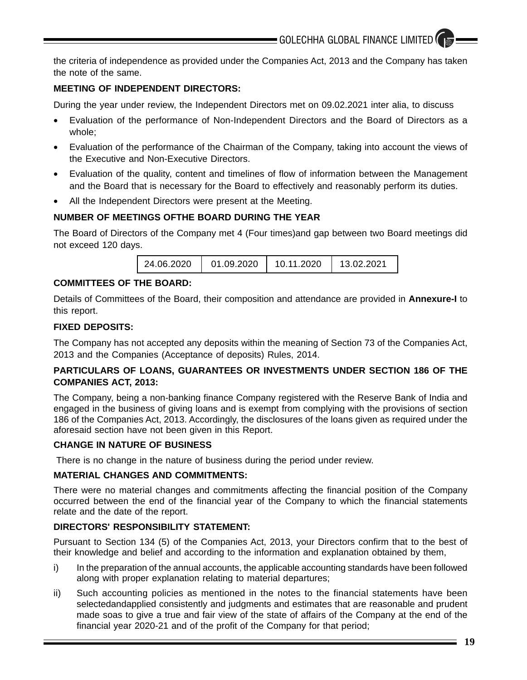the criteria of independence as provided under the Companies Act, 2013 and the Company has taken the note of the same.

#### **MEETING OF INDEPENDENT DIRECTORS:**

During the year under review, the Independent Directors met on 09.02.2021 inter alia, to discuss

- Evaluation of the performance of Non-Independent Directors and the Board of Directors as a whole;
- Evaluation of the performance of the Chairman of the Company, taking into account the views of the Executive and Non-Executive Directors.
- Evaluation of the quality, content and timelines of flow of information between the Management and the Board that is necessary for the Board to effectively and reasonably perform its duties.
- All the Independent Directors were present at the Meeting.

#### **NUMBER OF MEETINGS OFTHE BOARD DURING THE YEAR**

The Board of Directors of the Company met 4 (Four times)and gap between two Board meetings did not exceed 120 days.

| 24.06.2020 | 01.09.2020 | 10.11.2020 | 13.02.2021 |
|------------|------------|------------|------------|
|            |            |            |            |

#### **COMMITTEES OF THE BOARD:**

Details of Committees of the Board, their composition and attendance are provided in **Annexure-I** to this report.

#### **FIXED DEPOSITS:**

The Company has not accepted any deposits within the meaning of Section 73 of the Companies Act, 2013 and the Companies (Acceptance of deposits) Rules, 2014.

#### **PARTICULARS OF LOANS, GUARANTEES OR INVESTMENTS UNDER SECTION 186 OF THE COMPANIES ACT, 2013:**

The Company, being a non-banking finance Company registered with the Reserve Bank of India and engaged in the business of giving loans and is exempt from complying with the provisions of section 186 of the Companies Act, 2013. Accordingly, the disclosures of the loans given as required under the aforesaid section have not been given in this Report.

#### **CHANGE IN NATURE OF BUSINESS**

There is no change in the nature of business during the period under review.

#### **MATERIAL CHANGES AND COMMITMENTS:**

There were no material changes and commitments affecting the financial position of the Company occurred between the end of the financial year of the Company to which the financial statements relate and the date of the report.

#### **DIRECTORS' RESPONSIBILITY STATEMENT:**

Pursuant to Section 134 (5) of the Companies Act, 2013, your Directors confirm that to the best of their knowledge and belief and according to the information and explanation obtained by them,

- i) In the preparation of the annual accounts, the applicable accounting standards have been followed along with proper explanation relating to material departures;
- ii) Such accounting policies as mentioned in the notes to the financial statements have been selectedandapplied consistently and judgments and estimates that are reasonable and prudent made soas to give a true and fair view of the state of affairs of the Company at the end of the financial year 2020-21 and of the profit of the Company for that period;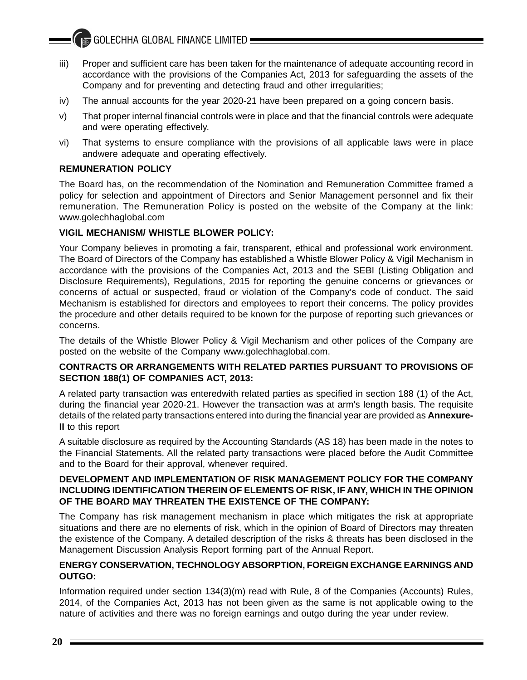- iii) Proper and sufficient care has been taken for the maintenance of adequate accounting record in accordance with the provisions of the Companies Act, 2013 for safeguarding the assets of the Company and for preventing and detecting fraud and other irregularities;
- iv) The annual accounts for the year 2020-21 have been prepared on a going concern basis.
- v) That proper internal financial controls were in place and that the financial controls were adequate and were operating effectively.
- vi) That systems to ensure compliance with the provisions of all applicable laws were in place andwere adequate and operating effectively.

#### **REMUNERATION POLICY**

The Board has, on the recommendation of the Nomination and Remuneration Committee framed a policy for selection and appointment of Directors and Senior Management personnel and fix their remuneration. The Remuneration Policy is posted on the website of the Company at the link: www.golechhaglobal.com

#### **VIGIL MECHANISM/ WHISTLE BLOWER POLICY:**

Your Company believes in promoting a fair, transparent, ethical and professional work environment. The Board of Directors of the Company has established a Whistle Blower Policy & Vigil Mechanism in accordance with the provisions of the Companies Act, 2013 and the SEBI (Listing Obligation and Disclosure Requirements), Regulations, 2015 for reporting the genuine concerns or grievances or concerns of actual or suspected, fraud or violation of the Company's code of conduct. The said Mechanism is established for directors and employees to report their concerns. The policy provides the procedure and other details required to be known for the purpose of reporting such grievances or concerns.

The details of the Whistle Blower Policy & Vigil Mechanism and other polices of the Company are posted on the website of the Company www.golechhaglobal.com.

#### **CONTRACTS OR ARRANGEMENTS WITH RELATED PARTIES PURSUANT TO PROVISIONS OF SECTION 188(1) OF COMPANIES ACT, 2013:**

A related party transaction was enteredwith related parties as specified in section 188 (1) of the Act, during the financial year 2020-21. However the transaction was at arm's length basis. The requisite details of the related party transactions entered into during the financial year are provided as **Annexure-II** to this report

A suitable disclosure as required by the Accounting Standards (AS 18) has been made in the notes to the Financial Statements. All the related party transactions were placed before the Audit Committee and to the Board for their approval, whenever required.

#### **DEVELOPMENT AND IMPLEMENTATION OF RISK MANAGEMENT POLICY FOR THE COMPANY INCLUDING IDENTIFICATION THEREIN OF ELEMENTS OF RISK, IF ANY, WHICH IN THE OPINION OF THE BOARD MAY THREATEN THE EXISTENCE OF THE COMPANY:**

The Company has risk management mechanism in place which mitigates the risk at appropriate situations and there are no elements of risk, which in the opinion of Board of Directors may threaten the existence of the Company. A detailed description of the risks & threats has been disclosed in the Management Discussion Analysis Report forming part of the Annual Report.

#### **ENERGY CONSERVATION, TECHNOLOGY ABSORPTION, FOREIGN EXCHANGE EARNINGS AND OUTGO:**

Information required under section 134(3)(m) read with Rule, 8 of the Companies (Accounts) Rules, 2014, of the Companies Act, 2013 has not been given as the same is not applicable owing to the nature of activities and there was no foreign earnings and outgo during the year under review.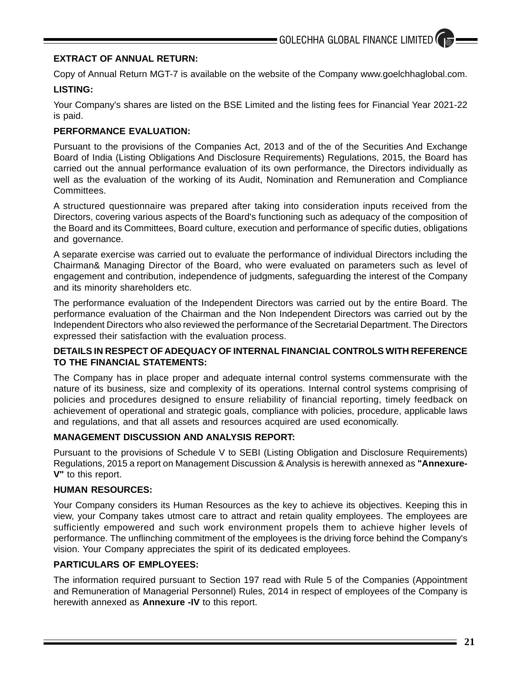#### **EXTRACT OF ANNUAL RETURN:**

Copy of Annual Return MGT-7 is available on the website of the Company www.goelchhaglobal.com.

#### **LISTING:**

Your Company's shares are listed on the BSE Limited and the listing fees for Financial Year 2021-22 is paid.

#### **PERFORMANCE EVALUATION:**

Pursuant to the provisions of the Companies Act, 2013 and of the of the Securities And Exchange Board of India (Listing Obligations And Disclosure Requirements) Regulations, 2015, the Board has carried out the annual performance evaluation of its own performance, the Directors individually as well as the evaluation of the working of its Audit, Nomination and Remuneration and Compliance Committees.

A structured questionnaire was prepared after taking into consideration inputs received from the Directors, covering various aspects of the Board's functioning such as adequacy of the composition of the Board and its Committees, Board culture, execution and performance of specific duties, obligations and governance.

A separate exercise was carried out to evaluate the performance of individual Directors including the Chairman& Managing Director of the Board, who were evaluated on parameters such as level of engagement and contribution, independence of judgments, safeguarding the interest of the Company and its minority shareholders etc.

The performance evaluation of the Independent Directors was carried out by the entire Board. The performance evaluation of the Chairman and the Non Independent Directors was carried out by the Independent Directors who also reviewed the performance of the Secretarial Department. The Directors expressed their satisfaction with the evaluation process.

#### **DETAILS IN RESPECT OF ADEQUACY OF INTERNAL FINANCIAL CONTROLS WITH REFERENCE TO THE FINANCIAL STATEMENTS:**

The Company has in place proper and adequate internal control systems commensurate with the nature of its business, size and complexity of its operations. Internal control systems comprising of policies and procedures designed to ensure reliability of financial reporting, timely feedback on achievement of operational and strategic goals, compliance with policies, procedure, applicable laws and regulations, and that all assets and resources acquired are used economically.

#### **MANAGEMENT DISCUSSION AND ANALYSIS REPORT:**

Pursuant to the provisions of Schedule V to SEBI (Listing Obligation and Disclosure Requirements) Regulations, 2015 a report on Management Discussion & Analysis is herewith annexed as **"Annexure-V"** to this report.

#### **HUMAN RESOURCES:**

Your Company considers its Human Resources as the key to achieve its objectives. Keeping this in view, your Company takes utmost care to attract and retain quality employees. The employees are sufficiently empowered and such work environment propels them to achieve higher levels of performance. The unflinching commitment of the employees is the driving force behind the Company's vision. Your Company appreciates the spirit of its dedicated employees.

#### **PARTICULARS OF EMPLOYEES:**

The information required pursuant to Section 197 read with Rule 5 of the Companies (Appointment and Remuneration of Managerial Personnel) Rules, 2014 in respect of employees of the Company is herewith annexed as **Annexure -IV** to this report.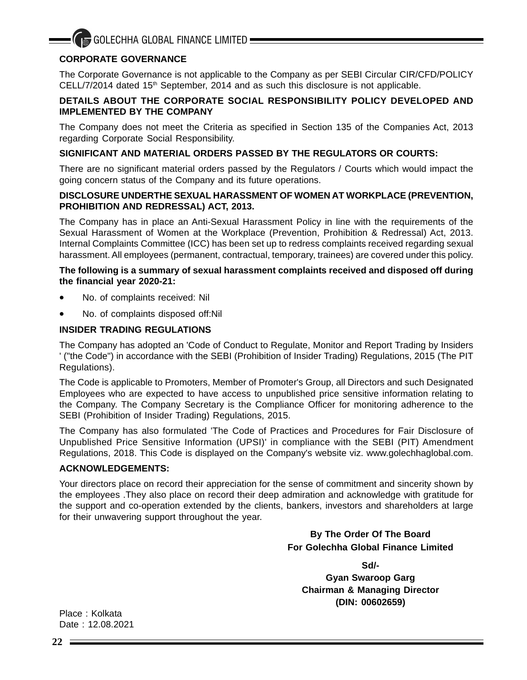#### **CORPORATE GOVERNANCE**

The Corporate Governance is not applicable to the Company as per SEBI Circular CIR/CFD/POLICY  $CELL/7/2014$  dated  $15<sup>th</sup>$  September, 2014 and as such this disclosure is not applicable.

#### **DETAILS ABOUT THE CORPORATE SOCIAL RESPONSIBILITY POLICY DEVELOPED AND IMPLEMENTED BY THE COMPANY**

The Company does not meet the Criteria as specified in Section 135 of the Companies Act, 2013 regarding Corporate Social Responsibility.

#### **SIGNIFICANT AND MATERIAL ORDERS PASSED BY THE REGULATORS OR COURTS:**

There are no significant material orders passed by the Regulators / Courts which would impact the going concern status of the Company and its future operations.

#### **DISCLOSURE UNDERTHE SEXUAL HARASSMENT OF WOMEN AT WORKPLACE (PREVENTION, PROHIBITION AND REDRESSAL) ACT, 2013.**

The Company has in place an Anti-Sexual Harassment Policy in line with the requirements of the Sexual Harassment of Women at the Workplace (Prevention, Prohibition & Redressal) Act, 2013. Internal Complaints Committee (ICC) has been set up to redress complaints received regarding sexual harassment. All employees (permanent, contractual, temporary, trainees) are covered under this policy.

#### **The following is a summary of sexual harassment complaints received and disposed off during the financial year 2020-21:**

- No. of complaints received: Nil
- No. of complaints disposed off:Nil

#### **INSIDER TRADING REGULATIONS**

The Company has adopted an 'Code of Conduct to Regulate, Monitor and Report Trading by Insiders ' ("the Code") in accordance with the SEBI (Prohibition of Insider Trading) Regulations, 2015 (The PIT Regulations).

The Code is applicable to Promoters, Member of Promoter's Group, all Directors and such Designated Employees who are expected to have access to unpublished price sensitive information relating to the Company. The Company Secretary is the Compliance Officer for monitoring adherence to the SEBI (Prohibition of Insider Trading) Regulations, 2015.

The Company has also formulated 'The Code of Practices and Procedures for Fair Disclosure of Unpublished Price Sensitive Information (UPSI)' in compliance with the SEBI (PIT) Amendment Regulations, 2018. This Code is displayed on the Company's website viz. www.golechhaglobal.com.

#### **ACKNOWLEDGEMENTS:**

Your directors place on record their appreciation for the sense of commitment and sincerity shown by the employees .They also place on record their deep admiration and acknowledge with gratitude for the support and co-operation extended by the clients, bankers, investors and shareholders at large for their unwavering support throughout the year.

#### **By The Order Of The Board For Golechha Global Finance Limited**

**Sd/-**

**Gyan Swaroop Garg Chairman & Managing Director (DIN: 00602659)**

Place : Kolkata Date : 12.08.2021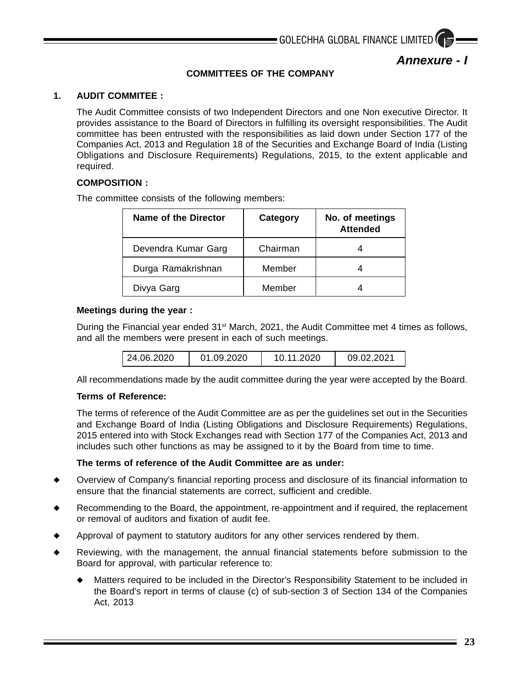*Annexure - I*

#### **COMMITTEES OF THE COMPANY**

#### **1. AUDIT COMMITEE :**

The Audit Committee consists of two Independent Directors and one Non executive Director. It provides assistance to the Board of Directors in fulfilling its oversight responsibilities. The Audit committee has been entrusted with the responsibilities as laid down under Section 177 of the Companies Act, 2013 and Regulation 18 of the Securities and Exchange Board of India (Listing Obligations and Disclosure Requirements) Regulations, 2015, to the extent applicable and required.

#### **COMPOSITION :**

The committee consists of the following members:

| Name of the Director | Category | No. of meetings<br><b>Attended</b> |
|----------------------|----------|------------------------------------|
| Devendra Kumar Garg  | Chairman |                                    |
| Durga Ramakrishnan   | Member   |                                    |
| Divya Garg           | Member   |                                    |

#### **Meetings during the year :**

During the Financial year ended  $31<sup>st</sup>$  March, 2021, the Audit Committee met 4 times as follows, and all the members were present in each of such meetings.

| 24.06.2020 | 01.09.2020 | 10.11.2020 | 09.02.2021 |
|------------|------------|------------|------------|
|------------|------------|------------|------------|

All recommendations made by the audit committee during the year were accepted by the Board.

#### **Terms of Reference:**

The terms of reference of the Audit Committee are as per the guidelines set out in the Securities and Exchange Board of India (Listing Obligations and Disclosure Requirements) Regulations, 2015 entered into with Stock Exchanges read with Section 177 of the Companies Act, 2013 and includes such other functions as may be assigned to it by the Board from time to time.

#### **The terms of reference of the Audit Committee are as under:**

- Overview of Company's financial reporting process and disclosure of its financial information to ensure that the financial statements are correct, sufficient and credible.
- Recommending to the Board, the appointment, re-appointment and if required, the replacement or removal of auditors and fixation of audit fee.
- Approval of payment to statutory auditors for any other services rendered by them.
- Reviewing, with the management, the annual financial statements before submission to the Board for approval, with particular reference to:
	- Matters required to be included in the Director's Responsibility Statement to be included in the Board's report in terms of clause (c) of sub-section 3 of Section 134 of the Companies Act, 2013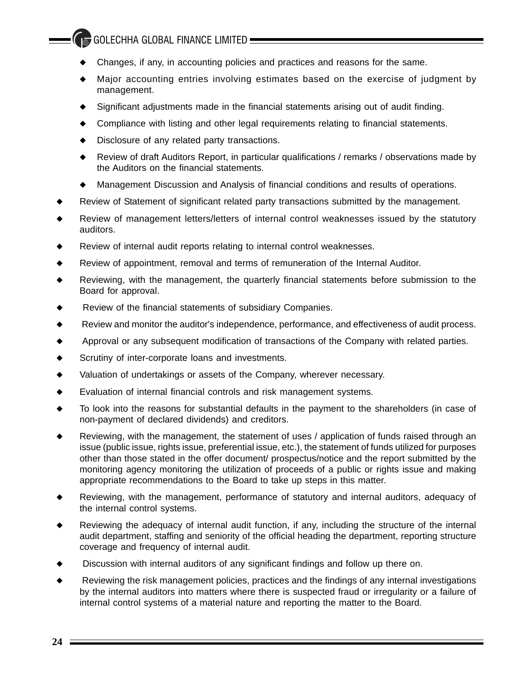- Changes, if any, in accounting policies and practices and reasons for the same.
- Major accounting entries involving estimates based on the exercise of judgment by management.
- ◆ Significant adjustments made in the financial statements arising out of audit finding.
- ◆ Compliance with listing and other legal requirements relating to financial statements.
- ◆ Disclosure of any related party transactions.
- ◆ Review of draft Auditors Report, in particular qualifications / remarks / observations made by the Auditors on the financial statements.
- ◆ Management Discussion and Analysis of financial conditions and results of operations.
- Review of Statement of significant related party transactions submitted by the management.
- Review of management letters/letters of internal control weaknesses issued by the statutory auditors.
- Review of internal audit reports relating to internal control weaknesses.
- Review of appointment, removal and terms of remuneration of the Internal Auditor.
- Reviewing, with the management, the quarterly financial statements before submission to the Board for approval.
- Review of the financial statements of subsidiary Companies.
- Review and monitor the auditor's independence, performance, and effectiveness of audit process.
- ◆ Approval or any subsequent modification of transactions of the Company with related parties.
- ◆ Scrutiny of inter-corporate loans and investments.
- Valuation of undertakings or assets of the Company, wherever necessary.
- Evaluation of internal financial controls and risk management systems.
- To look into the reasons for substantial defaults in the payment to the shareholders (in case of non-payment of declared dividends) and creditors.
- Reviewing, with the management, the statement of uses / application of funds raised through an issue (public issue, rights issue, preferential issue, etc.), the statement of funds utilized for purposes other than those stated in the offer document/ prospectus/notice and the report submitted by the monitoring agency monitoring the utilization of proceeds of a public or rights issue and making appropriate recommendations to the Board to take up steps in this matter.
- Reviewing, with the management, performance of statutory and internal auditors, adequacy of the internal control systems.
- Reviewing the adequacy of internal audit function, if any, including the structure of the internal audit department, staffing and seniority of the official heading the department, reporting structure coverage and frequency of internal audit.
- Discussion with internal auditors of any significant findings and follow up there on.
- Reviewing the risk management policies, practices and the findings of any internal investigations by the internal auditors into matters where there is suspected fraud or irregularity or a failure of internal control systems of a material nature and reporting the matter to the Board.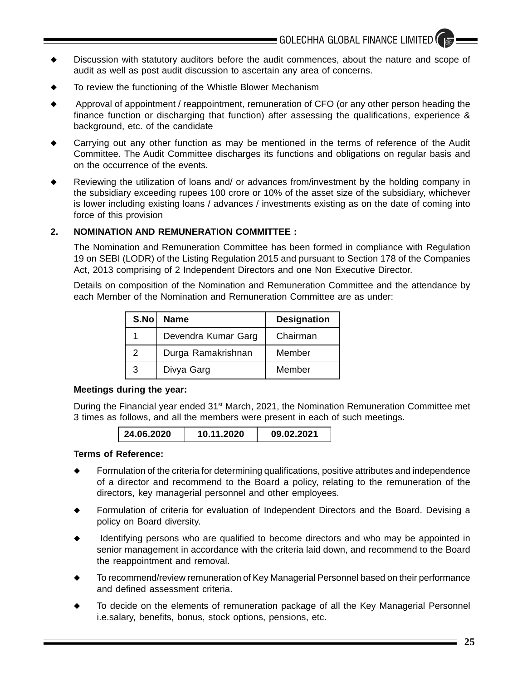- Discussion with statutory auditors before the audit commences, about the nature and scope of audit as well as post audit discussion to ascertain any area of concerns.
- To review the functioning of the Whistle Blower Mechanism
- ◆ Approval of appointment / reappointment, remuneration of CFO (or any other person heading the finance function or discharging that function) after assessing the qualifications, experience & background, etc. of the candidate
- Carrying out any other function as may be mentioned in the terms of reference of the Audit Committee. The Audit Committee discharges its functions and obligations on regular basis and on the occurrence of the events.
- Reviewing the utilization of loans and/ or advances from/investment by the holding company in the subsidiary exceeding rupees 100 crore or 10% of the asset size of the subsidiary, whichever is lower including existing loans / advances / investments existing as on the date of coming into force of this provision

#### **2. NOMINATION AND REMUNERATION COMMITTEE :**

The Nomination and Remuneration Committee has been formed in compliance with Regulation 19 on SEBI (LODR) of the Listing Regulation 2015 and pursuant to Section 178 of the Companies Act, 2013 comprising of 2 Independent Directors and one Non Executive Director.

Details on composition of the Nomination and Remuneration Committee and the attendance by each Member of the Nomination and Remuneration Committee are as under:

| S.No | Name                | <b>Designation</b> |
|------|---------------------|--------------------|
|      | Devendra Kumar Garg | Chairman           |
| 2    | Durga Ramakrishnan  | Member             |
| 3    | Divya Garg          | Member             |

#### **Meetings during the year:**

During the Financial year ended 31<sup>st</sup> March, 2021, the Nomination Remuneration Committee met 3 times as follows, and all the members were present in each of such meetings.

| 24.06.2020 | 10.11.2020 | 09.02.2021 |
|------------|------------|------------|
|            |            |            |

#### **Terms of Reference:**

- Formulation of the criteria for determining qualifications, positive attributes and independence of a director and recommend to the Board a policy, relating to the remuneration of the directors, key managerial personnel and other employees.
- Formulation of criteria for evaluation of Independent Directors and the Board. Devising a policy on Board diversity.
- Identifying persons who are qualified to become directors and who may be appointed in senior management in accordance with the criteria laid down, and recommend to the Board the reappointment and removal.
- To recommend/review remuneration of Key Managerial Personnel based on their performance and defined assessment criteria.
- To decide on the elements of remuneration package of all the Key Managerial Personnel i.e.salary, benefits, bonus, stock options, pensions, etc.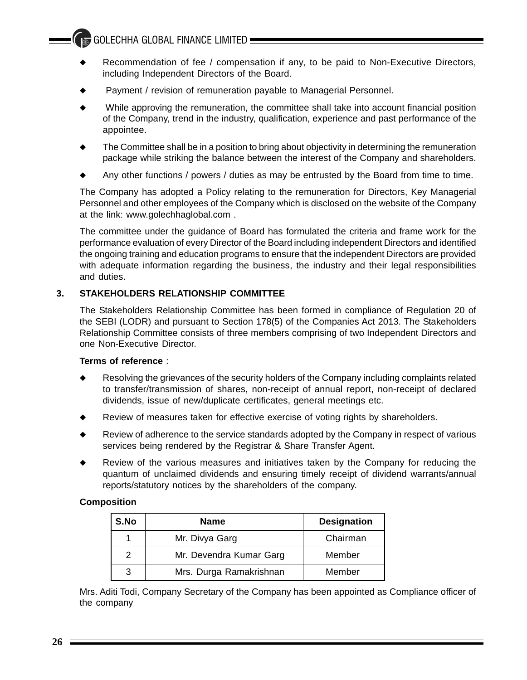- ◆ Recommendation of fee / compensation if any, to be paid to Non-Executive Directors, including Independent Directors of the Board.
- Payment / revision of remuneration payable to Managerial Personnel.
- ◆ While approving the remuneration, the committee shall take into account financial position of the Company, trend in the industry, qualification, experience and past performance of the appointee.
- The Committee shall be in a position to bring about objectivity in determining the remuneration package while striking the balance between the interest of the Company and shareholders.
- Any other functions / powers / duties as may be entrusted by the Board from time to time.

The Company has adopted a Policy relating to the remuneration for Directors, Key Managerial Personnel and other employees of the Company which is disclosed on the website of the Company at the link: www.golechhaglobal.com .

The committee under the guidance of Board has formulated the criteria and frame work for the performance evaluation of every Director of the Board including independent Directors and identified the ongoing training and education programs to ensure that the independent Directors are provided with adequate information regarding the business, the industry and their legal responsibilities and duties.

#### **3. STAKEHOLDERS RELATIONSHIP COMMITTEE**

The Stakeholders Relationship Committee has been formed in compliance of Regulation 20 of the SEBI (LODR) and pursuant to Section 178(5) of the Companies Act 2013. The Stakeholders Relationship Committee consists of three members comprising of two Independent Directors and one Non-Executive Director.

#### **Terms of reference** :

- Resolving the grievances of the security holders of the Company including complaints related to transfer/transmission of shares, non-receipt of annual report, non-receipt of declared dividends, issue of new/duplicate certificates, general meetings etc.
- Review of measures taken for effective exercise of voting rights by shareholders.
- ◆ Review of adherence to the service standards adopted by the Company in respect of various services being rendered by the Registrar & Share Transfer Agent.
- ◆ Review of the various measures and initiatives taken by the Company for reducing the quantum of unclaimed dividends and ensuring timely receipt of dividend warrants/annual reports/statutory notices by the shareholders of the company.

#### **Composition**

| S.No | Name                    | <b>Designation</b> |
|------|-------------------------|--------------------|
|      | Mr. Divya Garg          | Chairman           |
|      | Mr. Devendra Kumar Garg | Member             |
| 3    | Mrs. Durga Ramakrishnan | Member             |

Mrs. Aditi Todi, Company Secretary of the Company has been appointed as Compliance officer of the company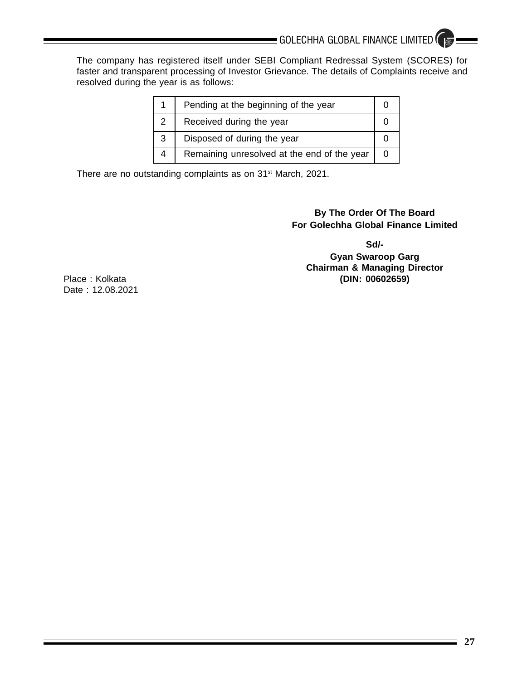$\blacksquare$  GOLECHHA GLOBAL FINANCE LIMITED  $\bigcap$ 

 $\overline{ }$ 

The company has registered itself under SEBI Compliant Redressal System (SCORES) for faster and transparent processing of Investor Grievance. The details of Complaints receive and resolved during the year is as follows:

|   | Pending at the beginning of the year        |  |
|---|---------------------------------------------|--|
| 2 | Received during the year                    |  |
| 3 | Disposed of during the year                 |  |
|   | Remaining unresolved at the end of the year |  |

There are no outstanding complaints as on 31<sup>st</sup> March, 2021.

**By The Order Of The Board For Golechha Global Finance Limited**

**Sd/-**

**Gyan Swaroop Garg Chairman & Managing Director** Place : Kolkata **(DIN: 00602659)**

Date : 12.08.2021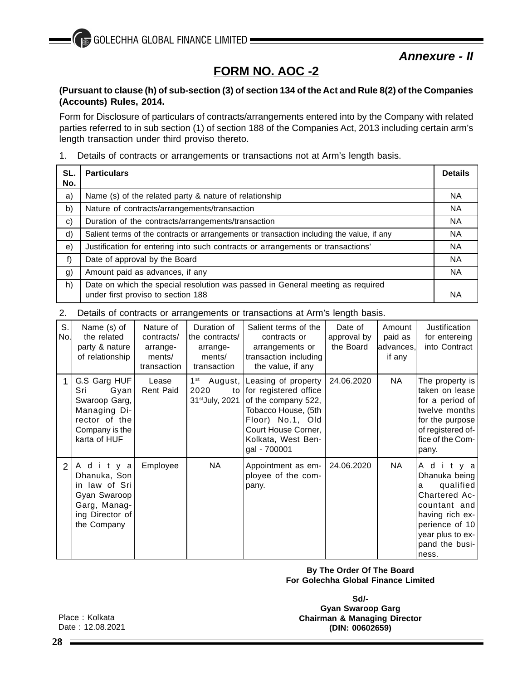*Annexure - II*

#### **FORM NO. AOC -2**

#### **(Pursuant to clause (h) of sub-section (3) of section 134 of the Act and Rule 8(2) of the Companies (Accounts) Rules, 2014.**

Form for Disclosure of particulars of contracts/arrangements entered into by the Company with related parties referred to in sub section (1) of section 188 of the Companies Act, 2013 including certain arm's length transaction under third proviso thereto.

1. Details of contracts or arrangements or transactions not at Arm's length basis.

| SL. | <b>Particulars</b>                                                                                                   | <b>Details</b> |
|-----|----------------------------------------------------------------------------------------------------------------------|----------------|
| No. |                                                                                                                      |                |
| a)  | Name (s) of the related party & nature of relationship                                                               | <b>NA</b>      |
| b)  | Nature of contracts/arrangements/transaction                                                                         | <b>NA</b>      |
| c)  | Duration of the contracts/arrangements/transaction                                                                   | <b>NA</b>      |
| d)  | Salient terms of the contracts or arrangements or transaction including the value, if any                            | <b>NA</b>      |
| e)  | Justification for entering into such contracts or arrangements or transactions'                                      | <b>NA</b>      |
| f)  | Date of approval by the Board                                                                                        | <b>NA</b>      |
| g)  | Amount paid as advances, if any                                                                                      | <b>NA</b>      |
| h)  | Date on which the special resolution was passed in General meeting as required<br>under first proviso to section 188 | <b>NA</b>      |

2. Details of contracts or arrangements or transactions at Arm's length basis.

| S.<br>No.     | Name (s) of<br>the related<br>party & nature<br>of relationship                                                 | Nature of<br>contracts/<br>arrange-<br>ments/<br>transaction | Duration of<br>the contracts/<br>arrange-<br>ments/<br>transaction | Salient terms of the<br>contracts or<br>arrangements or<br>transaction including<br>the value, if any                                                                                                  | Date of<br>approval by<br>the Board | Amount<br>paid as<br> advances. <br>if any | Justification<br>for entereing<br>into Contract                                                                                                                |
|---------------|-----------------------------------------------------------------------------------------------------------------|--------------------------------------------------------------|--------------------------------------------------------------------|--------------------------------------------------------------------------------------------------------------------------------------------------------------------------------------------------------|-------------------------------------|--------------------------------------------|----------------------------------------------------------------------------------------------------------------------------------------------------------------|
|               | G.S Garg HUF<br>Sri<br>Gyan<br>Swaroop Garg,<br>Managing Di-<br>rector of the<br>Company is the<br>karta of HUF | Lease<br><b>Rent Paid</b>                                    | 2020<br>31 <sup>st</sup> July, 2021                                | 1 <sup>st</sup> August, Leasing of property<br>to for registered office<br>of the company 522,<br>Tobacco House, (5th<br>Floor) No.1, Old<br>Court House Corner,<br>Kolkata, West Ben-<br>gal - 700001 | 24.06.2020                          | NA                                         | The property is<br>taken on lease<br>for a period of<br>twelve months<br>for the purpose<br>of registered of-<br>fice of the Com-<br>pany.                     |
| $\mathcal{P}$ | Aditya<br>Dhanuka, Son<br>in law of Sri<br>Gyan Swaroop<br>Garg, Manag-<br>ing Director of<br>the Company       | Employee                                                     | NA                                                                 | Appointment as em-<br>ployee of the com-<br>pany.                                                                                                                                                      | 24.06.2020                          | <b>NA</b>                                  | Aditya<br>Dhanuka being<br>qualified<br>a<br>Chartered Ac-<br>countant and<br>having rich ex-<br>perience of 10<br>year plus to ex-<br>pand the busi-<br>ness. |

#### **By The Order Of The Board For Golechha Global Finance Limited**

**Sd/- Gyan Swaroop Garg Chairman & Managing Director (DIN: 00602659)**

Place : Kolkata Date : 12.08.2021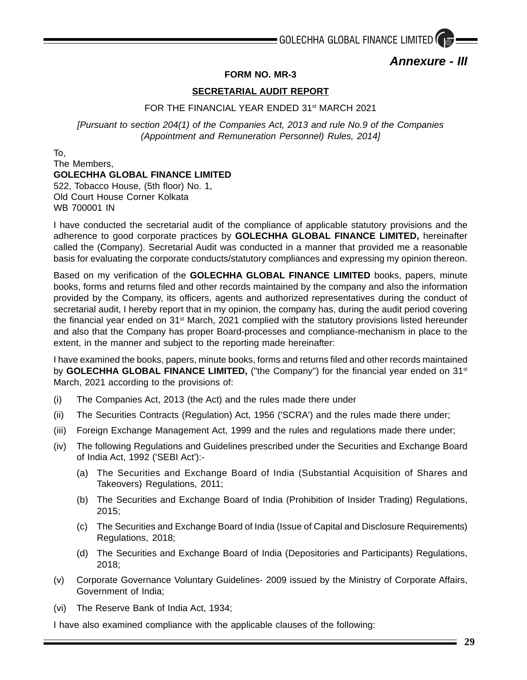#### *Annexure - III*

#### **FORM NO. MR-3**

#### **SECRETARIAL AUDIT REPORT**

#### FOR THE FINANCIAL YEAR ENDED 31st MARCH 2021

*[Pursuant to section 204(1) of the Companies Act, 2013 and rule No.9 of the Companies (Appointment and Remuneration Personnel) Rules, 2014]*

To, The Members, **GOLECHHA GLOBAL FINANCE LIMITED** 522, Tobacco House, (5th floor) No. 1, Old Court House Corner Kolkata WB 700001 IN

I have conducted the secretarial audit of the compliance of applicable statutory provisions and the adherence to good corporate practices by **GOLECHHA GLOBAL FINANCE LIMITED,** hereinafter called the (Company). Secretarial Audit was conducted in a manner that provided me a reasonable basis for evaluating the corporate conducts/statutory compliances and expressing my opinion thereon.

Based on my verification of the **GOLECHHA GLOBAL FINANCE LIMITED** books, papers, minute books, forms and returns filed and other records maintained by the company and also the information provided by the Company, its officers, agents and authorized representatives during the conduct of secretarial audit, I hereby report that in my opinion, the company has, during the audit period covering the financial year ended on 31<sup>st</sup> March, 2021 complied with the statutory provisions listed hereunder and also that the Company has proper Board-processes and compliance-mechanism in place to the extent, in the manner and subject to the reporting made hereinafter:

I have examined the books, papers, minute books, forms and returns filed and other records maintained by **GOLECHHA GLOBAL FINANCE LIMITED,** ("the Company") for the financial year ended on 31<sup>st</sup> March, 2021 according to the provisions of:

- (i) The Companies Act, 2013 (the Act) and the rules made there under
- (ii) The Securities Contracts (Regulation) Act, 1956 ('SCRA') and the rules made there under;
- (iii) Foreign Exchange Management Act, 1999 and the rules and regulations made there under;
- (iv) The following Regulations and Guidelines prescribed under the Securities and Exchange Board of India Act, 1992 ('SEBI Act'):-
	- (a) The Securities and Exchange Board of India (Substantial Acquisition of Shares and Takeovers) Regulations, 2011;
	- (b) The Securities and Exchange Board of India (Prohibition of Insider Trading) Regulations, 2015;
	- (c) The Securities and Exchange Board of India (Issue of Capital and Disclosure Requirements) Regulations, 2018;
	- (d) The Securities and Exchange Board of India (Depositories and Participants) Regulations, 2018;
- (v) Corporate Governance Voluntary Guidelines- 2009 issued by the Ministry of Corporate Affairs, Government of India;
- (vi) The Reserve Bank of India Act, 1934;

I have also examined compliance with the applicable clauses of the following: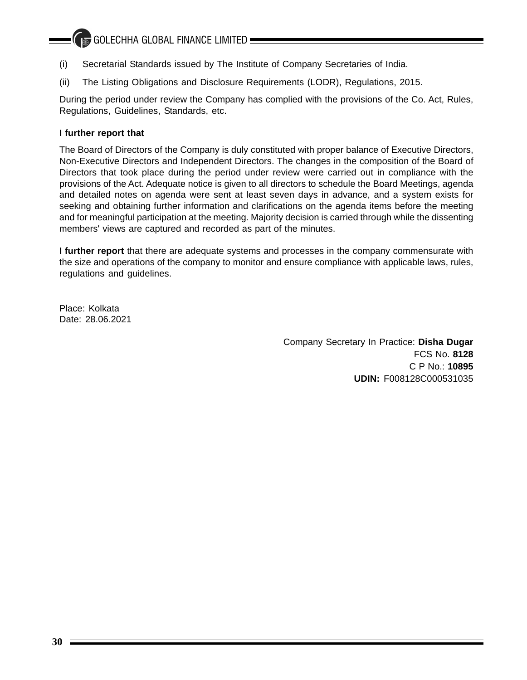- (i) Secretarial Standards issued by The Institute of Company Secretaries of India.
- (ii) The Listing Obligations and Disclosure Requirements (LODR), Regulations, 2015.

During the period under review the Company has complied with the provisions of the Co. Act, Rules, Regulations, Guidelines, Standards, etc.

#### **I further report that**

The Board of Directors of the Company is duly constituted with proper balance of Executive Directors, Non-Executive Directors and Independent Directors. The changes in the composition of the Board of Directors that took place during the period under review were carried out in compliance with the provisions of the Act. Adequate notice is given to all directors to schedule the Board Meetings, agenda and detailed notes on agenda were sent at least seven days in advance, and a system exists for seeking and obtaining further information and clarifications on the agenda items before the meeting and for meaningful participation at the meeting. Majority decision is carried through while the dissenting members' views are captured and recorded as part of the minutes.

**I further report** that there are adequate systems and processes in the company commensurate with the size and operations of the company to monitor and ensure compliance with applicable laws, rules, regulations and guidelines.

Place: Kolkata Date: 28.06.2021

> Company Secretary In Practice: **Disha Dugar** FCS No. **8128** C P No.: **10895 UDIN:** F008128C000531035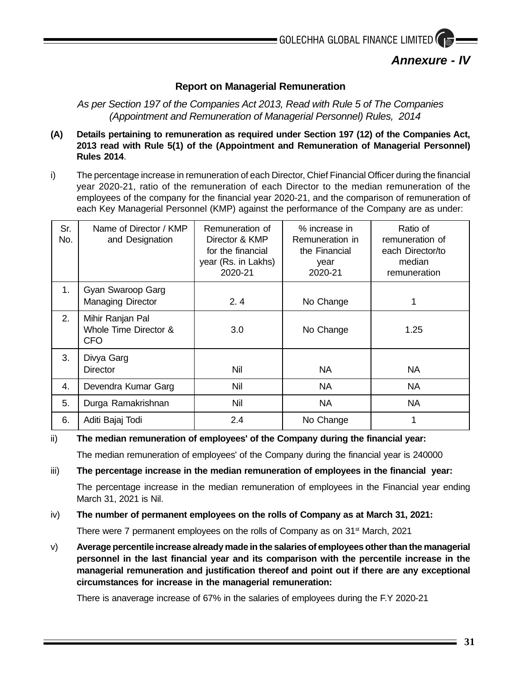#### *Annexure - IV*

#### **Report on Managerial Remuneration**

*As per Section 197 of the Companies Act 2013, Read with Rule 5 of The Companies (Appointment and Remuneration of Managerial Personnel) Rules, 2014*

- **(A) Details pertaining to remuneration as required under Section 197 (12) of the Companies Act, 2013 read with Rule 5(1) of the (Appointment and Remuneration of Managerial Personnel) Rules 2014**.
- i) The percentage increase in remuneration of each Director, Chief Financial Officer during the financial year 2020-21, ratio of the remuneration of each Director to the median remuneration of the employees of the company for the financial year 2020-21, and the comparison of remuneration of each Key Managerial Personnel (KMP) against the performance of the Company are as under:

| Sr.<br>No. | Name of Director / KMP<br>and Designation        | Remuneration of<br>Director & KMP<br>for the financial<br>year (Rs. in Lakhs)<br>2020-21 | % increase in<br>Remuneration in<br>the Financial<br>year<br>2020-21 | Ratio of<br>remuneration of<br>each Director/to<br>median<br>remuneration |
|------------|--------------------------------------------------|------------------------------------------------------------------------------------------|----------------------------------------------------------------------|---------------------------------------------------------------------------|
| 1.         | Gyan Swaroop Garg<br><b>Managing Director</b>    | 2, 4                                                                                     | No Change                                                            |                                                                           |
| 2.         | Mihir Ranjan Pal<br>Whole Time Director &<br>CFO | 3.0                                                                                      | No Change                                                            | 1.25                                                                      |
| 3.         | Divya Garg<br><b>Director</b>                    | Nil                                                                                      | NA.                                                                  | NA.                                                                       |
| 4.         | Devendra Kumar Garg                              | Nil                                                                                      | <b>NA</b>                                                            | NA.                                                                       |
| 5.         | Durga Ramakrishnan                               | Nil                                                                                      | <b>NA</b>                                                            | NA.                                                                       |
| 6.         | Aditi Bajaj Todi                                 | 2.4                                                                                      | No Change                                                            |                                                                           |

#### ii) **The median remuneration of employees' of the Company during the financial year:**

The median remuneration of employees' of the Company during the financial year is 240000

#### iii) **The percentage increase in the median remuneration of employees in the financial year:**

The percentage increase in the median remuneration of employees in the Financial year ending March 31, 2021 is Nil.

#### iv) **The number of permanent employees on the rolls of Company as at March 31, 2021:**

There were 7 permanent employees on the rolls of Company as on  $31<sup>st</sup>$  March, 2021

v) **Average percentile increase already made in the salaries of employees other than the managerial personnel in the last financial year and its comparison with the percentile increase in the managerial remuneration and justification thereof and point out if there are any exceptional circumstances for increase in the managerial remuneration:**

There is anaverage increase of 67% in the salaries of employees during the F.Y 2020-21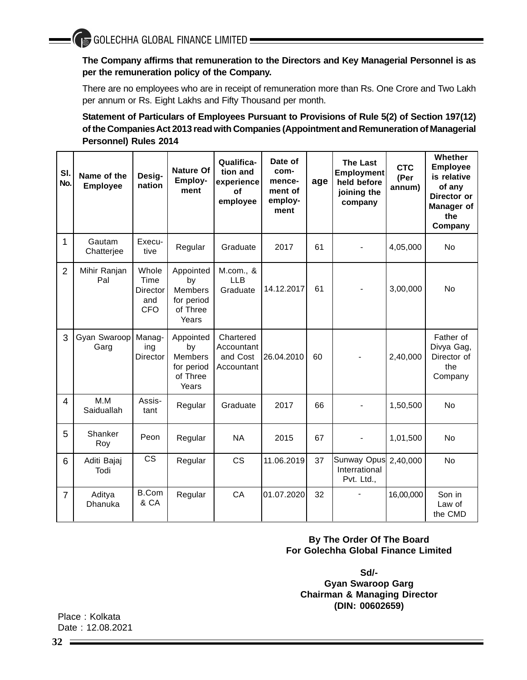**The Company affirms that remuneration to the Directors and Key Managerial Personnel is as per the remuneration policy of the Company.**

There are no employees who are in receipt of remuneration more than Rs. One Crore and Two Lakh per annum or Rs. Eight Lakhs and Fifty Thousand per month.

**Statement of Particulars of Employees Pursuant to Provisions of Rule 5(2) of Section 197(12) of the Companies Act 2013 read with Companies (Appointment and Remuneration of Managerial Personnel) Rules 2014**

| SI.<br>No.     | Name of the<br><b>Employee</b> | Desig-<br>nation                        | Nature Of<br>Employ-<br>ment                                         | Qualifica-<br>tion and<br>experience<br>of<br>employee | Date of<br>com-<br>mence-<br>ment of<br>employ-<br>ment | age | The Last<br><b>Employment</b><br>held before<br>joining the<br>company | <b>CTC</b><br>(Per<br>annum) | Whether<br><b>Employee</b><br>is relative<br>of any<br>Director or<br>Manager of<br>the<br>Company |
|----------------|--------------------------------|-----------------------------------------|----------------------------------------------------------------------|--------------------------------------------------------|---------------------------------------------------------|-----|------------------------------------------------------------------------|------------------------------|----------------------------------------------------------------------------------------------------|
| 1              | Gautam<br>Chatterjee           | Execu-<br>tive                          | Regular                                                              | Graduate                                               | 2017                                                    | 61  |                                                                        | 4,05,000                     | <b>No</b>                                                                                          |
| $\overline{2}$ | Mihir Ranjan<br>Pal            | Whole<br>Time<br>Director<br>and<br>CFO | Appointed<br>by<br><b>Members</b><br>for period<br>of Three<br>Years | M.com., &<br><b>LLB</b><br>Graduate                    | 14.12.2017                                              | 61  |                                                                        | 3,00,000                     | <b>No</b>                                                                                          |
| 3              | Gyan Swaroop<br>Garg           | Manag-<br>ing<br>Director               | Appointed<br>by<br><b>Members</b><br>for period<br>of Three<br>Years | Chartered<br>Accountant<br>and Cost<br>Accountant      | 26.04.2010                                              | 60  |                                                                        | 2,40,000                     | Father of<br>Divya Gag,<br>Director of<br>the<br>Company                                           |
| 4              | M.M<br>Saiduallah              | Assis-<br>tant                          | Regular                                                              | Graduate                                               | 2017                                                    | 66  |                                                                        | 1,50,500                     | <b>No</b>                                                                                          |
| 5              | Shanker<br>Roy                 | Peon                                    | Regular                                                              | <b>NA</b>                                              | 2015                                                    | 67  |                                                                        | 1,01,500                     | <b>No</b>                                                                                          |
| 6              | Aditi Bajaj<br>Todi            | <b>CS</b>                               | Regular                                                              | CS                                                     | 11.06.2019                                              | 37  | <b>Sunway Opus</b><br>Interrational<br>Pvt. Ltd                        | 2,40,000                     | <b>No</b>                                                                                          |
| $\overline{7}$ | Aditya<br>Dhanuka              | B.Com<br>& CA                           | Regular                                                              | CA                                                     | 01.07.2020                                              | 32  |                                                                        | 16,00,000                    | Son in<br>Law of<br>the CMD                                                                        |

#### **By The Order Of The Board For Golechha Global Finance Limited**

**Sd/- Gyan Swaroop Garg Chairman & Managing Director (DIN: 00602659)**

Place : Kolkata Date : 12.08.2021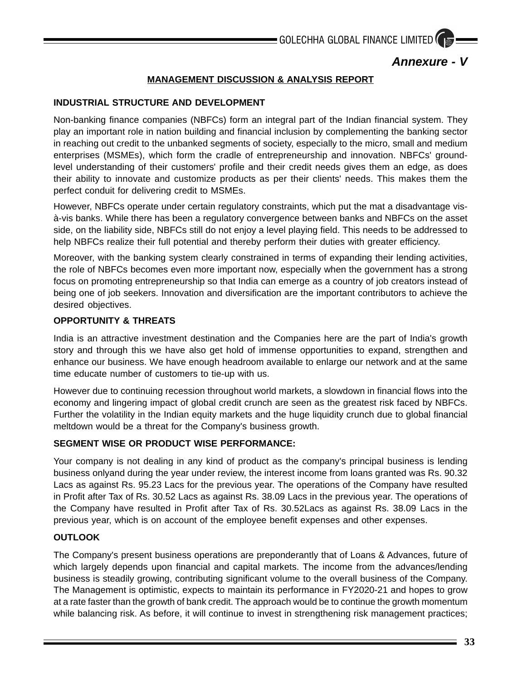#### *Annexure - V*

#### **MANAGEMENT DISCUSSION & ANALYSIS REPORT**

#### **INDUSTRIAL STRUCTURE AND DEVELOPMENT**

Non-banking finance companies (NBFCs) form an integral part of the Indian financial system. They play an important role in nation building and financial inclusion by complementing the banking sector in reaching out credit to the unbanked segments of society, especially to the micro, small and medium enterprises (MSMEs), which form the cradle of entrepreneurship and innovation. NBFCs' groundlevel understanding of their customers' profile and their credit needs gives them an edge, as does their ability to innovate and customize products as per their clients' needs. This makes them the perfect conduit for delivering credit to MSMEs.

However, NBFCs operate under certain regulatory constraints, which put the mat a disadvantage visà-vis banks. While there has been a regulatory convergence between banks and NBFCs on the asset side, on the liability side, NBFCs still do not enjoy a level playing field. This needs to be addressed to help NBFCs realize their full potential and thereby perform their duties with greater efficiency.

Moreover, with the banking system clearly constrained in terms of expanding their lending activities, the role of NBFCs becomes even more important now, especially when the government has a strong focus on promoting entrepreneurship so that India can emerge as a country of job creators instead of being one of job seekers. Innovation and diversification are the important contributors to achieve the desired objectives.

#### **OPPORTUNITY & THREATS**

India is an attractive investment destination and the Companies here are the part of India's growth story and through this we have also get hold of immense opportunities to expand, strengthen and enhance our business. We have enough headroom available to enlarge our network and at the same time educate number of customers to tie-up with us.

However due to continuing recession throughout world markets, a slowdown in financial flows into the economy and lingering impact of global credit crunch are seen as the greatest risk faced by NBFCs. Further the volatility in the Indian equity markets and the huge liquidity crunch due to global financial meltdown would be a threat for the Company's business growth.

#### **SEGMENT WISE OR PRODUCT WISE PERFORMANCE:**

Your company is not dealing in any kind of product as the company's principal business is lending business onlyand during the year under review, the interest income from loans granted was Rs. 90.32 Lacs as against Rs. 95.23 Lacs for the previous year. The operations of the Company have resulted in Profit after Tax of Rs. 30.52 Lacs as against Rs. 38.09 Lacs in the previous year. The operations of the Company have resulted in Profit after Tax of Rs. 30.52Lacs as against Rs. 38.09 Lacs in the previous year, which is on account of the employee benefit expenses and other expenses.

#### **OUTLOOK**

The Company's present business operations are preponderantly that of Loans & Advances, future of which largely depends upon financial and capital markets. The income from the advances/lending business is steadily growing, contributing significant volume to the overall business of the Company. The Management is optimistic, expects to maintain its performance in FY2020-21 and hopes to grow at a rate faster than the growth of bank credit. The approach would be to continue the growth momentum while balancing risk. As before, it will continue to invest in strengthening risk management practices;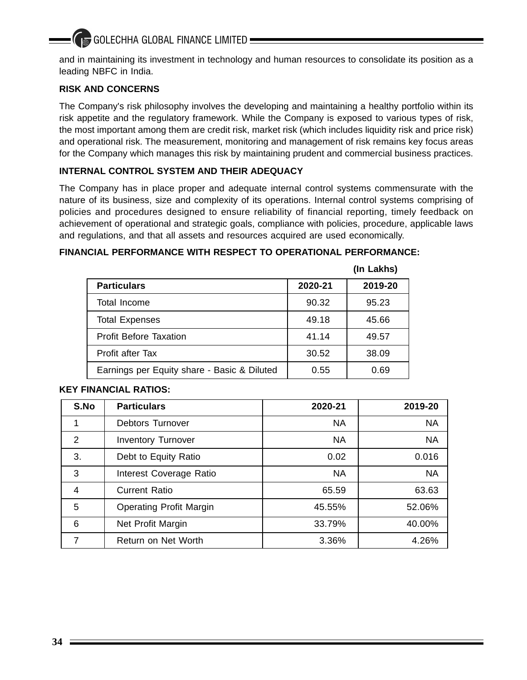and in maintaining its investment in technology and human resources to consolidate its position as a leading NBFC in India.

#### **RISK AND CONCERNS**

The Company's risk philosophy involves the developing and maintaining a healthy portfolio within its risk appetite and the regulatory framework. While the Company is exposed to various types of risk, the most important among them are credit risk, market risk (which includes liquidity risk and price risk) and operational risk. The measurement, monitoring and management of risk remains key focus areas for the Company which manages this risk by maintaining prudent and commercial business practices.

#### **INTERNAL CONTROL SYSTEM AND THEIR ADEQUACY**

The Company has in place proper and adequate internal control systems commensurate with the nature of its business, size and complexity of its operations. Internal control systems comprising of policies and procedures designed to ensure reliability of financial reporting, timely feedback on achievement of operational and strategic goals, compliance with policies, procedure, applicable laws and regulations, and that all assets and resources acquired are used economically.

#### **FINANCIAL PERFORMANCE WITH RESPECT TO OPERATIONAL PERFORMANCE:**

|                                             |         | (In Lakhs) |
|---------------------------------------------|---------|------------|
| <b>Particulars</b>                          | 2020-21 | 2019-20    |
| Total Income                                | 90.32   | 95.23      |
| <b>Total Expenses</b>                       | 49.18   | 45.66      |
| <b>Profit Before Taxation</b>               | 41.14   | 49.57      |
| Profit after Tax                            | 30.52   | 38.09      |
| Earnings per Equity share - Basic & Diluted | 0.55    | 0.69       |

#### **KEY FINANCIAL RATIOS:**

| S.No           | <b>Particulars</b>             | 2020-21   | 2019-20   |
|----------------|--------------------------------|-----------|-----------|
| 1              | Debtors Turnover               | <b>NA</b> | <b>NA</b> |
| $\overline{2}$ | <b>Inventory Turnover</b>      | <b>NA</b> | <b>NA</b> |
| 3.             | Debt to Equity Ratio           | 0.02      | 0.016     |
| 3              | Interest Coverage Ratio        | <b>NA</b> | <b>NA</b> |
| 4              | <b>Current Ratio</b>           | 65.59     | 63.63     |
| 5              | <b>Operating Profit Margin</b> | 45.55%    | 52.06%    |
| 6              | Net Profit Margin              | 33.79%    | 40.00%    |
| 7              | Return on Net Worth            | 3.36%     | 4.26%     |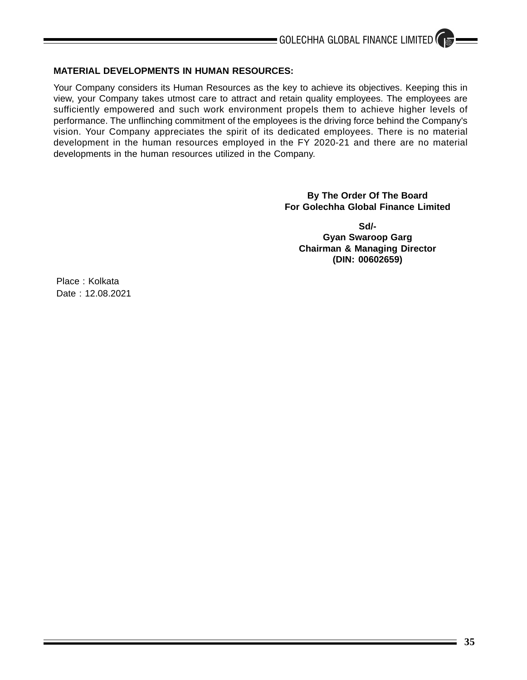#### **MATERIAL DEVELOPMENTS IN HUMAN RESOURCES:**

Your Company considers its Human Resources as the key to achieve its objectives. Keeping this in view, your Company takes utmost care to attract and retain quality employees. The employees are sufficiently empowered and such work environment propels them to achieve higher levels of performance. The unflinching commitment of the employees is the driving force behind the Company's vision. Your Company appreciates the spirit of its dedicated employees. There is no material development in the human resources employed in the FY 2020-21 and there are no material developments in the human resources utilized in the Company.

> **By The Order Of The Board For Golechha Global Finance Limited**

> > **Sd/-**

**Gyan Swaroop Garg Chairman & Managing Director (DIN: 00602659)**

Place : Kolkata Date : 12.08.2021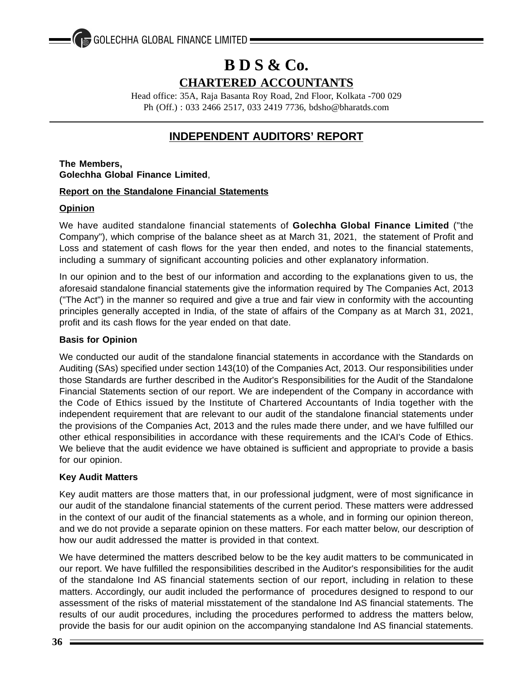# **B D S & Co.**

#### **CHARTERED ACCOUNTANTS**

Head office: 35A, Raja Basanta Roy Road, 2nd Floor, Kolkata -700 029 Ph (Off.) : 033 2466 2517, 033 2419 7736, bdsho@bharatds.com

#### **INDEPENDENT AUDITORS' REPORT**

**The Members, Golechha Global Finance Limited**,

#### **Report on the Standalone Financial Statements**

#### **Opinion**

We have audited standalone financial statements of **Golechha Global Finance Limited** ("the Company"), which comprise of the balance sheet as at March 31, 2021, the statement of Profit and Loss and statement of cash flows for the year then ended, and notes to the financial statements, including a summary of significant accounting policies and other explanatory information.

In our opinion and to the best of our information and according to the explanations given to us, the aforesaid standalone financial statements give the information required by The Companies Act, 2013 ("The Act") in the manner so required and give a true and fair view in conformity with the accounting principles generally accepted in India, of the state of affairs of the Company as at March 31, 2021, profit and its cash flows for the year ended on that date.

#### **Basis for Opinion**

We conducted our audit of the standalone financial statements in accordance with the Standards on Auditing (SAs) specified under section 143(10) of the Companies Act, 2013. Our responsibilities under those Standards are further described in the Auditor's Responsibilities for the Audit of the Standalone Financial Statements section of our report. We are independent of the Company in accordance with the Code of Ethics issued by the Institute of Chartered Accountants of India together with the independent requirement that are relevant to our audit of the standalone financial statements under the provisions of the Companies Act, 2013 and the rules made there under, and we have fulfilled our other ethical responsibilities in accordance with these requirements and the ICAI's Code of Ethics. We believe that the audit evidence we have obtained is sufficient and appropriate to provide a basis for our opinion.

#### **Key Audit Matters**

Key audit matters are those matters that, in our professional judgment, were of most significance in our audit of the standalone financial statements of the current period. These matters were addressed in the context of our audit of the financial statements as a whole, and in forming our opinion thereon, and we do not provide a separate opinion on these matters. For each matter below, our description of how our audit addressed the matter is provided in that context.

We have determined the matters described below to be the key audit matters to be communicated in our report. We have fulfilled the responsibilities described in the Auditor's responsibilities for the audit of the standalone Ind AS financial statements section of our report, including in relation to these matters. Accordingly, our audit included the performance of procedures designed to respond to our assessment of the risks of material misstatement of the standalone Ind AS financial statements. The results of our audit procedures, including the procedures performed to address the matters below, provide the basis for our audit opinion on the accompanying standalone Ind AS financial statements.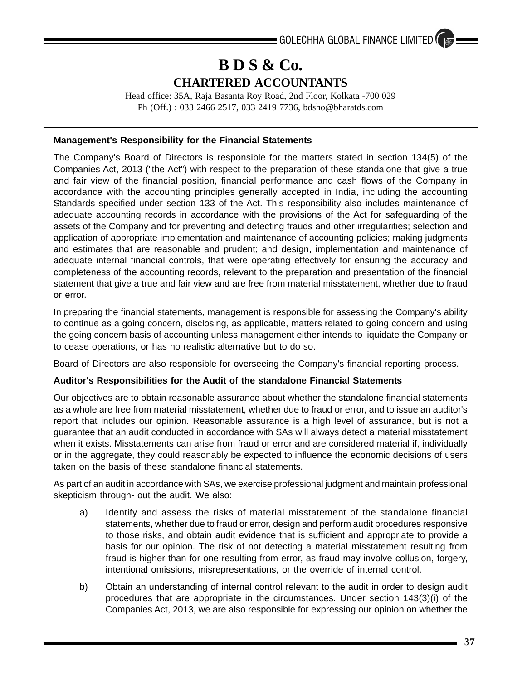# **B D S & Co.**

#### **CHARTERED ACCOUNTANTS**

Head office: 35A, Raja Basanta Roy Road, 2nd Floor, Kolkata -700 029 Ph (Off.) : 033 2466 2517, 033 2419 7736, bdsho@bharatds.com

#### **Management's Responsibility for the Financial Statements**

The Company's Board of Directors is responsible for the matters stated in section 134(5) of the Companies Act, 2013 ("the Act") with respect to the preparation of these standalone that give a true and fair view of the financial position, financial performance and cash flows of the Company in accordance with the accounting principles generally accepted in India, including the accounting Standards specified under section 133 of the Act. This responsibility also includes maintenance of adequate accounting records in accordance with the provisions of the Act for safeguarding of the assets of the Company and for preventing and detecting frauds and other irregularities; selection and application of appropriate implementation and maintenance of accounting policies; making judgments and estimates that are reasonable and prudent; and design, implementation and maintenance of adequate internal financial controls, that were operating effectively for ensuring the accuracy and completeness of the accounting records, relevant to the preparation and presentation of the financial statement that give a true and fair view and are free from material misstatement, whether due to fraud or error.

In preparing the financial statements, management is responsible for assessing the Company's ability to continue as a going concern, disclosing, as applicable, matters related to going concern and using the going concern basis of accounting unless management either intends to liquidate the Company or to cease operations, or has no realistic alternative but to do so.

Board of Directors are also responsible for overseeing the Company's financial reporting process.

#### **Auditor's Responsibilities for the Audit of the standalone Financial Statements**

Our objectives are to obtain reasonable assurance about whether the standalone financial statements as a whole are free from material misstatement, whether due to fraud or error, and to issue an auditor's report that includes our opinion. Reasonable assurance is a high level of assurance, but is not a guarantee that an audit conducted in accordance with SAs will always detect a material misstatement when it exists. Misstatements can arise from fraud or error and are considered material if, individually or in the aggregate, they could reasonably be expected to influence the economic decisions of users taken on the basis of these standalone financial statements.

As part of an audit in accordance with SAs, we exercise professional judgment and maintain professional skepticism through- out the audit. We also:

- a) Identify and assess the risks of material misstatement of the standalone financial statements, whether due to fraud or error, design and perform audit procedures responsive to those risks, and obtain audit evidence that is sufficient and appropriate to provide a basis for our opinion. The risk of not detecting a material misstatement resulting from fraud is higher than for one resulting from error, as fraud may involve collusion, forgery, intentional omissions, misrepresentations, or the override of internal control.
- b) Obtain an understanding of internal control relevant to the audit in order to design audit procedures that are appropriate in the circumstances. Under section 143(3)(i) of the Companies Act, 2013, we are also responsible for expressing our opinion on whether the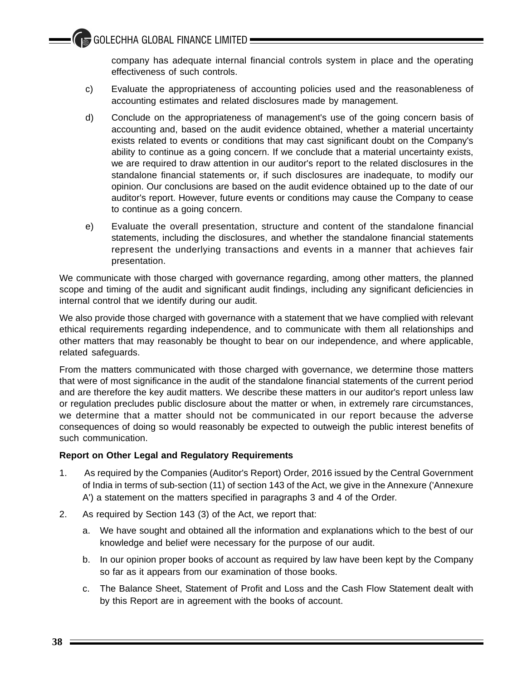company has adequate internal financial controls system in place and the operating effectiveness of such controls.

- c) Evaluate the appropriateness of accounting policies used and the reasonableness of accounting estimates and related disclosures made by management.
- d) Conclude on the appropriateness of management's use of the going concern basis of accounting and, based on the audit evidence obtained, whether a material uncertainty exists related to events or conditions that may cast significant doubt on the Company's ability to continue as a going concern. If we conclude that a material uncertainty exists, we are required to draw attention in our auditor's report to the related disclosures in the standalone financial statements or, if such disclosures are inadequate, to modify our opinion. Our conclusions are based on the audit evidence obtained up to the date of our auditor's report. However, future events or conditions may cause the Company to cease to continue as a going concern.
- e) Evaluate the overall presentation, structure and content of the standalone financial statements, including the disclosures, and whether the standalone financial statements represent the underlying transactions and events in a manner that achieves fair presentation.

We communicate with those charged with governance regarding, among other matters, the planned scope and timing of the audit and significant audit findings, including any significant deficiencies in internal control that we identify during our audit.

We also provide those charged with governance with a statement that we have complied with relevant ethical requirements regarding independence, and to communicate with them all relationships and other matters that may reasonably be thought to bear on our independence, and where applicable, related safeguards.

From the matters communicated with those charged with governance, we determine those matters that were of most significance in the audit of the standalone financial statements of the current period and are therefore the key audit matters. We describe these matters in our auditor's report unless law or regulation precludes public disclosure about the matter or when, in extremely rare circumstances, we determine that a matter should not be communicated in our report because the adverse consequences of doing so would reasonably be expected to outweigh the public interest benefits of such communication.

#### **Report on Other Legal and Regulatory Requirements**

- 1. As required by the Companies (Auditor's Report) Order, 2016 issued by the Central Government of India in terms of sub-section (11) of section 143 of the Act, we give in the Annexure ('Annexure A') a statement on the matters specified in paragraphs 3 and 4 of the Order.
- 2. As required by Section 143 (3) of the Act, we report that:
	- a. We have sought and obtained all the information and explanations which to the best of our knowledge and belief were necessary for the purpose of our audit.
	- b. In our opinion proper books of account as required by law have been kept by the Company so far as it appears from our examination of those books.
	- c. The Balance Sheet, Statement of Profit and Loss and the Cash Flow Statement dealt with by this Report are in agreement with the books of account.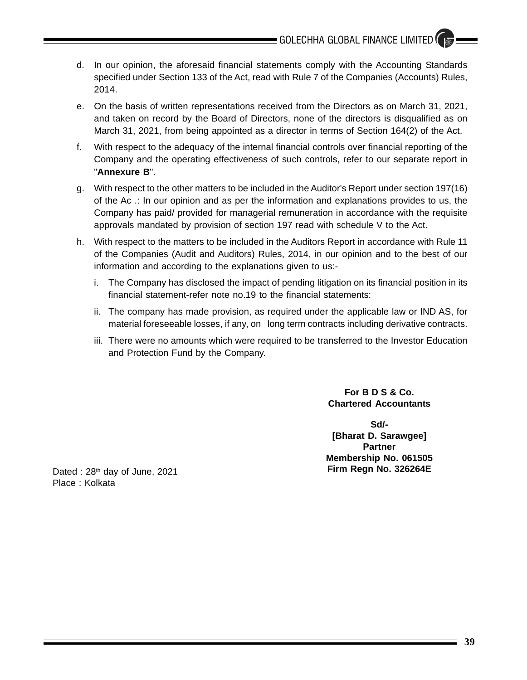- d. In our opinion, the aforesaid financial statements comply with the Accounting Standards specified under Section 133 of the Act, read with Rule 7 of the Companies (Accounts) Rules, 2014.
- e. On the basis of written representations received from the Directors as on March 31, 2021, and taken on record by the Board of Directors, none of the directors is disqualified as on March 31, 2021, from being appointed as a director in terms of Section 164(2) of the Act.
- f. With respect to the adequacy of the internal financial controls over financial reporting of the Company and the operating effectiveness of such controls, refer to our separate report in "**Annexure B**".
- g. With respect to the other matters to be included in the Auditor's Report under section 197(16) of the Ac .: In our opinion and as per the information and explanations provides to us, the Company has paid/ provided for managerial remuneration in accordance with the requisite approvals mandated by provision of section 197 read with schedule V to the Act.
- h. With respect to the matters to be included in the Auditors Report in accordance with Rule 11 of the Companies (Audit and Auditors) Rules, 2014, in our opinion and to the best of our information and according to the explanations given to us:
	- i. The Company has disclosed the impact of pending litigation on its financial position in its financial statement-refer note no.19 to the financial statements:
	- ii. The company has made provision, as required under the applicable law or IND AS, for material foreseeable losses, if any, on long term contracts including derivative contracts.
	- iii. There were no amounts which were required to be transferred to the Investor Education and Protection Fund by the Company.

**For B D S & Co. Chartered Accountants**

**Sd/- [Bharat D. Sarawgee] Partner Membership No. 061505 Firm Regn No. 326264E**

Dated : 28<sup>th</sup> day of June, 2021 Place : Kolkata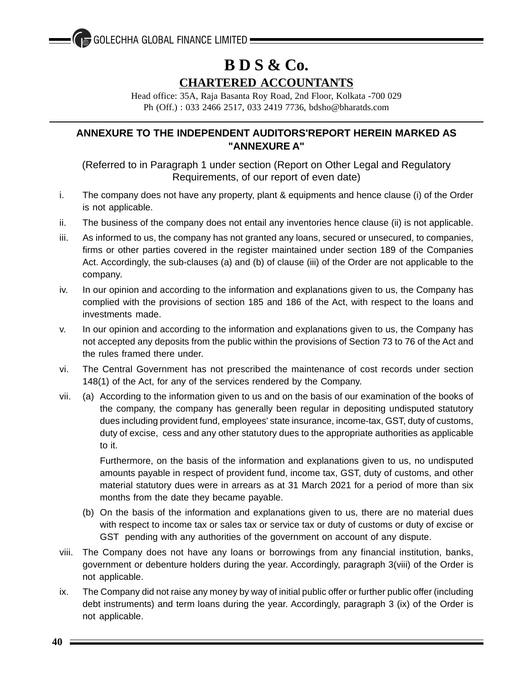# **B D S & Co.**

#### **CHARTERED ACCOUNTANTS**

Head office: 35A, Raja Basanta Roy Road, 2nd Floor, Kolkata -700 029 Ph (Off.) : 033 2466 2517, 033 2419 7736, bdsho@bharatds.com

#### **ANNEXURE TO THE INDEPENDENT AUDITORS'REPORT HEREIN MARKED AS "ANNEXURE A"**

(Referred to in Paragraph 1 under section (Report on Other Legal and Regulatory Requirements, of our report of even date)

- i. The company does not have any property, plant & equipments and hence clause (i) of the Order is not applicable.
- ii. The business of the company does not entail any inventories hence clause (ii) is not applicable.
- iii. As informed to us, the company has not granted any loans, secured or unsecured, to companies, firms or other parties covered in the register maintained under section 189 of the Companies Act. Accordingly, the sub-clauses (a) and (b) of clause (iii) of the Order are not applicable to the company.
- iv. In our opinion and according to the information and explanations given to us, the Company has complied with the provisions of section 185 and 186 of the Act, with respect to the loans and investments made.
- v. In our opinion and according to the information and explanations given to us, the Company has not accepted any deposits from the public within the provisions of Section 73 to 76 of the Act and the rules framed there under.
- vi. The Central Government has not prescribed the maintenance of cost records under section 148(1) of the Act, for any of the services rendered by the Company.
- vii. (a) According to the information given to us and on the basis of our examination of the books of the company, the company has generally been regular in depositing undisputed statutory dues including provident fund, employees' state insurance, income-tax, GST, duty of customs, duty of excise, cess and any other statutory dues to the appropriate authorities as applicable to it.

Furthermore, on the basis of the information and explanations given to us, no undisputed amounts payable in respect of provident fund, income tax, GST, duty of customs, and other material statutory dues were in arrears as at 31 March 2021 for a period of more than six months from the date they became payable.

- (b) On the basis of the information and explanations given to us, there are no material dues with respect to income tax or sales tax or service tax or duty of customs or duty of excise or GST pending with any authorities of the government on account of any dispute.
- viii. The Company does not have any loans or borrowings from any financial institution, banks, government or debenture holders during the year. Accordingly, paragraph 3(viii) of the Order is not applicable.
- ix. The Company did not raise any money by way of initial public offer or further public offer (including debt instruments) and term loans during the year. Accordingly, paragraph 3 (ix) of the Order is not applicable.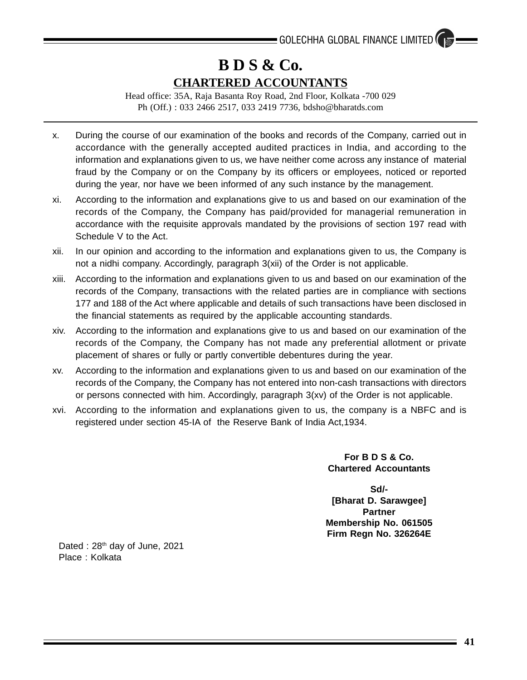#### **B D S & Co. CHARTERED ACCOUNTANTS**

Head office: 35A, Raja Basanta Roy Road, 2nd Floor, Kolkata -700 029 Ph (Off.) : 033 2466 2517, 033 2419 7736, bdsho@bharatds.com

- x. During the course of our examination of the books and records of the Company, carried out in accordance with the generally accepted audited practices in India, and according to the information and explanations given to us, we have neither come across any instance of material fraud by the Company or on the Company by its officers or employees, noticed or reported during the year, nor have we been informed of any such instance by the management.
- xi. According to the information and explanations give to us and based on our examination of the records of the Company, the Company has paid/provided for managerial remuneration in accordance with the requisite approvals mandated by the provisions of section 197 read with Schedule V to the Act.
- xii. In our opinion and according to the information and explanations given to us, the Company is not a nidhi company. Accordingly, paragraph 3(xii) of the Order is not applicable.
- xiii. According to the information and explanations given to us and based on our examination of the records of the Company, transactions with the related parties are in compliance with sections 177 and 188 of the Act where applicable and details of such transactions have been disclosed in the financial statements as required by the applicable accounting standards.
- xiv. According to the information and explanations give to us and based on our examination of the records of the Company, the Company has not made any preferential allotment or private placement of shares or fully or partly convertible debentures during the year.
- xv. According to the information and explanations given to us and based on our examination of the records of the Company, the Company has not entered into non-cash transactions with directors or persons connected with him. Accordingly, paragraph 3(xv) of the Order is not applicable.
- xvi. According to the information and explanations given to us, the company is a NBFC and is registered under section 45-IA of the Reserve Bank of India Act,1934.

#### **For B D S & Co. Chartered Accountants**

**Sd/- [Bharat D. Sarawgee] Partner Membership No. 061505 Firm Regn No. 326264E**

Dated : 28<sup>th</sup> day of June, 2021 Place : Kolkata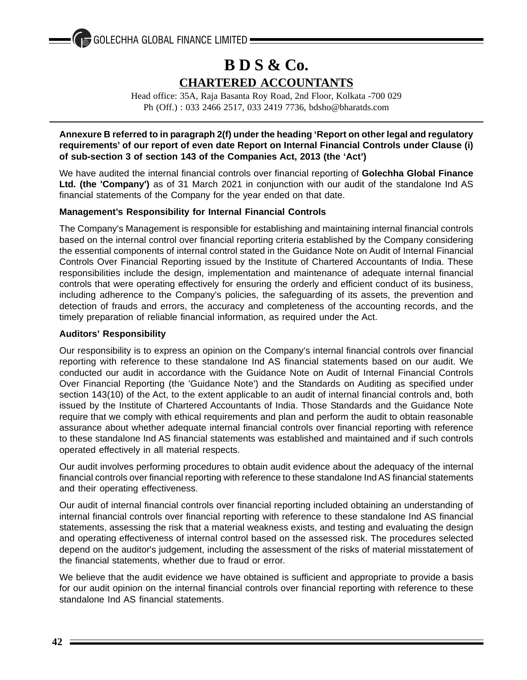# **B D S & Co.**

#### **CHARTERED ACCOUNTANTS**

Head office: 35A, Raja Basanta Roy Road, 2nd Floor, Kolkata -700 029 Ph (Off.) : 033 2466 2517, 033 2419 7736, bdsho@bharatds.com

#### **Annexure B referred to in paragraph 2(f) under the heading 'Report on other legal and regulatory requirements' of our report of even date Report on Internal Financial Controls under Clause (i) of sub-section 3 of section 143 of the Companies Act, 2013 (the 'Act')**

We have audited the internal financial controls over financial reporting of **Golechha Global Finance Ltd. (the 'Company')** as of 31 March 2021 in conjunction with our audit of the standalone Ind AS financial statements of the Company for the year ended on that date.

#### **Management's Responsibility for Internal Financial Controls**

The Company's Management is responsible for establishing and maintaining internal financial controls based on the internal control over financial reporting criteria established by the Company considering the essential components of internal control stated in the Guidance Note on Audit of Internal Financial Controls Over Financial Reporting issued by the Institute of Chartered Accountants of India. These responsibilities include the design, implementation and maintenance of adequate internal financial controls that were operating effectively for ensuring the orderly and efficient conduct of its business, including adherence to the Company's policies, the safeguarding of its assets, the prevention and detection of frauds and errors, the accuracy and completeness of the accounting records, and the timely preparation of reliable financial information, as required under the Act.

#### **Auditors' Responsibility**

Our responsibility is to express an opinion on the Company's internal financial controls over financial reporting with reference to these standalone Ind AS financial statements based on our audit. We conducted our audit in accordance with the Guidance Note on Audit of Internal Financial Controls Over Financial Reporting (the 'Guidance Note') and the Standards on Auditing as specified under section 143(10) of the Act, to the extent applicable to an audit of internal financial controls and, both issued by the Institute of Chartered Accountants of India. Those Standards and the Guidance Note require that we comply with ethical requirements and plan and perform the audit to obtain reasonable assurance about whether adequate internal financial controls over financial reporting with reference to these standalone Ind AS financial statements was established and maintained and if such controls operated effectively in all material respects.

Our audit involves performing procedures to obtain audit evidence about the adequacy of the internal financial controls over financial reporting with reference to these standalone Ind AS financial statements and their operating effectiveness.

Our audit of internal financial controls over financial reporting included obtaining an understanding of internal financial controls over financial reporting with reference to these standalone Ind AS financial statements, assessing the risk that a material weakness exists, and testing and evaluating the design and operating effectiveness of internal control based on the assessed risk. The procedures selected depend on the auditor's judgement, including the assessment of the risks of material misstatement of the financial statements, whether due to fraud or error.

We believe that the audit evidence we have obtained is sufficient and appropriate to provide a basis for our audit opinion on the internal financial controls over financial reporting with reference to these standalone Ind AS financial statements.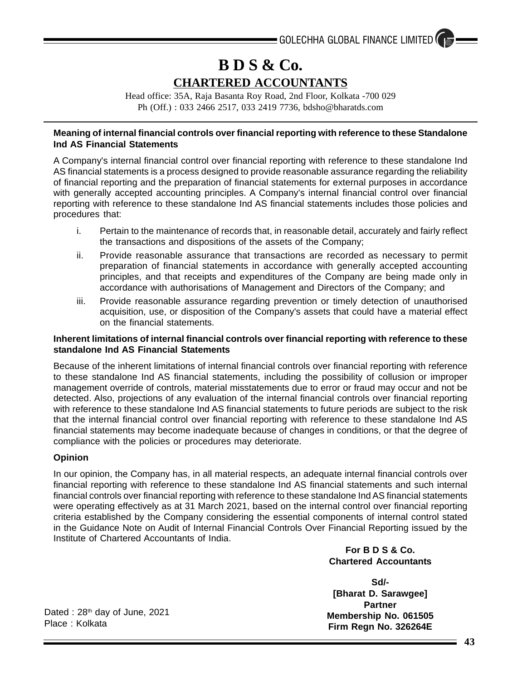## **B D S & Co.**

#### **CHARTERED ACCOUNTANTS**

Head office: 35A, Raja Basanta Roy Road, 2nd Floor, Kolkata -700 029 Ph (Off.) : 033 2466 2517, 033 2419 7736, bdsho@bharatds.com

#### **Meaning of internal financial controls over financial reporting with reference to these Standalone Ind AS Financial Statements**

A Company's internal financial control over financial reporting with reference to these standalone Ind AS financial statements is a process designed to provide reasonable assurance regarding the reliability of financial reporting and the preparation of financial statements for external purposes in accordance with generally accepted accounting principles. A Company's internal financial control over financial reporting with reference to these standalone Ind AS financial statements includes those policies and procedures that:

- i. Pertain to the maintenance of records that, in reasonable detail, accurately and fairly reflect the transactions and dispositions of the assets of the Company;
- ii. Provide reasonable assurance that transactions are recorded as necessary to permit preparation of financial statements in accordance with generally accepted accounting principles, and that receipts and expenditures of the Company are being made only in accordance with authorisations of Management and Directors of the Company; and
- iii. Provide reasonable assurance regarding prevention or timely detection of unauthorised acquisition, use, or disposition of the Company's assets that could have a material effect on the financial statements.

#### **Inherent limitations of internal financial controls over financial reporting with reference to these standalone Ind AS Financial Statements**

Because of the inherent limitations of internal financial controls over financial reporting with reference to these standalone Ind AS financial statements, including the possibility of collusion or improper management override of controls, material misstatements due to error or fraud may occur and not be detected. Also, projections of any evaluation of the internal financial controls over financial reporting with reference to these standalone Ind AS financial statements to future periods are subject to the risk that the internal financial control over financial reporting with reference to these standalone Ind AS financial statements may become inadequate because of changes in conditions, or that the degree of compliance with the policies or procedures may deteriorate.

#### **Opinion**

In our opinion, the Company has, in all material respects, an adequate internal financial controls over financial reporting with reference to these standalone Ind AS financial statements and such internal financial controls over financial reporting with reference to these standalone Ind AS financial statements were operating effectively as at 31 March 2021, based on the internal control over financial reporting criteria established by the Company considering the essential components of internal control stated in the Guidance Note on Audit of Internal Financial Controls Over Financial Reporting issued by the Institute of Chartered Accountants of India.

#### **For B D S & Co. Chartered Accountants**

**Sd/- [Bharat D. Sarawgee] Partner Membership No. 061505 Firm Regn No. 326264E**

Dated : 28<sup>th</sup> day of June, 2021 Place : Kolkata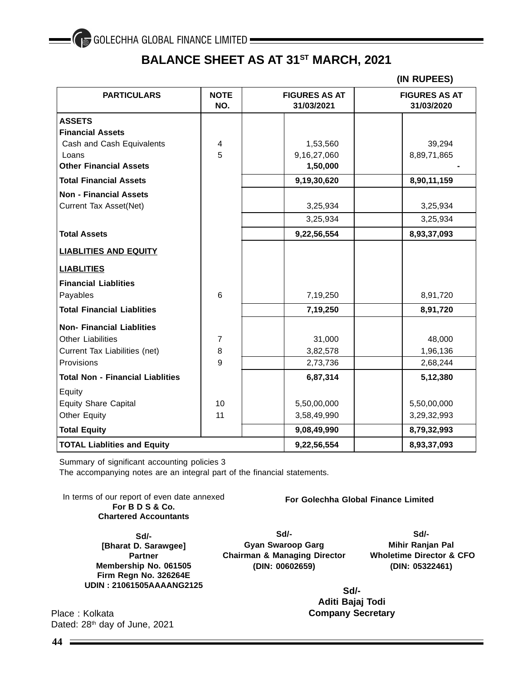#### **BALANCE SHEET AS AT 31ST MARCH, 2021**

**(IN RUPEES)**

| <b>PARTICULARS</b>                      | <b>NOTE</b><br>NO. | <b>FIGURES AS AT</b><br>31/03/2021 | <b>FIGURES AS AT</b><br>31/03/2020 |
|-----------------------------------------|--------------------|------------------------------------|------------------------------------|
| <b>ASSETS</b>                           |                    |                                    |                                    |
| <b>Financial Assets</b>                 |                    |                                    |                                    |
| Cash and Cash Equivalents               | $\overline{4}$     | 1,53,560                           | 39,294                             |
| Loans                                   | 5                  | 9,16,27,060                        | 8,89,71,865                        |
| <b>Other Financial Assets</b>           |                    | 1,50,000                           |                                    |
| <b>Total Financial Assets</b>           |                    | 9,19,30,620                        | 8,90,11,159                        |
| <b>Non - Financial Assets</b>           |                    |                                    |                                    |
| Current Tax Asset(Net)                  |                    | 3,25,934                           | 3,25,934                           |
|                                         |                    | 3,25,934                           | 3,25,934                           |
| <b>Total Assets</b>                     |                    | 9,22,56,554                        | 8,93,37,093                        |
| <b>LIABLITIES AND EQUITY</b>            |                    |                                    |                                    |
| <b>LIABLITIES</b>                       |                    |                                    |                                    |
| <b>Financial Liablities</b>             |                    |                                    |                                    |
| Payables                                | 6                  | 7,19,250                           | 8,91,720                           |
| <b>Total Financial Liablities</b>       |                    | 7,19,250                           | 8,91,720                           |
| <b>Non- Financial Liablities</b>        |                    |                                    |                                    |
| <b>Other Liabilities</b>                | $\overline{7}$     | 31,000                             | 48,000                             |
| Current Tax Liabilities (net)           | 8                  | 3,82,578                           | 1,96,136                           |
| Provisions                              | 9                  | 2,73,736                           | 2,68,244                           |
| <b>Total Non - Financial Liablities</b> |                    | 6,87,314                           | 5,12,380                           |
| Equity                                  |                    |                                    |                                    |
| <b>Equity Share Capital</b>             | 10                 | 5,50,00,000                        | 5,50,00,000                        |
| Other Equity                            | 11                 | 3,58,49,990                        | 3,29,32,993                        |
| <b>Total Equity</b>                     |                    | 9,08,49,990                        | 8,79,32,993                        |
| <b>TOTAL Liablities and Equity</b>      |                    | 9,22,56,554                        | 8,93,37,093                        |

Summary of significant accounting policies 3

The accompanying notes are an integral part of the financial statements.

In terms of our report of even date annexed **For B D S & Co. Chartered Accountants**

**For Golechha Global Finance Limited**

**Sd/- [Bharat D. Sarawgee] Partner Membership No. 061505 Firm Regn No. 326264E UDIN : 21061505AAAANG2125**

**Sd/- Gyan Swaroop Garg Chairman & Managing Director (DIN: 00602659)**

**Sd/- Mihir Ranjan Pal Wholetime Director & CFO (DIN: 05322461)**

**Sd/- Aditi Bajaj Todi Company Secretary**

Place : Kolkata Dated: 28<sup>th</sup> day of June, 2021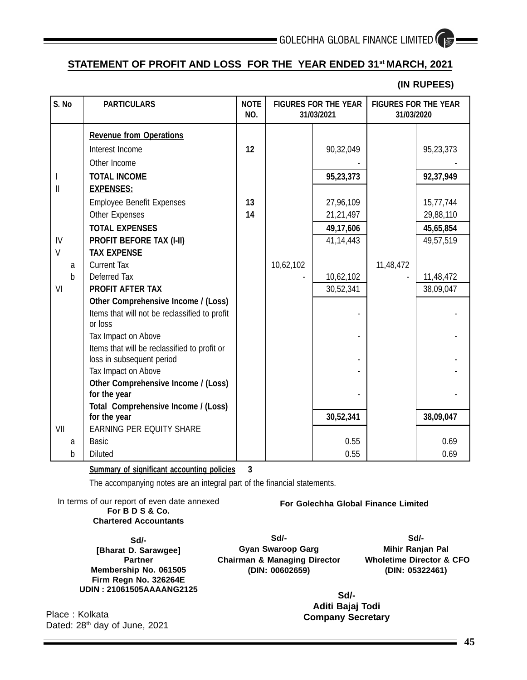#### **STATEMENT OF PROFIT AND LOSS FOR THE YEAR ENDED 31st MARCH, 2021**

#### **(IN RUPEES)**

| S. No              | <b>PARTICULARS</b>                                                                                                     | <b>NOTE</b><br>NO. | <b>FIGURES FOR THE YEAR</b><br>31/03/2021 |                        | <b>FIGURES FOR THE YEAR</b><br>31/03/2020 |                        |
|--------------------|------------------------------------------------------------------------------------------------------------------------|--------------------|-------------------------------------------|------------------------|-------------------------------------------|------------------------|
| I<br>$\mathbf{I}$  | <b>Revenue from Operations</b><br>Interest Income<br>Other Income<br><b>TOTAL INCOME</b><br><b>EXPENSES:</b>           | 12                 |                                           | 90,32,049<br>95,23,373 |                                           | 95,23,373<br>92,37,949 |
|                    | <b>Employee Benefit Expenses</b><br><b>Other Expenses</b>                                                              | 13<br>14           |                                           | 27,96,109<br>21,21,497 |                                           | 15,77,744<br>29,88,110 |
|                    | <b>TOTAL EXPENSES</b>                                                                                                  |                    |                                           | 49,17,606              |                                           | 45,65,854              |
| IV<br>$\mathsf{V}$ | PROFIT BEFORE TAX (I-II)<br><b>TAX EXPENSE</b>                                                                         |                    |                                           | 41,14,443              |                                           | 49,57,519              |
| a                  | <b>Current Tax</b>                                                                                                     |                    | 10,62,102                                 |                        | 11,48,472                                 |                        |
| h                  | Deferred Tax                                                                                                           |                    |                                           | 10,62,102              |                                           | 11,48,472              |
| VI                 | <b>PROFIT AFTER TAX</b>                                                                                                |                    |                                           | 30,52,341              |                                           | 38,09,047              |
|                    | Other Comprehensive Income / (Loss)<br>Items that will not be reclassified to profit<br>or loss<br>Tax Impact on Above |                    |                                           |                        |                                           |                        |
|                    | Items that will be reclassified to profit or<br>loss in subsequent period<br>Tax Impact on Above                       |                    |                                           |                        |                                           |                        |
|                    | Other Comprehensive Income / (Loss)<br>for the year<br>Total Comprehensive Income / (Loss)                             |                    |                                           |                        |                                           |                        |
|                    | for the year                                                                                                           |                    |                                           | 30,52,341              |                                           | 38,09,047              |
| VII                | <b>EARNING PER EQUITY SHARE</b>                                                                                        |                    |                                           |                        |                                           |                        |
| a                  | <b>Basic</b>                                                                                                           |                    |                                           | 0.55                   |                                           | 0.69                   |
| b                  | <b>Diluted</b>                                                                                                         |                    |                                           | 0.55                   |                                           | 0.69                   |

**Summary of significant accounting policies 3**

The accompanying notes are an integral part of the financial statements.

In terms of our report of even date annexed **For B D S & Co. Chartered Accountants**

> **Sd/- [Bharat D. Sarawgee] Partner Membership No. 061505 Firm Regn No. 326264E UDIN : 21061505AAAANG2125**

**Sd/- Gyan Swaroop Garg Chairman & Managing Director (DIN: 00602659)**

**Sd/- Mihir Ranjan Pal Wholetime Director & CFO (DIN: 05322461)**

**Sd/- Aditi Bajaj Todi Company Secretary**

**For Golechha Global Finance Limited**

Place : Kolkata Dated: 28<sup>th</sup> day of June, 2021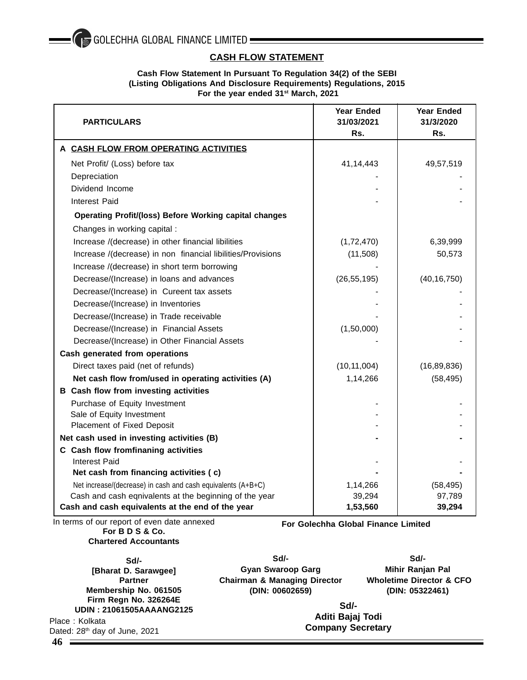#### **CASH FLOW STATEMENT**

#### **Cash Flow Statement In Pursuant To Regulation 34(2) of the SEBI (Listing Obligations And Disclosure Requirements) Regulations, 2015 For the year ended 31st March, 2021**

| <b>PARTICULARS</b>                                                                                                     | Year Ended<br>31/03/2021<br>Rs. | Year Ended<br>31/3/2020<br>Rs. |
|------------------------------------------------------------------------------------------------------------------------|---------------------------------|--------------------------------|
| A CASH FLOW FROM OPERATING ACTIVITIES                                                                                  |                                 |                                |
| Net Profit/ (Loss) before tax                                                                                          | 41,14,443                       | 49,57,519                      |
| Depreciation                                                                                                           |                                 |                                |
| Dividend Income                                                                                                        |                                 |                                |
| Interest Paid                                                                                                          |                                 |                                |
| <b>Operating Profit/(loss) Before Working capital changes</b>                                                          |                                 |                                |
| Changes in working capital :                                                                                           |                                 |                                |
| Increase /(decrease) in other financial libilities                                                                     | (1,72,470)                      | 6,39,999                       |
| Increase /(decrease) in non financial libilities/Provisions                                                            | (11,508)                        | 50,573                         |
| Increase /(decrease) in short term borrowing                                                                           |                                 |                                |
| Decrease/(Increase) in loans and advances                                                                              | (26, 55, 195)                   | (40, 16, 750)                  |
| Decrease/(Increase) in Cureent tax assets                                                                              |                                 |                                |
| Decrease/(Increase) in Inventories                                                                                     |                                 |                                |
| Decrease/(Increase) in Trade receivable                                                                                |                                 |                                |
| Decrease/(Increase) in Financial Assets                                                                                | (1,50,000)                      |                                |
| Decrease/(Increase) in Other Financial Assets                                                                          |                                 |                                |
| Cash generated from operations                                                                                         |                                 |                                |
| Direct taxes paid (net of refunds)                                                                                     | (10, 11, 004)                   | (16, 89, 836)                  |
| Net cash flow from/used in operating activities (A)                                                                    | 1,14,266                        | (58, 495)                      |
| <b>B</b> Cash flow from investing activities                                                                           |                                 |                                |
| Purchase of Equity Investment                                                                                          |                                 |                                |
| Sale of Equity Investment                                                                                              |                                 |                                |
| Placement of Fixed Deposit                                                                                             |                                 |                                |
| Net cash used in investing activities (B)                                                                              |                                 |                                |
| C Cash flow fromfinaning activities<br><b>Interest Paid</b>                                                            |                                 |                                |
| Net cash from financing activities (c)                                                                                 |                                 |                                |
|                                                                                                                        |                                 |                                |
| Net increase/(decrease) in cash and cash equivalents (A+B+C)<br>Cash and cash eqnivalents at the beginning of the year | 1,14,266<br>39,294              | (58, 495)<br>97,789            |
| Cash and cash equivalents at the end of the year                                                                       | 1,53,560                        | 39,294                         |

In terms of our report of even date annexed **For B D S & Co.**

**For Golechha Global Finance Limited**

**Chartered Accountants Sd/-**

**[Bharat D. Sarawgee] Partner**

**Sd/- Gyan Swaroop Garg Chairman & Managing Director (DIN: 00602659)**

**Sd/- Mihir Ranjan Pal Wholetime Director & CFO (DIN: 05322461)**

**Membership No. 061505 Firm Regn No. 326264E UDIN : 21061505AAAANG2125** Place : Kolkata

Dated: 28<sup>th</sup> day of June, 2021

**Sd/- Aditi Bajaj Todi Company Secretary**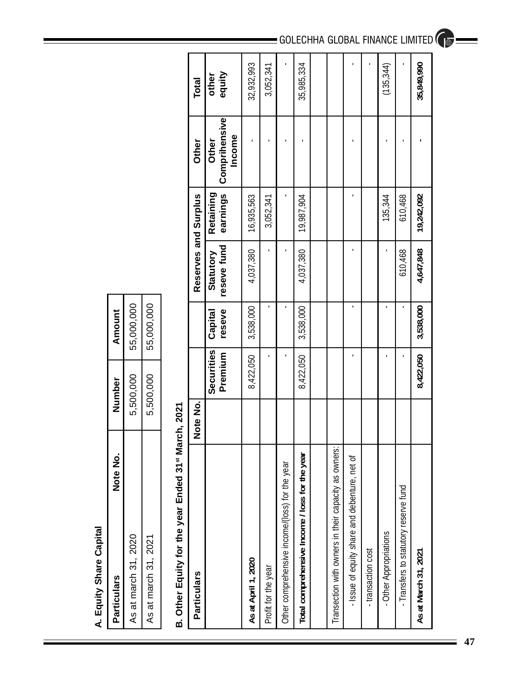A. Equity Share Capital **A. Equity Share Capital**

| <b>Particulars</b>   | Note No. | Jumber    | Amount     |
|----------------------|----------|-----------|------------|
| As at march 31, 2020 |          | 5,500,000 | 55,000,000 |
| As at march 31, 2021 |          | 5,500,000 | 55,000,000 |

# B. Other Equity for the year Ended 31st March, 2021 **B. Other Equity for the year Ended 31st March, 2021**

| <b>Particulars</b>                                      | Note No. |                              |                   | Reserves and Surplus     |                       | Other                            | Total           |
|---------------------------------------------------------|----------|------------------------------|-------------------|--------------------------|-----------------------|----------------------------------|-----------------|
|                                                         |          | <b>Securities</b><br>Premium | reseve<br>Capital | reseve fund<br>Statutory | earnings<br>Retaining | Comprihensive<br>Income<br>Other | equity<br>other |
| As at April 1, 2020                                     |          | 8,422,050                    | 3,538,000         | 4,037,380                | 16,935,563            |                                  | 32,932,993      |
| Profit for the year                                     |          |                              |                   |                          | 3,052,341             |                                  | 3,052,341       |
| Other comprehensive income/(loss) for the year          |          |                              |                   |                          |                       |                                  |                 |
| loss for the year<br>Total comprehensive Income         |          | 8,422,050                    | 3,538,000         | 4,037,380                | 19,987,904            |                                  | 35,985,334      |
|                                                         |          |                              |                   |                          |                       |                                  |                 |
| capacity as owners:<br>Transection with owners in their |          |                              |                   |                          |                       |                                  |                 |
| debenture, net of<br>- Issue of equity share and        |          |                              |                   |                          |                       |                                  |                 |
| -transaction cost                                       |          |                              |                   |                          |                       |                                  |                 |
| - Other Appropriations                                  |          |                              |                   |                          | 135,344               |                                  | (135, 344)      |
| - Transfers to statutory reserve fund                   |          |                              |                   | 610,468                  | 610,468               |                                  |                 |
| As at March 31, 2021                                    |          | 8,422,050                    | 3,538,000         | 4,647,848                | 19,242,092            |                                  | 35,849,990      |

GOLECHHA GLOBAL FINANCE LIMITED (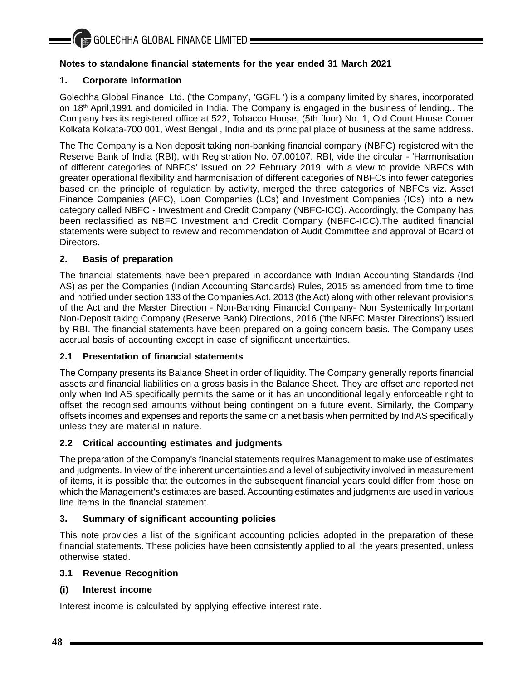#### **Notes to standalone financial statements for the year ended 31 March 2021**

#### **1. Corporate information**

Golechha Global Finance Ltd. ('the Company', 'GGFL ') is a company limited by shares, incorporated on 18<sup>th</sup> April,1991 and domiciled in India. The Company is engaged in the business of lending.. The Company has its registered office at 522, Tobacco House, (5th floor) No. 1, Old Court House Corner Kolkata Kolkata-700 001, West Bengal , India and its principal place of business at the same address.

The The Company is a Non deposit taking non-banking financial company (NBFC) registered with the Reserve Bank of India (RBI), with Registration No. 07.00107. RBI, vide the circular - 'Harmonisation of different categories of NBFCs' issued on 22 February 2019, with a view to provide NBFCs with greater operational flexibility and harmonisation of different categories of NBFCs into fewer categories based on the principle of regulation by activity, merged the three categories of NBFCs viz. Asset Finance Companies (AFC), Loan Companies (LCs) and Investment Companies (ICs) into a new category called NBFC - Investment and Credit Company (NBFC-ICC). Accordingly, the Company has been reclassified as NBFC Investment and Credit Company (NBFC-ICC).The audited financial statements were subject to review and recommendation of Audit Committee and approval of Board of Directors.

#### **2. Basis of preparation**

The financial statements have been prepared in accordance with Indian Accounting Standards (Ind AS) as per the Companies (Indian Accounting Standards) Rules, 2015 as amended from time to time and notified under section 133 of the Companies Act, 2013 (the Act) along with other relevant provisions of the Act and the Master Direction - Non-Banking Financial Company- Non Systemically Important Non-Deposit taking Company (Reserve Bank) Directions, 2016 ('the NBFC Master Directions') issued by RBI. The financial statements have been prepared on a going concern basis. The Company uses accrual basis of accounting except in case of significant uncertainties.

#### **2.1 Presentation of financial statements**

The Company presents its Balance Sheet in order of liquidity. The Company generally reports financial assets and financial liabilities on a gross basis in the Balance Sheet. They are offset and reported net only when Ind AS specifically permits the same or it has an unconditional legally enforceable right to offset the recognised amounts without being contingent on a future event. Similarly, the Company offsets incomes and expenses and reports the same on a net basis when permitted by Ind AS specifically unless they are material in nature.

#### **2.2 Critical accounting estimates and judgments**

The preparation of the Company's financial statements requires Management to make use of estimates and judgments. In view of the inherent uncertainties and a level of subjectivity involved in measurement of items, it is possible that the outcomes in the subsequent financial years could differ from those on which the Management's estimates are based. Accounting estimates and judgments are used in various line items in the financial statement.

#### **3. Summary of significant accounting policies**

This note provides a list of the significant accounting policies adopted in the preparation of these financial statements. These policies have been consistently applied to all the years presented, unless otherwise stated.

#### **3.1 Revenue Recognition**

#### **(i) Interest income**

Interest income is calculated by applying effective interest rate.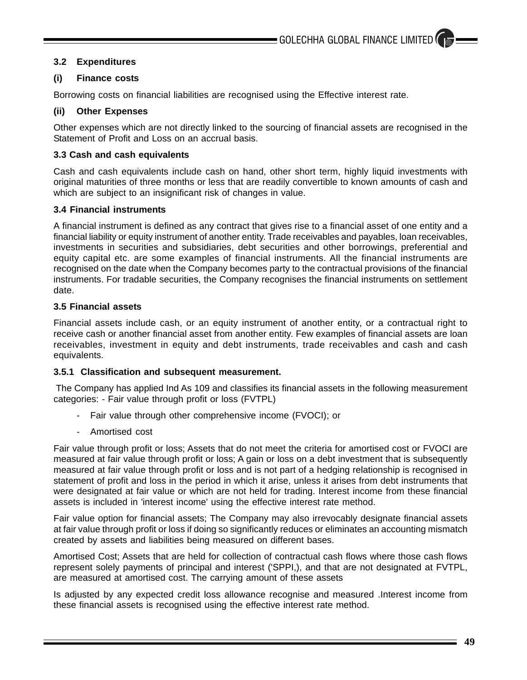#### **3.2 Expenditures**

#### **(i) Finance costs**

Borrowing costs on financial liabilities are recognised using the Effective interest rate.

#### **(ii) Other Expenses**

Other expenses which are not directly linked to the sourcing of financial assets are recognised in the Statement of Profit and Loss on an accrual basis.

#### **3.3 Cash and cash equivalents**

Cash and cash equivalents include cash on hand, other short term, highly liquid investments with original maturities of three months or less that are readily convertible to known amounts of cash and which are subject to an insignificant risk of changes in value.

#### **3.4 Financial instruments**

A financial instrument is defined as any contract that gives rise to a financial asset of one entity and a financial liability or equity instrument of another entity. Trade receivables and payables, loan receivables, investments in securities and subsidiaries, debt securities and other borrowings, preferential and equity capital etc. are some examples of financial instruments. All the financial instruments are recognised on the date when the Company becomes party to the contractual provisions of the financial instruments. For tradable securities, the Company recognises the financial instruments on settlement date.

#### **3.5 Financial assets**

Financial assets include cash, or an equity instrument of another entity, or a contractual right to receive cash or another financial asset from another entity. Few examples of financial assets are loan receivables, investment in equity and debt instruments, trade receivables and cash and cash equivalents.

#### **3.5.1 Classification and subsequent measurement.**

 The Company has applied Ind As 109 and classifies its financial assets in the following measurement categories: - Fair value through profit or loss (FVTPL)

- Fair value through other comprehensive income (FVOCI); or
- Amortised cost

Fair value through profit or loss; Assets that do not meet the criteria for amortised cost or FVOCI are measured at fair value through profit or loss; A gain or loss on a debt investment that is subsequently measured at fair value through profit or loss and is not part of a hedging relationship is recognised in statement of profit and loss in the period in which it arise, unless it arises from debt instruments that were designated at fair value or which are not held for trading. Interest income from these financial assets is included in 'interest income' using the effective interest rate method.

Fair value option for financial assets; The Company may also irrevocably designate financial assets at fair value through profit or loss if doing so significantly reduces or eliminates an accounting mismatch created by assets and liabilities being measured on different bases.

Amortised Cost; Assets that are held for collection of contractual cash flows where those cash flows represent solely payments of principal and interest ('SPPI,), and that are not designated at FVTPL, are measured at amortised cost. The carrying amount of these assets

Is adjusted by any expected credit loss allowance recognise and measured .Interest income from these financial assets is recognised using the effective interest rate method.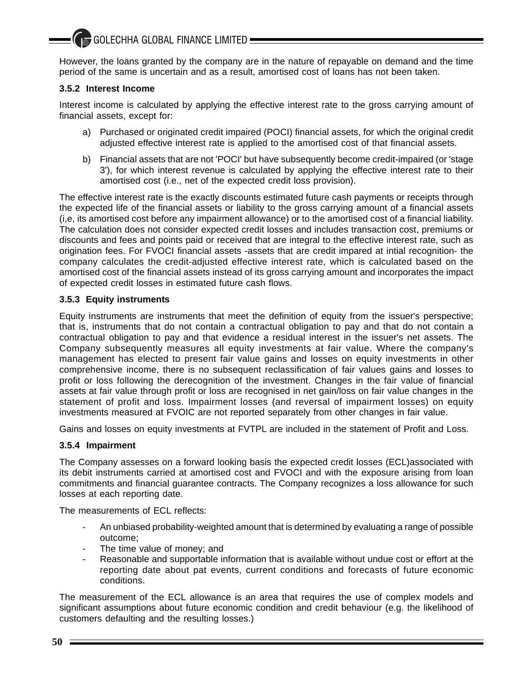However, the loans granted by the company are in the nature of repayable on demand and the time period of the same is uncertain and as a result, amortised cost of loans has not been taken.

#### **3.5.2 Interest Income**

Interest income is calculated by applying the effective interest rate to the gross carrying amount of financial assets, except for:

- a) Purchased or originated credit impaired (POCI) financial assets, for which the original credit adjusted effective interest rate is applied to the amortised cost of that financial assets.
- b) Financial assets that are not 'POCI' but have subsequently become credit-impaired (or 'stage 3'), for which interest revenue is calculated by applying the effective interest rate to their amortised cost (i.e., net of the expected credit loss provision).

The effective interest rate is the exactly discounts estimated future cash payments or receipts through the expected life of the financial assets or liability to the gross carrying amount of a financial assets (i,e, its amortised cost before any impairment allowance) or to the amortised cost of a financial liability. The calculation does not consider expected credit losses and includes transaction cost, premiums or discounts and fees and points paid or received that are integral to the effective interest rate, such as origination fees. For FVOCI financial assets -assets that are credit impared at intial recognition- the company calculates the credit-adjusted effective interest rate, which is calculated based on the amortised cost of the financial assets instead of its gross carrying amount and incorporates the impact of expected credit losses in estimated future cash flows.

#### **3.5.3 Equity instruments**

Equity instruments are instruments that meet the definition of equity from the issuer's perspective; that is, instruments that do not contain a contractual obligation to pay and that do not contain a contractual obligation to pay and that evidence a residual interest in the issuer's net assets. The Company subsequently measures all equity investments at fair value. Where the company's management has elected to present fair value gains and losses on equity investments in other comprehensive income, there is no subsequent reclassification of fair values gains and losses to profit or loss following the derecognition of the investment. Changes in the fair value of financial assets at fair value through profit or loss are recognised in net gain/loss on fair value changes in the statement of profit and loss. Impairment losses (and reversal of impairment losses) on equity investments measured at FVOIC are not reported separately from other changes in fair value.

Gains and losses on equity investments at FVTPL are included in the statement of Profit and Loss.

#### **3.5.4 Impairment**

The Company assesses on a forward looking basis the expected credit losses (ECL)associated with its debit instruments carried at amortised cost and FVOCI and with the exposure arising from loan commitments and financial guarantee contracts. The Company recognizes a loss allowance for such losses at each reporting date.

The measurements of ECL reflects:

- An unbiased probability-weighted amount that is determined by evaluating a range of possible outcome;
- The time value of money; and
- Reasonable and supportable information that is available without undue cost or effort at the reporting date about pat events, current conditions and forecasts of future economic conditions.

The measurement of the ECL allowance is an area that requires the use of complex models and significant assumptions about future economic condition and credit behaviour (e.g. the likelihood of customers defaulting and the resulting losses.)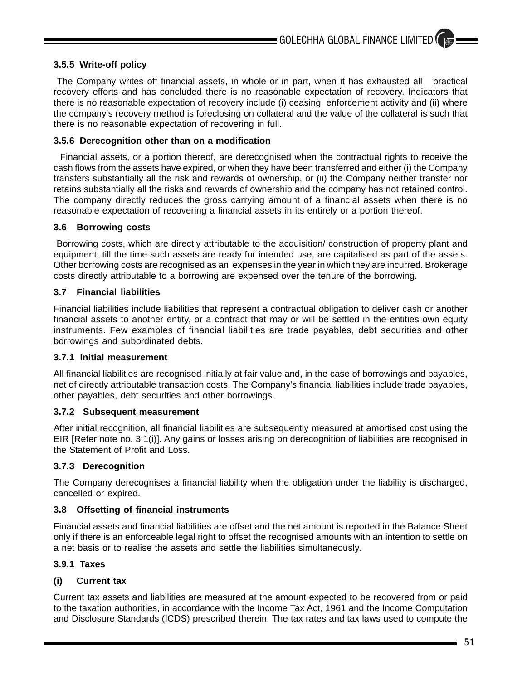#### **3.5.5 Write-off policy**

 The Company writes off financial assets, in whole or in part, when it has exhausted all practical recovery efforts and has concluded there is no reasonable expectation of recovery. Indicators that there is no reasonable expectation of recovery include (i) ceasing enforcement activity and (ii) where the company's recovery method is foreclosing on collateral and the value of the collateral is such that there is no reasonable expectation of recovering in full.

#### **3.5.6 Derecognition other than on a modification**

 Financial assets, or a portion thereof, are derecognised when the contractual rights to receive the cash flows from the assets have expired, or when they have been transferred and either (i) the Company transfers substantially all the risk and rewards of ownership, or (ii) the Company neither transfer nor retains substantially all the risks and rewards of ownership and the company has not retained control. The company directly reduces the gross carrying amount of a financial assets when there is no reasonable expectation of recovering a financial assets in its entirely or a portion thereof.

#### **3.6 Borrowing costs**

 Borrowing costs, which are directly attributable to the acquisition/ construction of property plant and equipment, till the time such assets are ready for intended use, are capitalised as part of the assets. Other borrowing costs are recognised as an expenses in the year in which they are incurred. Brokerage costs directly attributable to a borrowing are expensed over the tenure of the borrowing.

#### **3.7 Financial liabilities**

Financial liabilities include liabilities that represent a contractual obligation to deliver cash or another financial assets to another entity, or a contract that may or will be settled in the entities own equity instruments. Few examples of financial liabilities are trade payables, debt securities and other borrowings and subordinated debts.

#### **3.7.1 Initial measurement**

All financial liabilities are recognised initially at fair value and, in the case of borrowings and payables, net of directly attributable transaction costs. The Company's financial liabilities include trade payables, other payables, debt securities and other borrowings.

#### **3.7.2 Subsequent measurement**

After initial recognition, all financial liabilities are subsequently measured at amortised cost using the EIR [Refer note no. 3.1(i)]. Any gains or losses arising on derecognition of liabilities are recognised in the Statement of Profit and Loss.

#### **3.7.3 Derecognition**

The Company derecognises a financial liability when the obligation under the liability is discharged, cancelled or expired.

#### **3.8 Offsetting of financial instruments**

Financial assets and financial liabilities are offset and the net amount is reported in the Balance Sheet only if there is an enforceable legal right to offset the recognised amounts with an intention to settle on a net basis or to realise the assets and settle the liabilities simultaneously.

#### **3.9.1 Taxes**

#### **(i) Current tax**

Current tax assets and liabilities are measured at the amount expected to be recovered from or paid to the taxation authorities, in accordance with the Income Tax Act, 1961 and the Income Computation and Disclosure Standards (ICDS) prescribed therein. The tax rates and tax laws used to compute the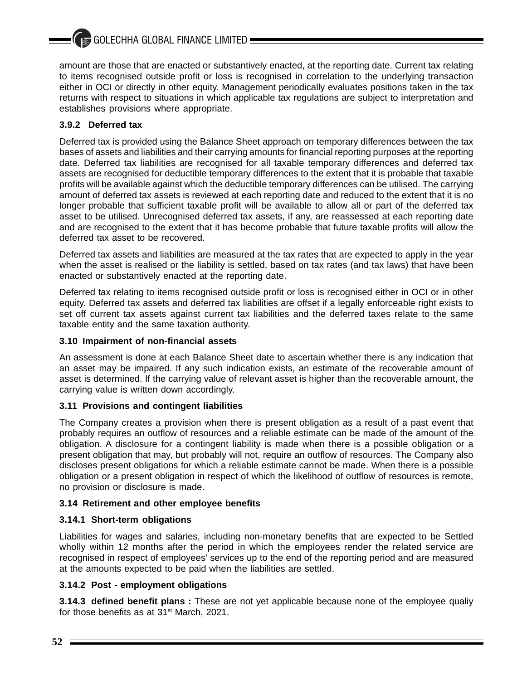amount are those that are enacted or substantively enacted, at the reporting date. Current tax relating to items recognised outside profit or loss is recognised in correlation to the underlying transaction either in OCI or directly in other equity. Management periodically evaluates positions taken in the tax returns with respect to situations in which applicable tax regulations are subject to interpretation and establishes provisions where appropriate.

#### **3.9.2 Deferred tax**

Deferred tax is provided using the Balance Sheet approach on temporary differences between the tax bases of assets and liabilities and their carrying amounts for financial reporting purposes at the reporting date. Deferred tax liabilities are recognised for all taxable temporary differences and deferred tax assets are recognised for deductible temporary differences to the extent that it is probable that taxable profits will be available against which the deductible temporary differences can be utilised. The carrying amount of deferred tax assets is reviewed at each reporting date and reduced to the extent that it is no longer probable that sufficient taxable profit will be available to allow all or part of the deferred tax asset to be utilised. Unrecognised deferred tax assets, if any, are reassessed at each reporting date and are recognised to the extent that it has become probable that future taxable profits will allow the deferred tax asset to be recovered.

Deferred tax assets and liabilities are measured at the tax rates that are expected to apply in the year when the asset is realised or the liability is settled, based on tax rates (and tax laws) that have been enacted or substantively enacted at the reporting date.

Deferred tax relating to items recognised outside profit or loss is recognised either in OCI or in other equity. Deferred tax assets and deferred tax liabilities are offset if a legally enforceable right exists to set off current tax assets against current tax liabilities and the deferred taxes relate to the same taxable entity and the same taxation authority.

#### **3.10 Impairment of non-financial assets**

An assessment is done at each Balance Sheet date to ascertain whether there is any indication that an asset may be impaired. If any such indication exists, an estimate of the recoverable amount of asset is determined. If the carrying value of relevant asset is higher than the recoverable amount, the carrying value is written down accordingly.

#### **3.11 Provisions and contingent liabilities**

The Company creates a provision when there is present obligation as a result of a past event that probably requires an outflow of resources and a reliable estimate can be made of the amount of the obligation. A disclosure for a contingent liability is made when there is a possible obligation or a present obligation that may, but probably will not, require an outflow of resources. The Company also discloses present obligations for which a reliable estimate cannot be made. When there is a possible obligation or a present obligation in respect of which the likelihood of outflow of resources is remote, no provision or disclosure is made.

#### **3.14 Retirement and other employee benefits**

#### **3.14.1 Short-term obligations**

Liabilities for wages and salaries, including non-monetary benefits that are expected to be Settled wholly within 12 months after the period in which the employees render the related service are recognised in respect of employees' services up to the end of the reporting period and are measured at the amounts expected to be paid when the liabilities are settled.

#### **3.14.2 Post - employment obligations**

**3.14.3 defined benefit plans :** These are not yet applicable because none of the employee qualiy for those benefits as at 31<sup>st</sup> March, 2021.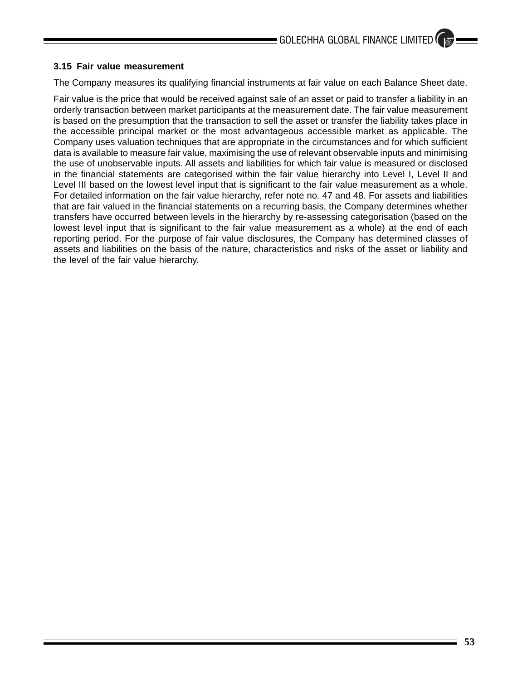#### **3.15 Fair value measurement**

The Company measures its qualifying financial instruments at fair value on each Balance Sheet date.

Fair value is the price that would be received against sale of an asset or paid to transfer a liability in an orderly transaction between market participants at the measurement date. The fair value measurement is based on the presumption that the transaction to sell the asset or transfer the liability takes place in the accessible principal market or the most advantageous accessible market as applicable. The Company uses valuation techniques that are appropriate in the circumstances and for which sufficient data is available to measure fair value, maximising the use of relevant observable inputs and minimising the use of unobservable inputs. All assets and liabilities for which fair value is measured or disclosed in the financial statements are categorised within the fair value hierarchy into Level I, Level II and Level III based on the lowest level input that is significant to the fair value measurement as a whole. For detailed information on the fair value hierarchy, refer note no. 47 and 48. For assets and liabilities that are fair valued in the financial statements on a recurring basis, the Company determines whether transfers have occurred between levels in the hierarchy by re-assessing categorisation (based on the lowest level input that is significant to the fair value measurement as a whole) at the end of each reporting period. For the purpose of fair value disclosures, the Company has determined classes of assets and liabilities on the basis of the nature, characteristics and risks of the asset or liability and the level of the fair value hierarchy.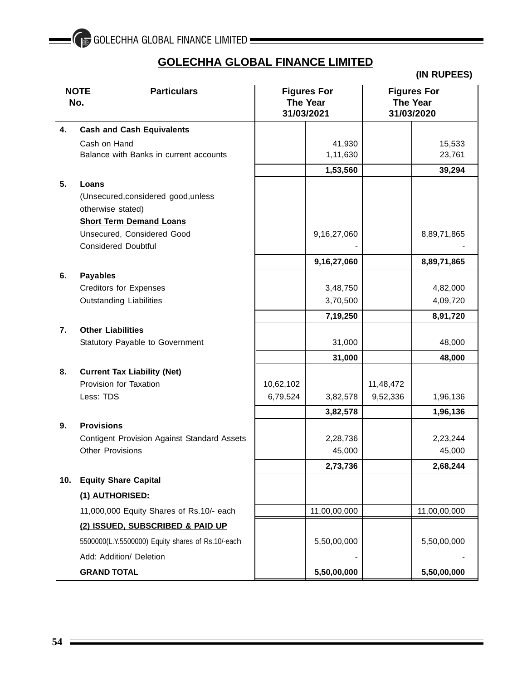**(IN RUPEES)**

| <b>NOTE</b><br><b>Particulars</b><br>No. |                                                                                                                                                                                                                                                                                                                                                                                                                                                                                                                                                                                                                                                 | <b>Figures For</b><br>The Year<br>31/03/2021 |                                                                                                                                                                                            | <b>Figures For</b><br><b>The Year</b><br>31/03/2020 |                                                                                                                                                                                  |
|------------------------------------------|-------------------------------------------------------------------------------------------------------------------------------------------------------------------------------------------------------------------------------------------------------------------------------------------------------------------------------------------------------------------------------------------------------------------------------------------------------------------------------------------------------------------------------------------------------------------------------------------------------------------------------------------------|----------------------------------------------|--------------------------------------------------------------------------------------------------------------------------------------------------------------------------------------------|-----------------------------------------------------|----------------------------------------------------------------------------------------------------------------------------------------------------------------------------------|
| 4.                                       | <b>Cash and Cash Equivalents</b>                                                                                                                                                                                                                                                                                                                                                                                                                                                                                                                                                                                                                |                                              |                                                                                                                                                                                            |                                                     |                                                                                                                                                                                  |
|                                          | Cash on Hand                                                                                                                                                                                                                                                                                                                                                                                                                                                                                                                                                                                                                                    |                                              | 41,930                                                                                                                                                                                     |                                                     | 15,533                                                                                                                                                                           |
|                                          | Balance with Banks in current accounts                                                                                                                                                                                                                                                                                                                                                                                                                                                                                                                                                                                                          |                                              | 1,11,630                                                                                                                                                                                   |                                                     | 23,761                                                                                                                                                                           |
|                                          |                                                                                                                                                                                                                                                                                                                                                                                                                                                                                                                                                                                                                                                 |                                              | 1,53,560                                                                                                                                                                                   |                                                     | 39,294                                                                                                                                                                           |
| 5.                                       | Loans                                                                                                                                                                                                                                                                                                                                                                                                                                                                                                                                                                                                                                           |                                              |                                                                                                                                                                                            |                                                     |                                                                                                                                                                                  |
|                                          | (Unsecured, considered good, unless                                                                                                                                                                                                                                                                                                                                                                                                                                                                                                                                                                                                             |                                              |                                                                                                                                                                                            |                                                     |                                                                                                                                                                                  |
|                                          | otherwise stated)                                                                                                                                                                                                                                                                                                                                                                                                                                                                                                                                                                                                                               |                                              |                                                                                                                                                                                            |                                                     |                                                                                                                                                                                  |
|                                          |                                                                                                                                                                                                                                                                                                                                                                                                                                                                                                                                                                                                                                                 |                                              |                                                                                                                                                                                            |                                                     |                                                                                                                                                                                  |
|                                          |                                                                                                                                                                                                                                                                                                                                                                                                                                                                                                                                                                                                                                                 |                                              |                                                                                                                                                                                            |                                                     |                                                                                                                                                                                  |
|                                          |                                                                                                                                                                                                                                                                                                                                                                                                                                                                                                                                                                                                                                                 |                                              |                                                                                                                                                                                            |                                                     |                                                                                                                                                                                  |
|                                          |                                                                                                                                                                                                                                                                                                                                                                                                                                                                                                                                                                                                                                                 |                                              |                                                                                                                                                                                            |                                                     |                                                                                                                                                                                  |
|                                          |                                                                                                                                                                                                                                                                                                                                                                                                                                                                                                                                                                                                                                                 |                                              |                                                                                                                                                                                            |                                                     |                                                                                                                                                                                  |
|                                          |                                                                                                                                                                                                                                                                                                                                                                                                                                                                                                                                                                                                                                                 |                                              |                                                                                                                                                                                            |                                                     |                                                                                                                                                                                  |
|                                          |                                                                                                                                                                                                                                                                                                                                                                                                                                                                                                                                                                                                                                                 |                                              |                                                                                                                                                                                            |                                                     |                                                                                                                                                                                  |
|                                          |                                                                                                                                                                                                                                                                                                                                                                                                                                                                                                                                                                                                                                                 |                                              |                                                                                                                                                                                            |                                                     |                                                                                                                                                                                  |
|                                          |                                                                                                                                                                                                                                                                                                                                                                                                                                                                                                                                                                                                                                                 |                                              |                                                                                                                                                                                            |                                                     |                                                                                                                                                                                  |
|                                          |                                                                                                                                                                                                                                                                                                                                                                                                                                                                                                                                                                                                                                                 |                                              |                                                                                                                                                                                            |                                                     |                                                                                                                                                                                  |
|                                          |                                                                                                                                                                                                                                                                                                                                                                                                                                                                                                                                                                                                                                                 |                                              |                                                                                                                                                                                            |                                                     |                                                                                                                                                                                  |
|                                          |                                                                                                                                                                                                                                                                                                                                                                                                                                                                                                                                                                                                                                                 |                                              |                                                                                                                                                                                            |                                                     |                                                                                                                                                                                  |
|                                          |                                                                                                                                                                                                                                                                                                                                                                                                                                                                                                                                                                                                                                                 |                                              |                                                                                                                                                                                            |                                                     |                                                                                                                                                                                  |
|                                          |                                                                                                                                                                                                                                                                                                                                                                                                                                                                                                                                                                                                                                                 |                                              |                                                                                                                                                                                            |                                                     |                                                                                                                                                                                  |
|                                          |                                                                                                                                                                                                                                                                                                                                                                                                                                                                                                                                                                                                                                                 |                                              |                                                                                                                                                                                            |                                                     |                                                                                                                                                                                  |
|                                          |                                                                                                                                                                                                                                                                                                                                                                                                                                                                                                                                                                                                                                                 |                                              |                                                                                                                                                                                            |                                                     |                                                                                                                                                                                  |
|                                          | <b>Other Provisions</b>                                                                                                                                                                                                                                                                                                                                                                                                                                                                                                                                                                                                                         |                                              |                                                                                                                                                                                            |                                                     | 45,000                                                                                                                                                                           |
|                                          |                                                                                                                                                                                                                                                                                                                                                                                                                                                                                                                                                                                                                                                 |                                              |                                                                                                                                                                                            |                                                     |                                                                                                                                                                                  |
|                                          |                                                                                                                                                                                                                                                                                                                                                                                                                                                                                                                                                                                                                                                 |                                              |                                                                                                                                                                                            |                                                     |                                                                                                                                                                                  |
|                                          |                                                                                                                                                                                                                                                                                                                                                                                                                                                                                                                                                                                                                                                 |                                              |                                                                                                                                                                                            |                                                     |                                                                                                                                                                                  |
|                                          |                                                                                                                                                                                                                                                                                                                                                                                                                                                                                                                                                                                                                                                 |                                              |                                                                                                                                                                                            |                                                     |                                                                                                                                                                                  |
|                                          |                                                                                                                                                                                                                                                                                                                                                                                                                                                                                                                                                                                                                                                 |                                              |                                                                                                                                                                                            |                                                     |                                                                                                                                                                                  |
|                                          |                                                                                                                                                                                                                                                                                                                                                                                                                                                                                                                                                                                                                                                 |                                              |                                                                                                                                                                                            |                                                     |                                                                                                                                                                                  |
|                                          |                                                                                                                                                                                                                                                                                                                                                                                                                                                                                                                                                                                                                                                 |                                              |                                                                                                                                                                                            |                                                     |                                                                                                                                                                                  |
|                                          |                                                                                                                                                                                                                                                                                                                                                                                                                                                                                                                                                                                                                                                 |                                              |                                                                                                                                                                                            |                                                     |                                                                                                                                                                                  |
| 6.<br>7.<br>8.<br>9.<br>10.              | <b>Short Term Demand Loans</b><br>Unsecured, Considered Good<br><b>Considered Doubtful</b><br><b>Payables</b><br><b>Creditors for Expenses</b><br><b>Outstanding Liabilities</b><br><b>Other Liabilities</b><br>Statutory Payable to Government<br><b>Current Tax Liability (Net)</b><br>Provision for Taxation<br>Less: TDS<br><b>Provisions</b><br><b>Contigent Provision Against Standard Assets</b><br><b>Equity Share Capital</b><br>(1) AUTHORISED:<br>11,000,000 Equity Shares of Rs.10/- each<br>(2) ISSUED, SUBSCRIBED & PAID UP<br>5500000(L.Y.5500000) Equity shares of Rs.10/-each<br>Add: Addition/ Deletion<br><b>GRAND TOTAL</b> | 10,62,102<br>6,79,524                        | 9,16,27,060<br>9,16,27,060<br>3,48,750<br>3,70,500<br>7,19,250<br>31,000<br>31,000<br>3,82,578<br>3,82,578<br>2,28,736<br>45,000<br>2,73,736<br>11,00,00,000<br>5,50,00,000<br>5,50,00,000 | 11,48,472<br>9,52,336                               | 8,89,71,865<br>8,89,71,865<br>4,82,000<br>4,09,720<br>8,91,720<br>48,000<br>48,000<br>1,96,136<br>1,96,136<br>2,23,244<br>2,68,244<br>11,00,00,000<br>5,50,00,000<br>5,50,00,000 |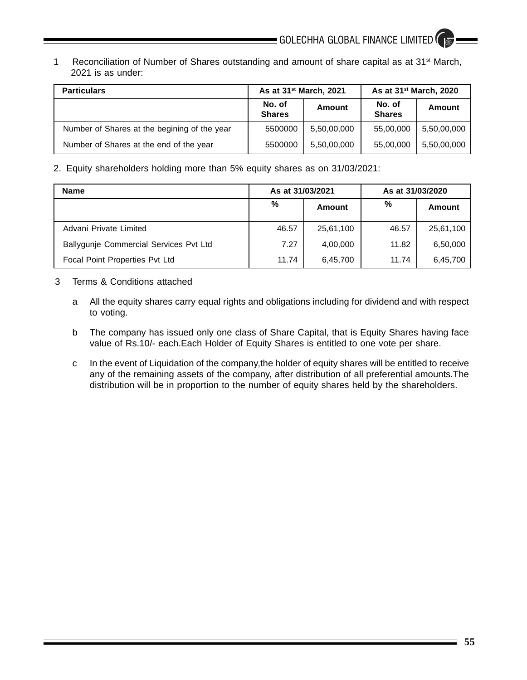1 Reconciliation of Number of Shares outstanding and amount of share capital as at 31<sup>st</sup> March, 2021 is as under:

| <b>Particulars</b>                           | As at 31 <sup>st</sup> March, 2021 |             | As at 31 <sup>st</sup> March, 2020 |             |
|----------------------------------------------|------------------------------------|-------------|------------------------------------|-------------|
|                                              | No. of<br><b>Shares</b>            | Amount      | No. of<br><b>Shares</b>            | Amount      |
| Number of Shares at the begining of the year | 5500000                            | 5,50,00,000 | 55,00,000                          | 5,50,00,000 |
| Number of Shares at the end of the year      | 5500000                            | 5,50,00,000 | 55,00,000                          | 5,50,00,000 |

2. Equity shareholders holding more than 5% equity shares as on 31/03/2021:

| <b>Name</b>                            | As at 31/03/2021 |           | As at 31/03/2020 |           |
|----------------------------------------|------------------|-----------|------------------|-----------|
|                                        | %                | Amount    | %                | Amount    |
| Advani Private Limited                 | 46.57            | 25,61,100 | 46.57            | 25,61,100 |
| Ballygunje Commercial Services Pvt Ltd | 7.27             | 4,00,000  | 11.82            | 6,50,000  |
| Focal Point Properties Pvt Ltd         | 11.74            | 6,45,700  | 11.74            | 6,45,700  |

- 3 Terms & Conditions attached
	- a All the equity shares carry equal rights and obligations including for dividend and with respect to voting.
	- b The company has issued only one class of Share Capital, that is Equity Shares having face value of Rs.10/- each.Each Holder of Equity Shares is entitled to one vote per share.
	- c In the event of Liquidation of the company,the holder of equity shares will be entitled to receive any of the remaining assets of the company, after distribution of all preferential amounts.The distribution will be in proportion to the number of equity shares held by the shareholders.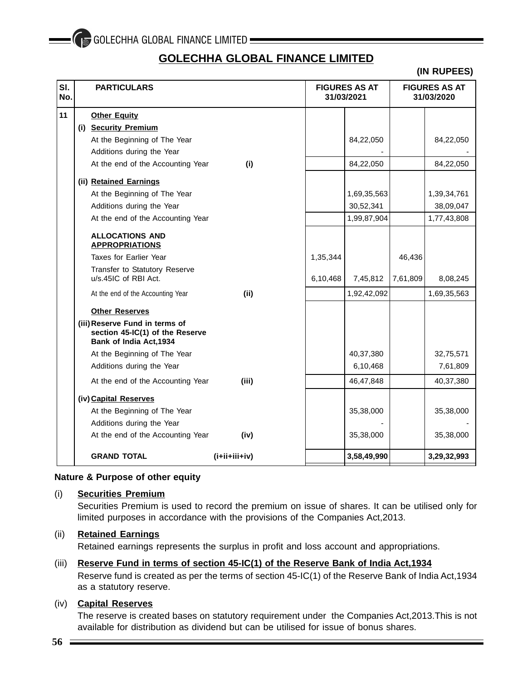#### **(IN RUPEES)**

| SI.<br>No. | <b>PARTICULARS</b>                                                                           |               |          | <b>FIGURES AS AT</b><br>31/03/2021 |          | <b>FIGURES AS AT</b><br>31/03/2020 |
|------------|----------------------------------------------------------------------------------------------|---------------|----------|------------------------------------|----------|------------------------------------|
| 11         | <b>Other Equity</b>                                                                          |               |          |                                    |          |                                    |
|            | (i) Security Premium                                                                         |               |          |                                    |          |                                    |
|            | At the Beginning of The Year                                                                 |               |          | 84,22,050                          |          | 84,22,050                          |
|            | Additions during the Year                                                                    |               |          |                                    |          |                                    |
|            | At the end of the Accounting Year                                                            | (i)           |          | 84,22,050                          |          | 84,22,050                          |
|            | (ii) Retained Earnings                                                                       |               |          |                                    |          |                                    |
|            | At the Beginning of The Year                                                                 |               |          | 1,69,35,563                        |          | 1,39,34,761                        |
|            | Additions during the Year                                                                    |               |          | 30,52,341                          |          | 38,09,047                          |
|            | At the end of the Accounting Year                                                            |               |          | 1,99,87,904                        |          | 1,77,43,808                        |
|            | <b>ALLOCATIONS AND</b><br><b>APPROPRIATIONS</b>                                              |               |          |                                    |          |                                    |
|            | <b>Taxes for Earlier Year</b>                                                                |               | 1,35,344 |                                    | 46,436   |                                    |
|            | Transfer to Statutory Reserve<br>u/s.45IC of RBI Act.                                        |               | 6,10,468 | 7,45,812                           | 7,61,809 | 8,08,245                           |
|            | At the end of the Accounting Year                                                            | (ii)          |          | 1,92,42,092                        |          | 1,69,35,563                        |
|            | <b>Other Reserves</b>                                                                        |               |          |                                    |          |                                    |
|            | (iii) Reserve Fund in terms of<br>section 45-IC(1) of the Reserve<br>Bank of India Act, 1934 |               |          |                                    |          |                                    |
|            | At the Beginning of The Year                                                                 |               |          | 40,37,380                          |          | 32,75,571                          |
|            | Additions during the Year                                                                    |               |          | 6,10,468                           |          | 7,61,809                           |
|            | At the end of the Accounting Year                                                            | (iii)         |          | 46,47,848                          |          | 40,37,380                          |
|            | (iv) Capital Reserves                                                                        |               |          |                                    |          |                                    |
|            | At the Beginning of The Year<br>Additions during the Year                                    |               |          | 35,38,000                          |          | 35,38,000                          |
|            | At the end of the Accounting Year                                                            | (iv)          |          | 35,38,000                          |          | 35,38,000                          |
|            | <b>GRAND TOTAL</b>                                                                           | (i+ii+iii+iv) |          | 3,58,49,990                        |          | 3,29,32,993                        |

#### **Nature & Purpose of other equity**

#### (i) **Securities Premium**

Securities Premium is used to record the premium on issue of shares. It can be utilised only for limited purposes in accordance with the provisions of the Companies Act,2013.

#### (ii) **Retained Earnings**

Retained earnings represents the surplus in profit and loss account and appropriations.

#### (iii) **Reserve Fund in terms of section 45-IC(1) of the Reserve Bank of India Act,1934**

Reserve fund is created as per the terms of section 45-IC(1) of the Reserve Bank of India Act,1934 as a statutory reserve.

#### (iv) **Capital Reserves**

The reserve is created bases on statutory requirement under the Companies Act,2013.This is not available for distribution as dividend but can be utilised for issue of bonus shares.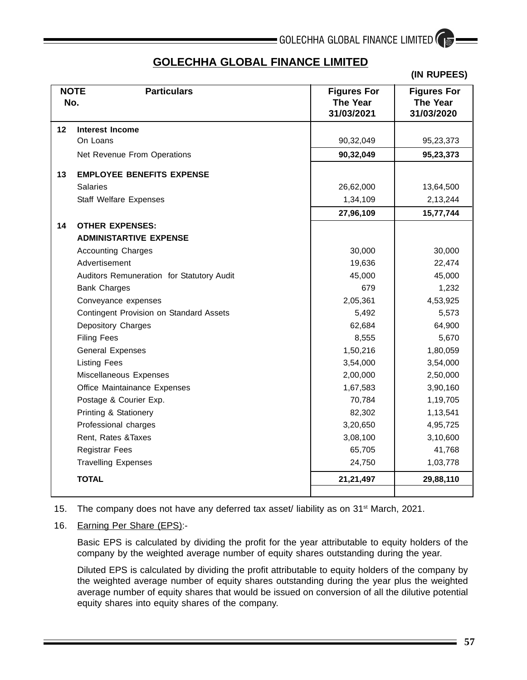**(IN RUPEES)**

| No. | <b>NOTE</b><br><b>Particulars</b>              | <b>Figures For</b><br><b>The Year</b><br>31/03/2021 | <b>Figures For</b><br><b>The Year</b><br>31/03/2020 |
|-----|------------------------------------------------|-----------------------------------------------------|-----------------------------------------------------|
| 12  | Interest Income                                |                                                     |                                                     |
|     | On Loans                                       | 90,32,049                                           | 95,23,373                                           |
|     | Net Revenue From Operations                    | 90,32,049                                           | 95,23,373                                           |
| 13  | <b>EMPLOYEE BENEFITS EXPENSE</b>               |                                                     |                                                     |
|     | <b>Salaries</b>                                | 26,62,000                                           | 13,64,500                                           |
|     | <b>Staff Welfare Expenses</b>                  | 1,34,109                                            | 2,13,244                                            |
|     |                                                | 27,96,109                                           | 15,77,744                                           |
| 14  | <b>OTHER EXPENSES:</b>                         |                                                     |                                                     |
|     | <b>ADMINISTARTIVE EXPENSE</b>                  |                                                     |                                                     |
|     | <b>Accounting Charges</b>                      | 30,000                                              | 30,000                                              |
|     | Advertisement                                  | 19,636                                              | 22,474                                              |
|     | Auditors Remuneration for Statutory Audit      | 45,000                                              | 45,000                                              |
|     | <b>Bank Charges</b>                            | 679                                                 | 1,232                                               |
|     | Conveyance expenses                            | 2,05,361                                            | 4,53,925                                            |
|     | <b>Contingent Provision on Standard Assets</b> | 5,492                                               | 5,573                                               |
|     | <b>Depository Charges</b>                      | 62,684                                              | 64,900                                              |
|     | <b>Filing Fees</b>                             | 8,555                                               | 5,670                                               |
|     | <b>General Expenses</b>                        | 1,50,216                                            | 1,80,059                                            |
|     | <b>Listing Fees</b>                            | 3,54,000                                            | 3,54,000                                            |
|     | Miscellaneous Expenses                         | 2,00,000                                            | 2,50,000                                            |
|     | Office Maintainance Expenses                   | 1,67,583                                            | 3,90,160                                            |
|     | Postage & Courier Exp.                         | 70,784                                              | 1,19,705                                            |
|     | Printing & Stationery                          | 82,302                                              | 1,13,541                                            |
|     | Professional charges                           | 3,20,650                                            | 4,95,725                                            |
|     | Rent, Rates & Taxes                            | 3,08,100                                            | 3,10,600                                            |
|     | <b>Registrar Fees</b>                          | 65,705                                              | 41,768                                              |
|     | <b>Travelling Expenses</b>                     | 24,750                                              | 1,03,778                                            |
|     | <b>TOTAL</b>                                   | 21,21,497                                           | 29,88,110                                           |

15. The company does not have any deferred tax asset/ liability as on 31<sup>st</sup> March, 2021.

16. Earning Per Share (EPS):-

Basic EPS is calculated by dividing the profit for the year attributable to equity holders of the company by the weighted average number of equity shares outstanding during the year.

Diluted EPS is calculated by dividing the profit attributable to equity holders of the company by the weighted average number of equity shares outstanding during the year plus the weighted average number of equity shares that would be issued on conversion of all the dilutive potential equity shares into equity shares of the company.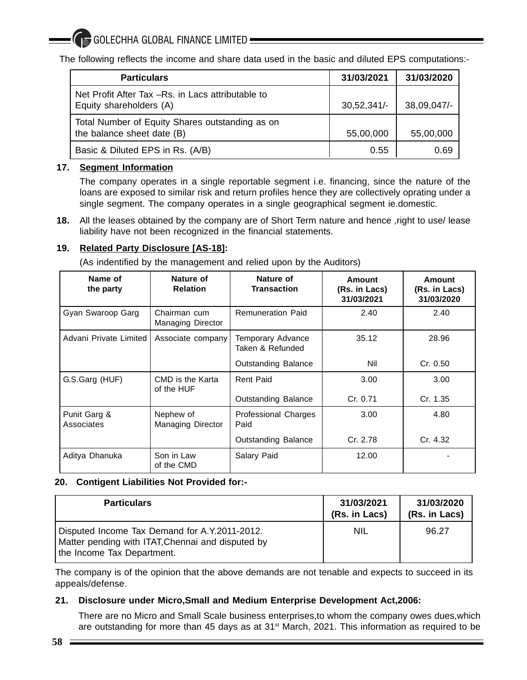The following reflects the income and share data used in the basic and diluted EPS computations:-

| <b>Particulars</b>                                                            | 31/03/2021 | 31/03/2020  |
|-------------------------------------------------------------------------------|------------|-------------|
| Net Profit After Tax -Rs. in Lacs attributable to<br>Equity shareholders (A)  | 30,52,341/ | 38,09,047/- |
| Total Number of Equity Shares outstanding as on<br>the balance sheet date (B) | 55,00,000  | 55,00,000   |
| Basic & Diluted EPS in Rs. (A/B)                                              | 0.55       | 0.69        |

#### **17. Segment Information**

The company operates in a single reportable segment i.e. financing, since the nature of the loans are exposed to similar risk and return profiles hence they are collectively oprating under a single segment. The company operates in a single geographical segment ie.domestic.

**18.** All the leases obtained by the company are of Short Term nature and hence ,right to use/ lease liability have not been recognized in the financial statements.

#### **19. Related Party Disclosure [AS-18]:**

(As indentified by the management and relied upon by the Auditors)

| Name of<br>the party       | Nature of<br><b>Relation</b>             | Nature of<br><b>Transaction</b>       | Amount<br>(Rs. in Lacs)<br>31/03/2021 | Amount<br>(Rs. in Lacs)<br>31/03/2020 |
|----------------------------|------------------------------------------|---------------------------------------|---------------------------------------|---------------------------------------|
| Gyan Swaroop Garg          | Chairman cum<br><b>Managing Director</b> | <b>Remuneration Paid</b>              | 2.40                                  | 2.40                                  |
| Advani Private Limited     | Associate company                        | Temporary Advance<br>Taken & Refunded | 35.12                                 | 28.96                                 |
|                            |                                          | <b>Outstanding Balance</b>            | Nil                                   | Cr. 0.50                              |
| G.S.Garg (HUF)             | CMD is the Karta<br>of the HUF           | <b>Rent Paid</b>                      | 3.00                                  | 3.00                                  |
|                            |                                          | Outstanding Balance                   | Cr. 0.71                              | Cr. 1.35                              |
| Punit Garg &<br>Associates | Nephew of<br><b>Managing Director</b>    | Professional Charges<br>Paid          | 3.00                                  | 4.80                                  |
|                            |                                          | <b>Outstanding Balance</b>            | Cr. 2.78                              | Cr. 4.32                              |
| Aditya Dhanuka             | Son in Law<br>of the CMD                 | Salary Paid                           | 12.00                                 |                                       |

#### **20. Contigent Liabilities Not Provided for:-**

| <b>Particulars</b>                                                                                                               | 31/03/2021<br>(Rs. in Lacs) | 31/03/2020<br>(Rs. in Lacs) |
|----------------------------------------------------------------------------------------------------------------------------------|-----------------------------|-----------------------------|
| Disputed Income Tax Demand for A.Y.2011-2012.<br>Matter pending with ITAT, Chennai and disputed by<br>the Income Tax Department. | <b>NIL</b>                  | 96.27                       |

The company is of the opinion that the above demands are not tenable and expects to succeed in its appeals/defense.

#### **21. Disclosure under Micro,Small and Medium Enterprise Development Act,2006:**

There are no Micro and Small Scale business enterprises,to whom the company owes dues,which are outstanding for more than 45 days as at  $31<sup>st</sup>$  March, 2021. This information as required to be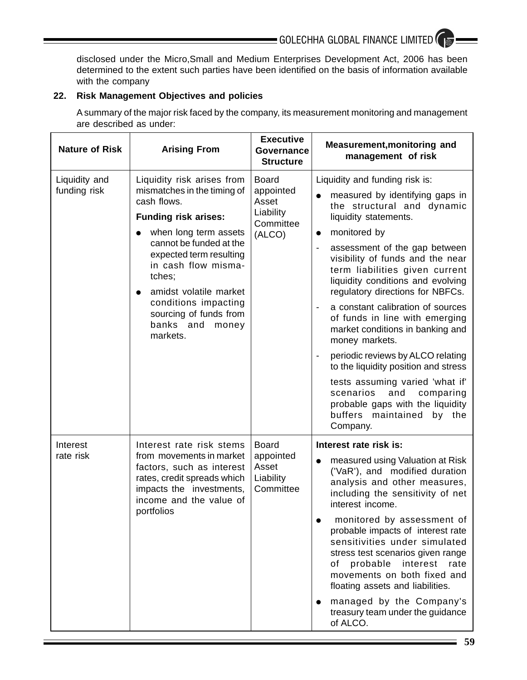-

disclosed under the Micro,Small and Medium Enterprises Development Act, 2006 has been determined to the extent such parties have been identified on the basis of information available with the company

#### **22. Risk Management Objectives and policies**

A summary of the major risk faced by the company, its measurement monitoring and management are described as under:

| <b>Nature of Risk</b>         | <b>Arising From</b>                                                                                                                                                                                                                                                                                                                      | <b>Executive</b><br>Governance<br><b>Structure</b>              | Measurement, monitoring and<br>management of risk                                                                                                                                                                                                                                                                                                                                                                                                                                                                                                                                                                                                                                                                                                       |
|-------------------------------|------------------------------------------------------------------------------------------------------------------------------------------------------------------------------------------------------------------------------------------------------------------------------------------------------------------------------------------|-----------------------------------------------------------------|---------------------------------------------------------------------------------------------------------------------------------------------------------------------------------------------------------------------------------------------------------------------------------------------------------------------------------------------------------------------------------------------------------------------------------------------------------------------------------------------------------------------------------------------------------------------------------------------------------------------------------------------------------------------------------------------------------------------------------------------------------|
| Liquidity and<br>funding risk | Liquidity risk arises from<br>mismatches in the timing of<br>cash flows.<br>Funding risk arises:<br>when long term assets<br>cannot be funded at the<br>expected term resulting<br>in cash flow misma-<br>tches:<br>amidst volatile market<br>$\bullet$<br>conditions impacting<br>sourcing of funds from<br>banks and money<br>markets. | Board<br>appointed<br>Asset<br>Liability<br>Committee<br>(ALCO) | Liquidity and funding risk is:<br>measured by identifying gaps in<br>the structural and dynamic<br>liquidity statements.<br>monitored by<br>$\bullet$<br>assessment of the gap between<br>÷<br>visibility of funds and the near<br>term liabilities given current<br>liquidity conditions and evolving<br>regulatory directions for NBFCs.<br>a constant calibration of sources<br>$\overline{\phantom{a}}$<br>of funds in line with emerging<br>market conditions in banking and<br>money markets.<br>periodic reviews by ALCO relating<br>$\overline{\phantom{a}}$<br>to the liquidity position and stress<br>tests assuming varied 'what if'<br>scenarios and comparing<br>probable gaps with the liquidity<br>buffers maintained by the<br>Company. |
| Interest<br>rate risk         | Interest rate risk stems<br>from movements in market<br>factors, such as interest<br>rates, credit spreads which<br>impacts the investments,<br>income and the value of<br>portfolios                                                                                                                                                    | Board<br>appointed<br>Asset<br>Liability<br>Committee           | Interest rate risk is:<br>measured using Valuation at Risk<br>('VaR'), and modified duration<br>analysis and other measures,<br>including the sensitivity of net<br>interest income.<br>monitored by assessment of<br>$\bullet$<br>probable impacts of interest rate<br>sensitivities under simulated<br>stress test scenarios given range<br>probable interest rate<br>of<br>movements on both fixed and<br>floating assets and liabilities.<br>managed by the Company's<br>$\bullet$<br>treasury team under the guidance<br>of ALCO.                                                                                                                                                                                                                  |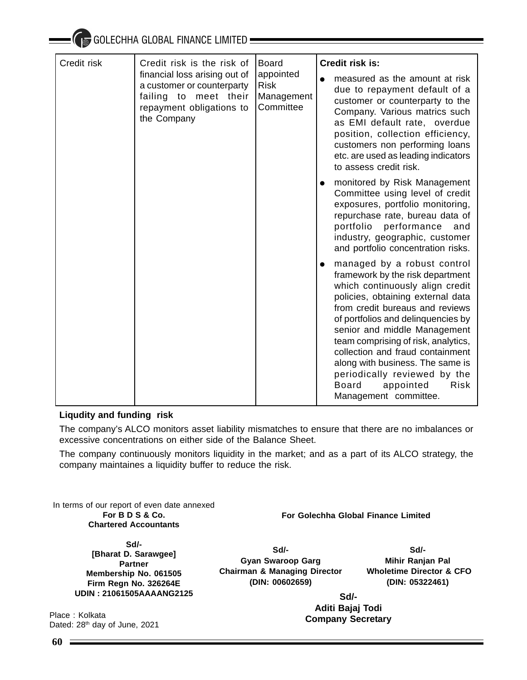| Credit risk | Credit risk is the risk of                                                                                                      | Board                                               | Credit risk is:                                                                                                                                                                                                                                                                                                                                                                                                                                               |  |  |
|-------------|---------------------------------------------------------------------------------------------------------------------------------|-----------------------------------------------------|---------------------------------------------------------------------------------------------------------------------------------------------------------------------------------------------------------------------------------------------------------------------------------------------------------------------------------------------------------------------------------------------------------------------------------------------------------------|--|--|
|             | financial loss arising out of<br>a customer or counterparty<br>failing to meet their<br>repayment obligations to<br>the Company | appointed<br><b>Risk</b><br>Management<br>Committee | measured as the amount at risk<br>due to repayment default of a<br>customer or counterparty to the<br>Company. Various matrics such<br>as EMI default rate, overdue<br>position, collection efficiency,<br>customers non performing loans<br>etc. are used as leading indicators<br>to assess credit risk.                                                                                                                                                    |  |  |
|             |                                                                                                                                 |                                                     | monitored by Risk Management<br>Committee using level of credit<br>exposures, portfolio monitoring,<br>repurchase rate, bureau data of<br>portfolio performance<br>and<br>industry, geographic, customer<br>and portfolio concentration risks.                                                                                                                                                                                                                |  |  |
|             |                                                                                                                                 |                                                     | managed by a robust control<br>framework by the risk department<br>which continuously align credit<br>policies, obtaining external data<br>from credit bureaus and reviews<br>of portfolios and delinquencies by<br>senior and middle Management<br>team comprising of risk, analytics,<br>collection and fraud containment<br>along with business. The same is<br>periodically reviewed by the<br>appointed<br><b>Risk</b><br>Board<br>Management committee. |  |  |

#### **Liqudity and funding risk**

The company's ALCO monitors asset liability mismatches to ensure that there are no imbalances or excessive concentrations on either side of the Balance Sheet.

The company continuously monitors liquidity in the market; and as a part of its ALCO strategy, the company maintaines a liquidity buffer to reduce the risk.

In terms of our report of even date annexed **For B D S & Co. Chartered Accountants**

**For Golechha Global Finance Limited**

**Sd/- [Bharat D. Sarawgee] Partner Membership No. 061505 Firm Regn No. 326264E UDIN : 21061505AAAANG2125**

**Sd/- Gyan Swaroop Garg Chairman & Managing Director (DIN: 00602659)**

**Sd/- Mihir Ranjan Pal Wholetime Director & CFO (DIN: 05322461)**

**Sd/- Aditi Bajaj Todi Company Secretary**

Place : Kolkata

Dated: 28<sup>th</sup> day of June, 2021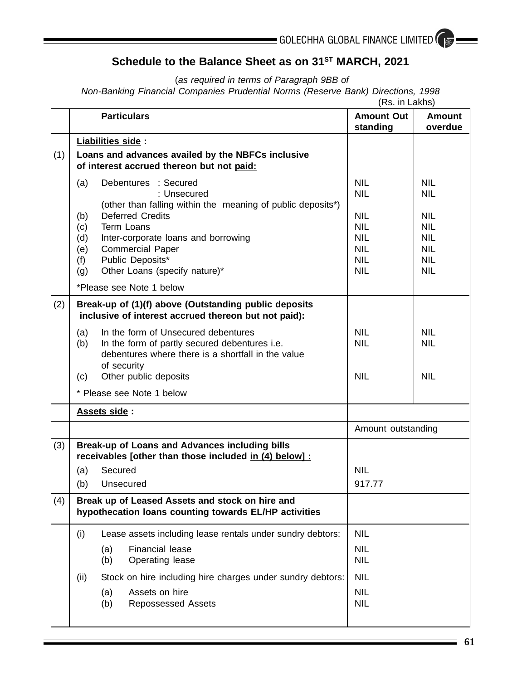$\blacksquare$  GOLECHHA GLOBAL FINANCE LIMITED  $\bigcap\limits_{\square}\blacksquare$ 

#### Schedule to the Balance Sheet as on 31<sup>ST</sup> MARCH, 2021

(*as required in terms of Paragraph 9BB of*

*Non-Banking Financial Companies Prudential Norms (Reserve Bank) Directions, 1998*

|     |                                                                                                                                                                         | (Rs. in Lakhs)                           |                                                      |  |
|-----|-------------------------------------------------------------------------------------------------------------------------------------------------------------------------|------------------------------------------|------------------------------------------------------|--|
|     | <b>Particulars</b>                                                                                                                                                      | <b>Amount Out</b><br>standing            | <b>Amount</b><br>overdue                             |  |
|     | Liabilities side :                                                                                                                                                      |                                          |                                                      |  |
| (1) | Loans and advances availed by the NBFCs inclusive<br>of interest accrued thereon but not paid:                                                                          |                                          |                                                      |  |
|     | Debentures : Secured<br>(a)<br>: Unsecured<br>(other than falling within the meaning of public deposits*)<br><b>Deferred Credits</b><br>(b)<br>Term Loans<br>(c)        | NIL.<br><b>NIL</b><br><b>NIL</b><br>NIL. | <b>NIL</b><br><b>NIL</b><br><b>NIL</b><br><b>NIL</b> |  |
|     | (d)<br>Inter-corporate loans and borrowing<br><b>Commercial Paper</b><br>(e)<br>Public Deposits*<br>(f)<br>Other Loans (specify nature)*<br>(g)                         | NIL.<br>NIL.<br><b>NIL</b><br><b>NIL</b> | <b>NIL</b><br><b>NIL</b><br><b>NIL</b><br><b>NIL</b> |  |
|     | *Please see Note 1 below                                                                                                                                                |                                          |                                                      |  |
| (2) | Break-up of (1)(f) above (Outstanding public deposits<br>inclusive of interest accrued thereon but not paid):                                                           |                                          |                                                      |  |
|     | In the form of Unsecured debentures<br>(a)<br>(b)<br>In the form of partly secured debentures i.e.<br>debentures where there is a shortfall in the value<br>of security | <b>NIL</b><br><b>NIL</b>                 | <b>NIL</b><br><b>NIL</b>                             |  |
|     | Other public deposits<br>(c)                                                                                                                                            | <b>NIL</b>                               | <b>NIL</b>                                           |  |
|     | * Please see Note 1 below                                                                                                                                               |                                          |                                                      |  |
|     | Assets side:                                                                                                                                                            |                                          |                                                      |  |
|     |                                                                                                                                                                         | Amount outstanding                       |                                                      |  |
| (3) | Break-up of Loans and Advances including bills<br>receivables [other than those included in (4) below] :                                                                |                                          |                                                      |  |
|     | Secured<br>(a)                                                                                                                                                          | <b>NIL</b>                               |                                                      |  |
|     | (b)<br>Unsecured                                                                                                                                                        | 917.77                                   |                                                      |  |
| (4) | Break up of Leased Assets and stock on hire and<br>hypothecation loans counting towards EL/HP activities                                                                |                                          |                                                      |  |
|     | (i)<br>Lease assets including lease rentals under sundry debtors:                                                                                                       | <b>NIL</b>                               |                                                      |  |
|     | Financial lease<br>(a)<br>Operating lease<br>(b)                                                                                                                        | <b>NIL</b><br><b>NIL</b>                 |                                                      |  |
|     | Stock on hire including hire charges under sundry debtors:<br>(ii)                                                                                                      | <b>NIL</b>                               |                                                      |  |
|     | Assets on hire<br>(a)<br>(b)<br>Repossessed Assets                                                                                                                      | <b>NIL</b><br><b>NIL</b>                 |                                                      |  |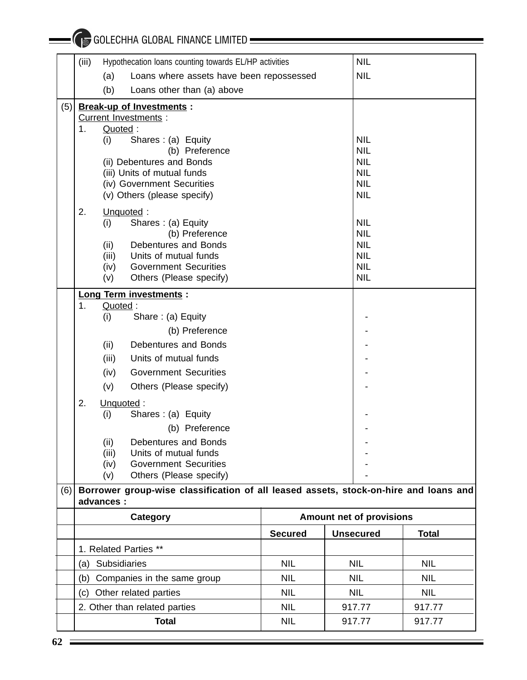|     | <b>NIL</b><br>Hypothecation loans counting towards EL/HP activities |                  |                                                                                      |                |                          |              |  |
|-----|---------------------------------------------------------------------|------------------|--------------------------------------------------------------------------------------|----------------|--------------------------|--------------|--|
|     | (iii)                                                               |                  |                                                                                      |                |                          |              |  |
|     |                                                                     | (a)              | Loans where assets have been repossessed                                             |                | <b>NIL</b>               |              |  |
|     |                                                                     | (b)              | Loans other than (a) above                                                           |                |                          |              |  |
| (5) | <b>Break-up of Investments:</b>                                     |                  |                                                                                      |                |                          |              |  |
|     |                                                                     |                  | Current Investments :                                                                |                |                          |              |  |
|     | 1.                                                                  | Quoted:<br>(i)   | Shares: (a) Equity                                                                   |                | <b>NIL</b>               |              |  |
|     |                                                                     |                  | (b) Preference                                                                       |                | <b>NIL</b>               |              |  |
|     |                                                                     |                  | (ii) Debentures and Bonds                                                            |                | <b>NIL</b>               |              |  |
|     |                                                                     |                  | (iii) Units of mutual funds                                                          |                | <b>NIL</b>               |              |  |
|     |                                                                     |                  | (iv) Government Securities                                                           |                | <b>NIL</b>               |              |  |
|     |                                                                     |                  | (v) Others (please specify)                                                          |                | <b>NIL</b>               |              |  |
|     | 2.                                                                  |                  | Unquoted:                                                                            |                |                          |              |  |
|     |                                                                     | (i)              | Shares: (a) Equity                                                                   |                | <b>NIL</b>               |              |  |
|     |                                                                     |                  | (b) Preference                                                                       |                | <b>NIL</b><br><b>NIL</b> |              |  |
|     |                                                                     | (ii)<br>(iii)    | Debentures and Bonds<br>Units of mutual funds                                        |                | <b>NIL</b>               |              |  |
|     |                                                                     | (iv)             | <b>Government Securities</b>                                                         |                | <b>NIL</b>               |              |  |
|     |                                                                     | (v)              | Others (Please specify)                                                              |                | <b>NIL</b>               |              |  |
|     |                                                                     |                  | <b>Long Term investments:</b>                                                        |                |                          |              |  |
|     | 1.                                                                  | Quoted:          |                                                                                      |                |                          |              |  |
|     |                                                                     | (i)              | Share: (a) Equity                                                                    |                |                          |              |  |
|     |                                                                     |                  | (b) Preference                                                                       |                |                          |              |  |
|     |                                                                     | (ii)             | Debentures and Bonds                                                                 |                |                          |              |  |
|     |                                                                     | (iii)            | Units of mutual funds                                                                |                |                          |              |  |
|     |                                                                     | (iv)             | <b>Government Securities</b>                                                         |                |                          |              |  |
|     |                                                                     | (v)              | Others (Please specify)                                                              |                |                          |              |  |
|     | 2.                                                                  | Unquoted:        |                                                                                      |                |                          |              |  |
|     |                                                                     | (i)              | Shares: (a) Equity                                                                   |                |                          |              |  |
|     |                                                                     |                  | (b) Preference                                                                       |                |                          |              |  |
|     |                                                                     | (ii)             | Debentures and Bonds                                                                 |                |                          |              |  |
|     |                                                                     | (iii)            | Units of mutual funds                                                                |                |                          |              |  |
|     |                                                                     | (iv)             | <b>Government Securities</b>                                                         |                |                          |              |  |
|     |                                                                     | (v)              | Others (Please specify)                                                              |                |                          |              |  |
| (6) |                                                                     | advances :       | Borrower group-wise classification of all leased assets, stock-on-hire and loans and |                |                          |              |  |
|     |                                                                     |                  | Category                                                                             |                | Amount net of provisions |              |  |
|     |                                                                     |                  |                                                                                      | <b>Secured</b> | <b>Unsecured</b>         | <b>Total</b> |  |
|     |                                                                     |                  | 1. Related Parties **                                                                |                |                          |              |  |
|     |                                                                     | (a) Subsidiaries |                                                                                      | <b>NIL</b>     | <b>NIL</b>               | <b>NIL</b>   |  |
|     | (b) Companies in the same group                                     |                  | <b>NIL</b>                                                                           | <b>NIL</b>     | <b>NIL</b>               |              |  |
|     | (c) Other related parties                                           |                  | <b>NIL</b>                                                                           | <b>NIL</b>     | <b>NIL</b>               |              |  |
|     | 2. Other than related parties                                       |                  | <b>NIL</b>                                                                           | 917.77         | 917.77                   |              |  |
|     |                                                                     |                  | <b>Total</b>                                                                         | <b>NIL</b>     | 917.77                   | 917.77       |  |
|     |                                                                     |                  |                                                                                      |                |                          |              |  |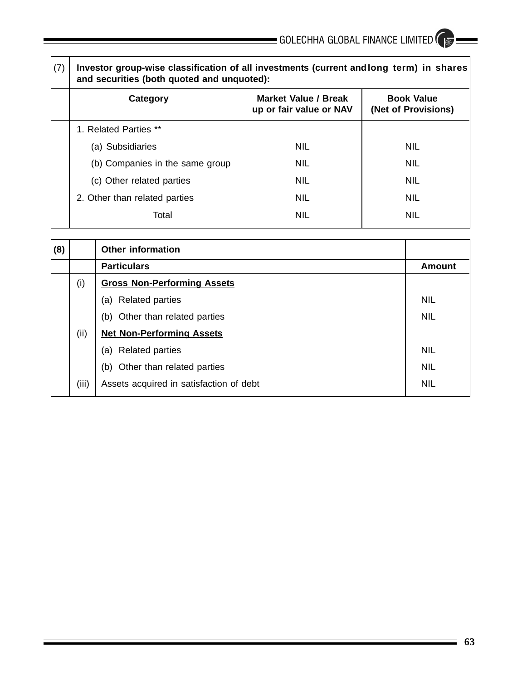| (7) | Investor group-wise classification of all investments (current and long term) in shares<br>and securities (both quoted and unquoted): |                                                 |                                          |  |  |  |
|-----|---------------------------------------------------------------------------------------------------------------------------------------|-------------------------------------------------|------------------------------------------|--|--|--|
|     | Category                                                                                                                              | Market Value / Break<br>up or fair value or NAV | <b>Book Value</b><br>(Net of Provisions) |  |  |  |
|     | 1. Related Parties **                                                                                                                 |                                                 |                                          |  |  |  |
|     | (a) Subsidiaries                                                                                                                      | <b>NIL</b>                                      | <b>NIL</b>                               |  |  |  |
|     | (b) Companies in the same group                                                                                                       | <b>NIL</b>                                      | <b>NIL</b>                               |  |  |  |
|     | (c) Other related parties                                                                                                             | <b>NIL</b>                                      | <b>NIL</b>                               |  |  |  |
|     | 2. Other than related parties                                                                                                         | <b>NIL</b>                                      | <b>NIL</b>                               |  |  |  |
|     | Total                                                                                                                                 | <b>NIL</b>                                      | <b>NIL</b>                               |  |  |  |
|     |                                                                                                                                       |                                                 |                                          |  |  |  |

|       | Other information                       |            |
|-------|-----------------------------------------|------------|
|       | <b>Particulars</b>                      | Amount     |
| (i)   | <b>Gross Non-Performing Assets</b>      |            |
|       | <b>Related parties</b><br>(a)           | <b>NIL</b> |
|       | (b) Other than related parties          | <b>NIL</b> |
| (ii)  | <b>Net Non-Performing Assets</b>        |            |
|       | <b>Related parties</b><br>(a)           | <b>NIL</b> |
|       | Other than related parties<br>(b)       | <b>NIL</b> |
| (iii) | Assets acquired in satisfaction of debt | <b>NIL</b> |
|       |                                         |            |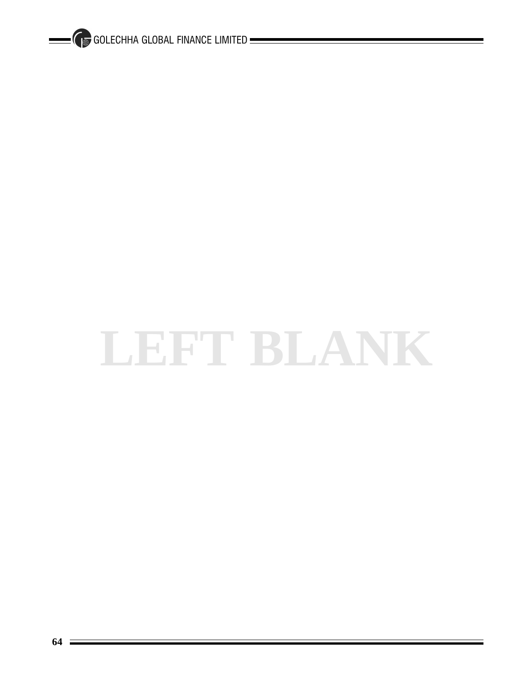# **LEFT BLANK**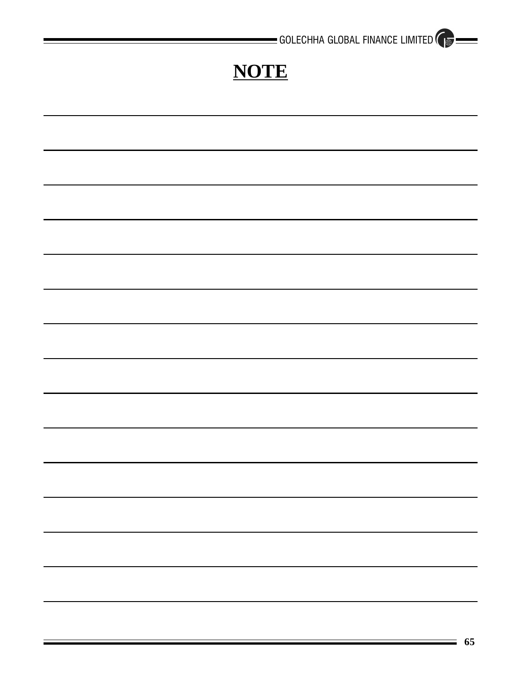# **NOTE**

| and the control of the control of the control of the control of the control of the control of the control of the                                                                                                              |  |                                              |  |
|-------------------------------------------------------------------------------------------------------------------------------------------------------------------------------------------------------------------------------|--|----------------------------------------------|--|
|                                                                                                                                                                                                                               |  |                                              |  |
| the control of the control of the control of the control of the control of the control of the control of the control of the control of the control of the control of the control of the control of the control of the control |  | the control of the control of the control of |  |
|                                                                                                                                                                                                                               |  |                                              |  |
|                                                                                                                                                                                                                               |  |                                              |  |
|                                                                                                                                                                                                                               |  |                                              |  |
|                                                                                                                                                                                                                               |  |                                              |  |
|                                                                                                                                                                                                                               |  |                                              |  |
|                                                                                                                                                                                                                               |  |                                              |  |
|                                                                                                                                                                                                                               |  |                                              |  |
|                                                                                                                                                                                                                               |  |                                              |  |
|                                                                                                                                                                                                                               |  |                                              |  |
|                                                                                                                                                                                                                               |  |                                              |  |
|                                                                                                                                                                                                                               |  |                                              |  |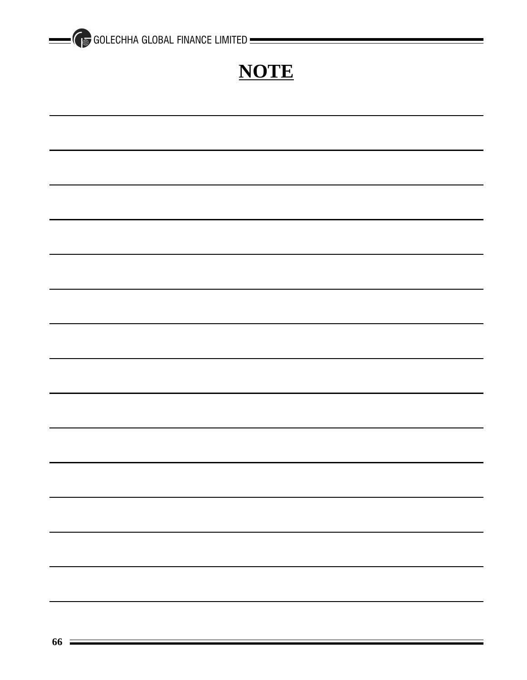# **NOTE**